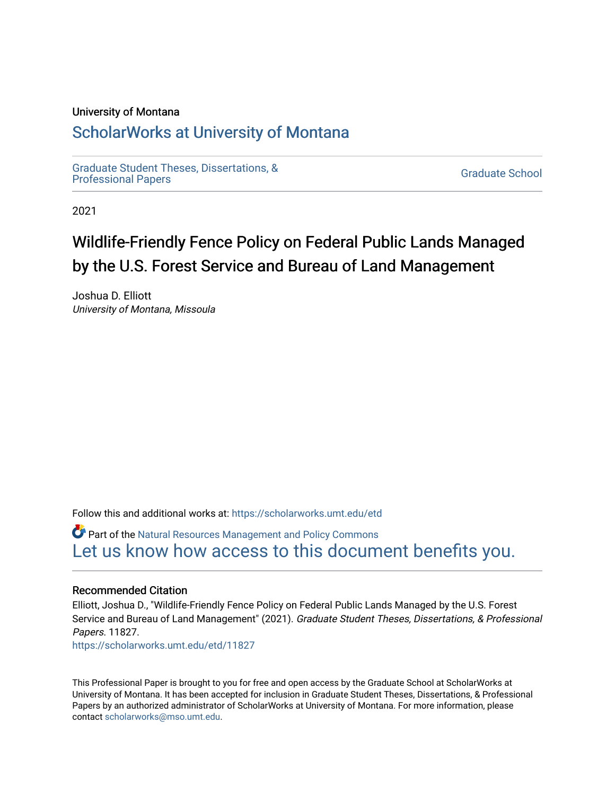#### University of Montana

## [ScholarWorks at University of Montana](https://scholarworks.umt.edu/)

[Graduate Student Theses, Dissertations, &](https://scholarworks.umt.edu/etd) Graduate Student Theses, Dissertations, & Contract Control of the Graduate School [Professional Papers](https://scholarworks.umt.edu/etd) Contract Control of the Contract Control of the Contract Control of the Contract Contract Contract Control of the Contra

2021

# Wildlife-Friendly Fence Policy on Federal Public Lands Managed by the U.S. Forest Service and Bureau of Land Management

Joshua D. Elliott University of Montana, Missoula

Follow this and additional works at: [https://scholarworks.umt.edu/etd](https://scholarworks.umt.edu/etd?utm_source=scholarworks.umt.edu%2Fetd%2F11827&utm_medium=PDF&utm_campaign=PDFCoverPages) 

Part of the [Natural Resources Management and Policy Commons](https://network.bepress.com/hgg/discipline/170?utm_source=scholarworks.umt.edu%2Fetd%2F11827&utm_medium=PDF&utm_campaign=PDFCoverPages) [Let us know how access to this document benefits you.](https://goo.gl/forms/s2rGfXOLzz71qgsB2) 

#### Recommended Citation

Elliott, Joshua D., "Wildlife-Friendly Fence Policy on Federal Public Lands Managed by the U.S. Forest Service and Bureau of Land Management" (2021). Graduate Student Theses, Dissertations, & Professional Papers. 11827. [https://scholarworks.umt.edu/etd/11827](https://scholarworks.umt.edu/etd/11827?utm_source=scholarworks.umt.edu%2Fetd%2F11827&utm_medium=PDF&utm_campaign=PDFCoverPages) 

This Professional Paper is brought to you for free and open access by the Graduate School at ScholarWorks at University of Montana. It has been accepted for inclusion in Graduate Student Theses, Dissertations, & Professional Papers by an authorized administrator of ScholarWorks at University of Montana. For more information, please contact [scholarworks@mso.umt.edu](mailto:scholarworks@mso.umt.edu).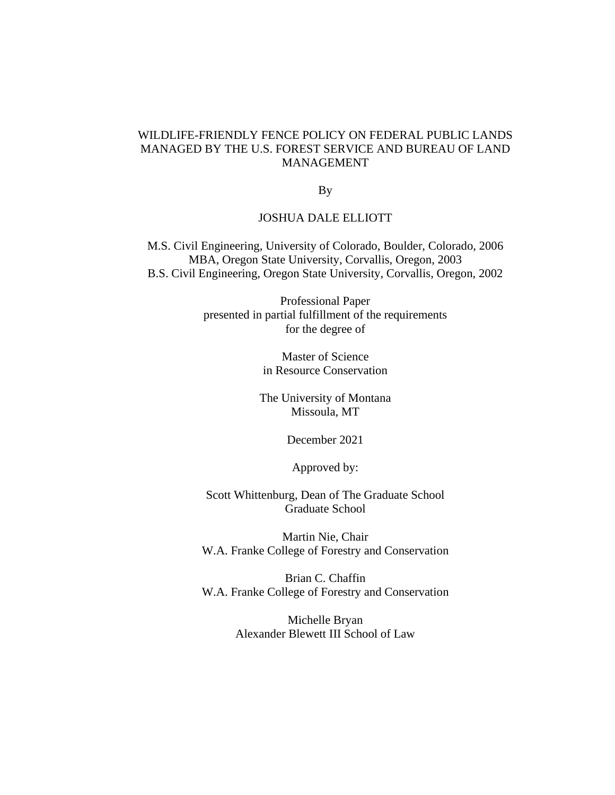## WILDLIFE-FRIENDLY FENCE POLICY ON FEDERAL PUBLIC LANDS MANAGED BY THE U.S. FOREST SERVICE AND BUREAU OF LAND MANAGEMENT

By

#### JOSHUA DALE ELLIOTT

M.S. Civil Engineering, University of Colorado, Boulder, Colorado, 2006 MBA, Oregon State University, Corvallis, Oregon, 2003 B.S. Civil Engineering, Oregon State University, Corvallis, Oregon, 2002

> Professional Paper presented in partial fulfillment of the requirements for the degree of

> > Master of Science in Resource Conservation

The University of Montana Missoula, MT

December 2021

Approved by:

Scott Whittenburg, Dean of The Graduate School Graduate School

Martin Nie, Chair W.A. Franke College of Forestry and Conservation

Brian C. Chaffin W.A. Franke College of Forestry and Conservation

> Michelle Bryan Alexander Blewett III School of Law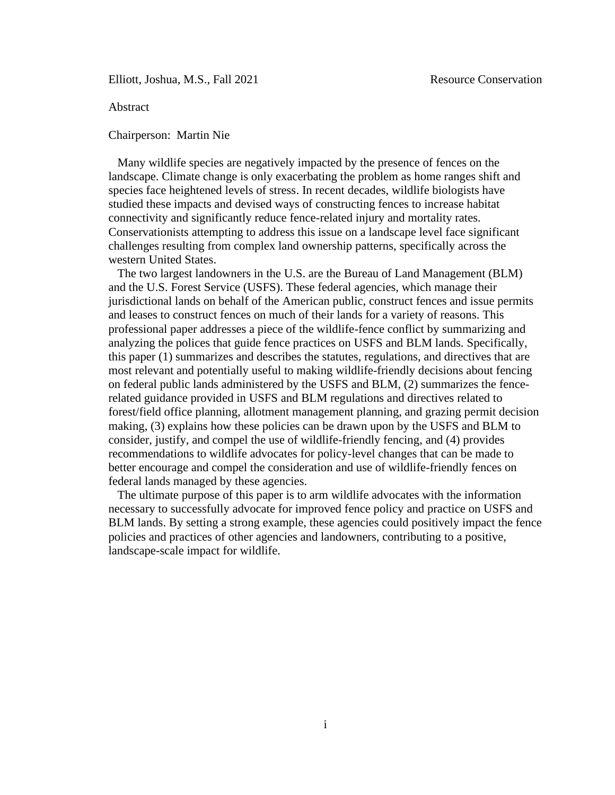Elliott, Joshua, M.S., Fall 2021 Resource Conservation

<span id="page-2-0"></span>Abstract

Chairperson: Martin Nie

Many wildlife species are negatively impacted by the presence of fences on the landscape. Climate change is only exacerbating the problem as home ranges shift and species face heightened levels of stress. In recent decades, wildlife biologists have studied these impacts and devised ways of constructing fences to increase habitat connectivity and significantly reduce fence-related injury and mortality rates. Conservationists attempting to address this issue on a landscape level face significant challenges resulting from complex land ownership patterns, specifically across the western United States.

The two largest landowners in the U.S. are the Bureau of Land Management (BLM) and the U.S. Forest Service (USFS). These federal agencies, which manage their jurisdictional lands on behalf of the American public, construct fences and issue permits and leases to construct fences on much of their lands for a variety of reasons. This professional paper addresses a piece of the wildlife-fence conflict by summarizing and analyzing the polices that guide fence practices on USFS and BLM lands. Specifically, this paper (1) summarizes and describes the statutes, regulations, and directives that are most relevant and potentially useful to making wildlife-friendly decisions about fencing on federal public lands administered by the USFS and BLM, (2) summarizes the fencerelated guidance provided in USFS and BLM regulations and directives related to forest/field office planning, allotment management planning, and grazing permit decision making, (3) explains how these policies can be drawn upon by the USFS and BLM to consider, justify, and compel the use of wildlife-friendly fencing, and (4) provides recommendations to wildlife advocates for policy-level changes that can be made to better encourage and compel the consideration and use of wildlife-friendly fences on federal lands managed by these agencies.

The ultimate purpose of this paper is to arm wildlife advocates with the information necessary to successfully advocate for improved fence policy and practice on USFS and BLM lands. By setting a strong example, these agencies could positively impact the fence policies and practices of other agencies and landowners, contributing to a positive, landscape-scale impact for wildlife.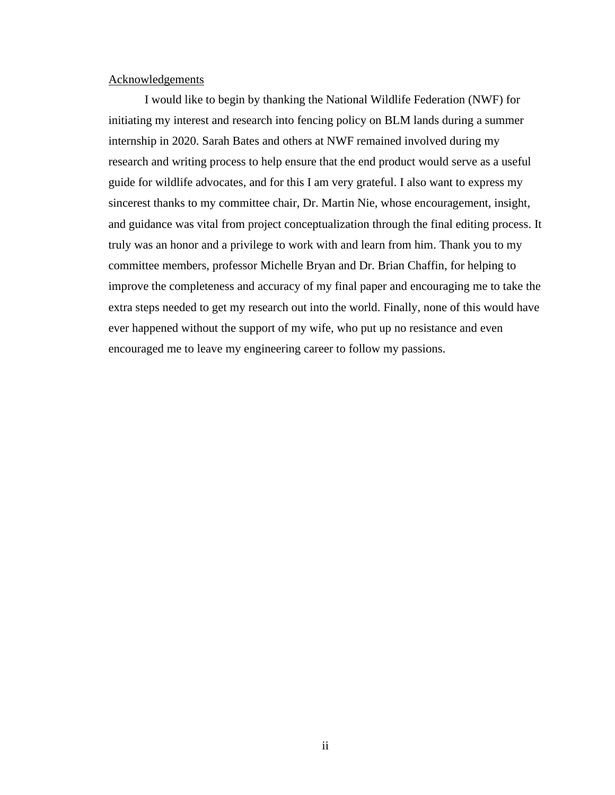#### <span id="page-3-0"></span>Acknowledgements

I would like to begin by thanking the National Wildlife Federation (NWF) for initiating my interest and research into fencing policy on BLM lands during a summer internship in 2020. Sarah Bates and others at NWF remained involved during my research and writing process to help ensure that the end product would serve as a useful guide for wildlife advocates, and for this I am very grateful. I also want to express my sincerest thanks to my committee chair, Dr. Martin Nie, whose encouragement, insight, and guidance was vital from project conceptualization through the final editing process. It truly was an honor and a privilege to work with and learn from him. Thank you to my committee members, professor Michelle Bryan and Dr. Brian Chaffin, for helping to improve the completeness and accuracy of my final paper and encouraging me to take the extra steps needed to get my research out into the world. Finally, none of this would have ever happened without the support of my wife, who put up no resistance and even encouraged me to leave my engineering career to follow my passions.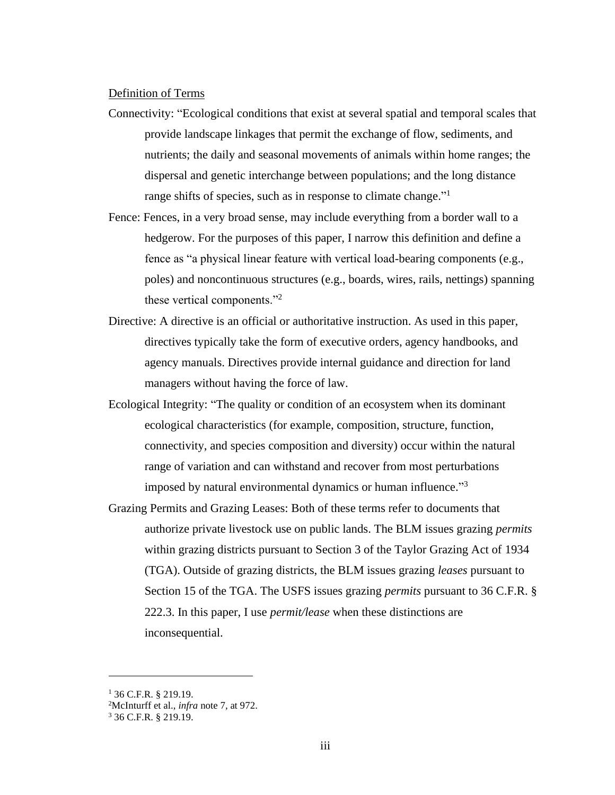#### <span id="page-4-0"></span>Definition of Terms

- Connectivity: "Ecological conditions that exist at several spatial and temporal scales that provide landscape linkages that permit the exchange of flow, sediments, and nutrients; the daily and seasonal movements of animals within home ranges; the dispersal and genetic interchange between populations; and the long distance range shifts of species, such as in response to climate change."<sup>1</sup>
- Fence: Fences, in a very broad sense, may include everything from a border wall to a hedgerow. For the purposes of this paper, I narrow this definition and define a fence as "a physical linear feature with vertical load-bearing components (e.g., poles) and noncontinuous structures (e.g., boards, wires, rails, nettings) spanning these vertical components."<sup>2</sup>
- Directive: A directive is an official or authoritative instruction. As used in this paper, directives typically take the form of executive orders, agency handbooks, and agency manuals. Directives provide internal guidance and direction for land managers without having the force of law.
- Ecological Integrity: "The quality or condition of an ecosystem when its dominant ecological characteristics (for example, composition, structure, function, connectivity, and species composition and diversity) occur within the natural range of variation and can withstand and recover from most perturbations imposed by natural environmental dynamics or human influence."<sup>3</sup>
- Grazing Permits and Grazing Leases: Both of these terms refer to documents that authorize private livestock use on public lands. The BLM issues grazing *permits* within grazing districts pursuant to Section 3 of the Taylor Grazing Act of 1934 (TGA). Outside of grazing districts, the BLM issues grazing *leases* pursuant to Section 15 of the TGA. The USFS issues grazing *permits* pursuant to 36 C.F.R. § 222.3. In this paper, I use *permit/lease* when these distinctions are inconsequential.

 $1\,36$  C.F.R. § 219.19.

<sup>2</sup>McInturff et al., *infra* note 7, at 972.

<sup>3</sup> 36 C.F.R. § 219.19.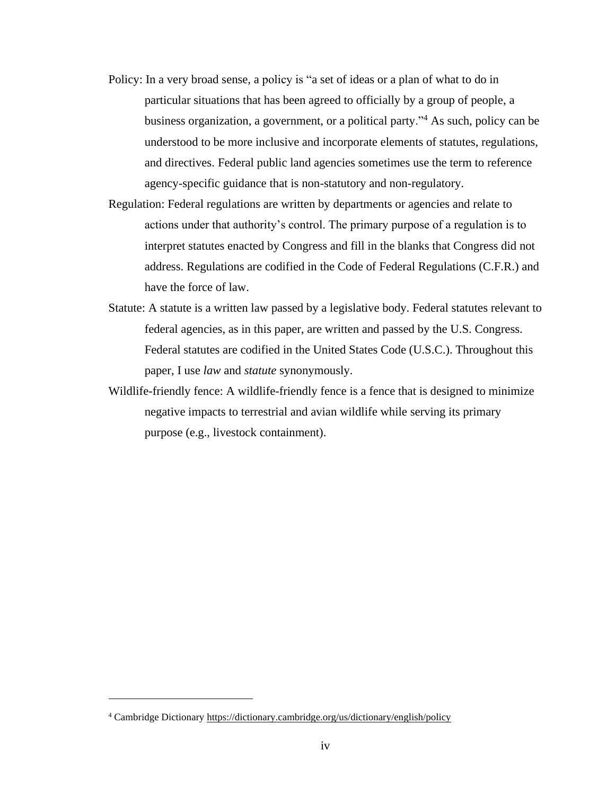- Policy: In a very broad sense, a policy is "a set of ideas or a plan of what to do in particular situations that has been agreed to officially by a group of people, a business organization, a government, or a political party."<sup>4</sup> As such, policy can be understood to be more inclusive and incorporate elements of statutes, regulations, and directives. Federal public land agencies sometimes use the term to reference agency-specific guidance that is non-statutory and non-regulatory.
- Regulation: Federal regulations are written by departments or agencies and relate to actions under that authority's control. The primary purpose of a regulation is to interpret statutes enacted by Congress and fill in the blanks that Congress did not address. Regulations are codified in the Code of Federal Regulations (C.F.R.) and have the force of law.
- Statute: A statute is a written law passed by a legislative body. Federal statutes relevant to federal agencies, as in this paper, are written and passed by the U.S. Congress. Federal statutes are codified in the United States Code (U.S.C.). Throughout this paper, I use *law* and *statute* synonymously.
- Wildlife-friendly fence: A wildlife-friendly fence is a fence that is designed to minimize negative impacts to terrestrial and avian wildlife while serving its primary purpose (e.g., livestock containment).

<sup>4</sup> Cambridge Dictionary<https://dictionary.cambridge.org/us/dictionary/english/policy>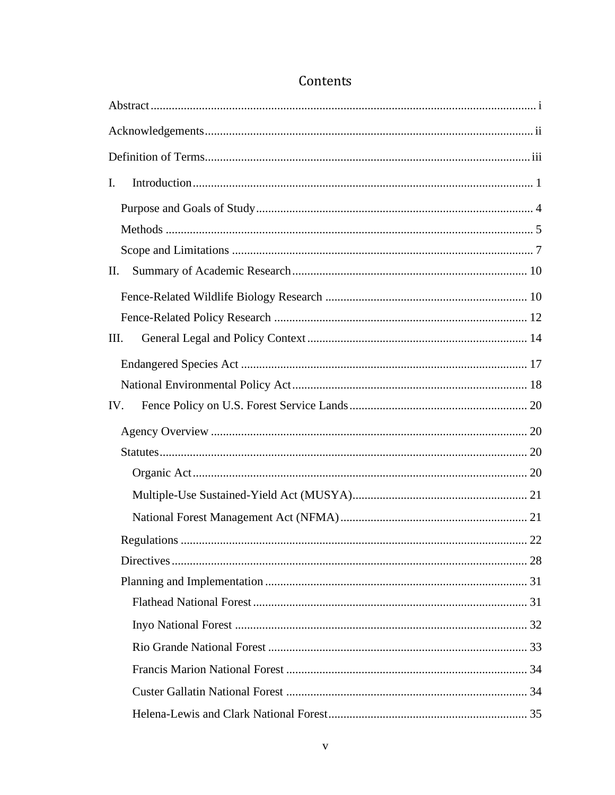| I.   |  |
|------|--|
|      |  |
|      |  |
|      |  |
| Π.   |  |
|      |  |
|      |  |
| III. |  |
|      |  |
|      |  |
| IV.  |  |
|      |  |
|      |  |
|      |  |
|      |  |
|      |  |
|      |  |
|      |  |
|      |  |
|      |  |
|      |  |
|      |  |
|      |  |
|      |  |
|      |  |

## Contents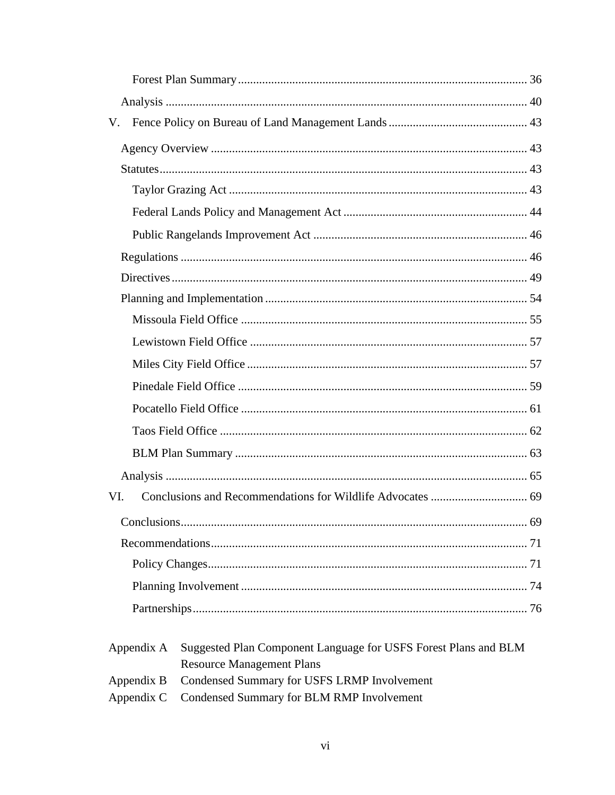| V.         |                                                                                                     |  |  |
|------------|-----------------------------------------------------------------------------------------------------|--|--|
|            |                                                                                                     |  |  |
|            |                                                                                                     |  |  |
|            |                                                                                                     |  |  |
|            |                                                                                                     |  |  |
|            |                                                                                                     |  |  |
|            |                                                                                                     |  |  |
|            |                                                                                                     |  |  |
|            |                                                                                                     |  |  |
|            |                                                                                                     |  |  |
|            |                                                                                                     |  |  |
|            |                                                                                                     |  |  |
|            |                                                                                                     |  |  |
|            |                                                                                                     |  |  |
|            |                                                                                                     |  |  |
|            |                                                                                                     |  |  |
|            |                                                                                                     |  |  |
| VI.        |                                                                                                     |  |  |
|            |                                                                                                     |  |  |
|            |                                                                                                     |  |  |
|            |                                                                                                     |  |  |
|            |                                                                                                     |  |  |
|            |                                                                                                     |  |  |
|            |                                                                                                     |  |  |
| Appendix A | Suggested Plan Component Language for USFS Forest Plans and BLM<br><b>Resource Management Plans</b> |  |  |
| Appendix B | Condensed Summary for USFS LRMP Involvement                                                         |  |  |

Appendix C Condensed Summary for BLM RMP Involvement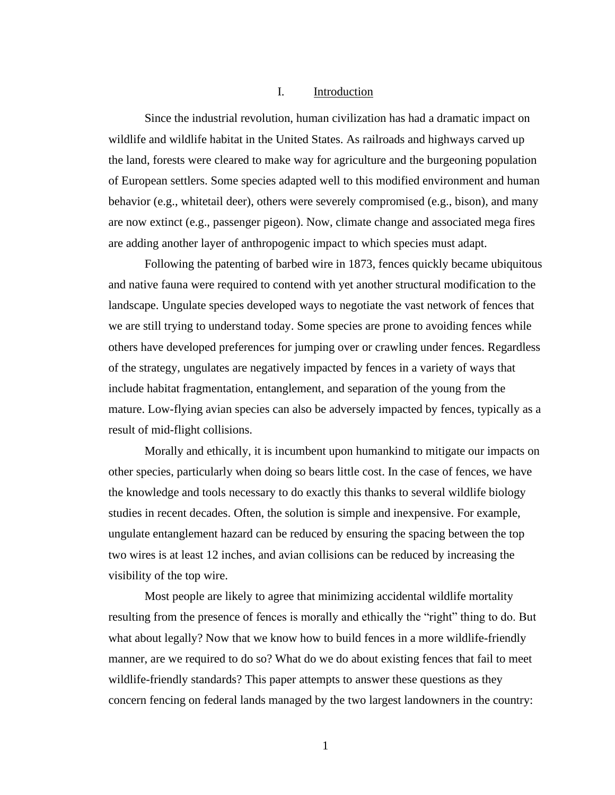#### I. Introduction

<span id="page-8-0"></span>Since the industrial revolution, human civilization has had a dramatic impact on wildlife and wildlife habitat in the United States. As railroads and highways carved up the land, forests were cleared to make way for agriculture and the burgeoning population of European settlers. Some species adapted well to this modified environment and human behavior (e.g., whitetail deer), others were severely compromised (e.g., bison), and many are now extinct (e.g., passenger pigeon). Now, climate change and associated mega fires are adding another layer of anthropogenic impact to which species must adapt.

Following the patenting of barbed wire in 1873, fences quickly became ubiquitous and native fauna were required to contend with yet another structural modification to the landscape. Ungulate species developed ways to negotiate the vast network of fences that we are still trying to understand today. Some species are prone to avoiding fences while others have developed preferences for jumping over or crawling under fences. Regardless of the strategy, ungulates are negatively impacted by fences in a variety of ways that include habitat fragmentation, entanglement, and separation of the young from the mature. Low-flying avian species can also be adversely impacted by fences, typically as a result of mid-flight collisions.

Morally and ethically, it is incumbent upon humankind to mitigate our impacts on other species, particularly when doing so bears little cost. In the case of fences, we have the knowledge and tools necessary to do exactly this thanks to several wildlife biology studies in recent decades. Often, the solution is simple and inexpensive. For example, ungulate entanglement hazard can be reduced by ensuring the spacing between the top two wires is at least 12 inches, and avian collisions can be reduced by increasing the visibility of the top wire.

Most people are likely to agree that minimizing accidental wildlife mortality resulting from the presence of fences is morally and ethically the "right" thing to do. But what about legally? Now that we know how to build fences in a more wildlife-friendly manner, are we required to do so? What do we do about existing fences that fail to meet wildlife-friendly standards? This paper attempts to answer these questions as they concern fencing on federal lands managed by the two largest landowners in the country:

1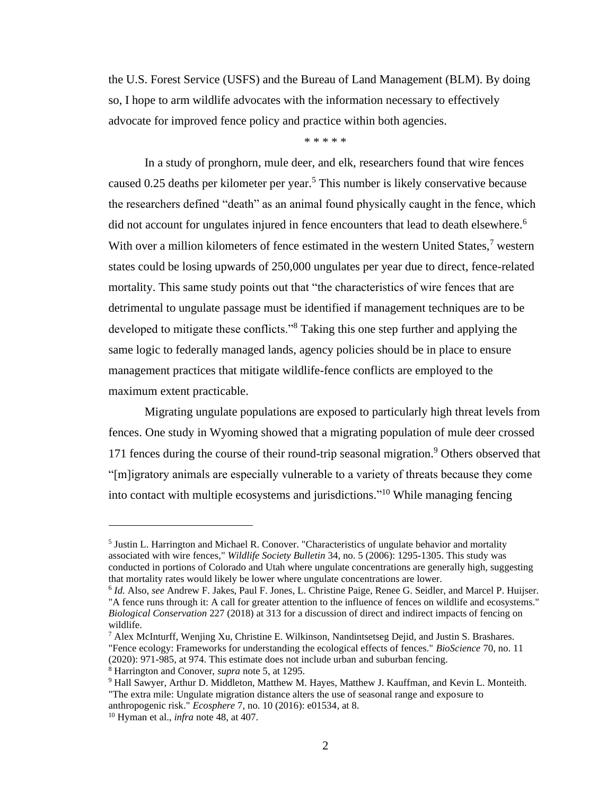the U.S. Forest Service (USFS) and the Bureau of Land Management (BLM). By doing so, I hope to arm wildlife advocates with the information necessary to effectively advocate for improved fence policy and practice within both agencies.

\* \* \* \* \*

In a study of pronghorn, mule deer, and elk, researchers found that wire fences caused 0.25 deaths per kilometer per year.<sup>5</sup> This number is likely conservative because the researchers defined "death" as an animal found physically caught in the fence, which did not account for ungulates injured in fence encounters that lead to death elsewhere.<sup>6</sup> With over a million kilometers of fence estimated in the western United States, $\frac{7}{1}$  western states could be losing upwards of 250,000 ungulates per year due to direct, fence-related mortality. This same study points out that "the characteristics of wire fences that are detrimental to ungulate passage must be identified if management techniques are to be developed to mitigate these conflicts."<sup>8</sup> Taking this one step further and applying the same logic to federally managed lands, agency policies should be in place to ensure management practices that mitigate wildlife-fence conflicts are employed to the maximum extent practicable.

Migrating ungulate populations are exposed to particularly high threat levels from fences. One study in Wyoming showed that a migrating population of mule deer crossed 171 fences during the course of their round-trip seasonal migration.<sup>9</sup> Others observed that "[m]igratory animals are especially vulnerable to a variety of threats because they come into contact with multiple ecosystems and jurisdictions." <sup>10</sup> While managing fencing

<sup>&</sup>lt;sup>5</sup> Justin L. Harrington and Michael R. Conover. "Characteristics of ungulate behavior and mortality associated with wire fences," *Wildlife Society Bulletin* 34, no. 5 (2006): 1295-1305. This study was conducted in portions of Colorado and Utah where ungulate concentrations are generally high, suggesting that mortality rates would likely be lower where ungulate concentrations are lower.

<sup>6</sup> *Id.* Also, *see* Andrew F. Jakes, Paul F. Jones, L. Christine Paige, Renee G. Seidler, and Marcel P. Huijser. "A fence runs through it: A call for greater attention to the influence of fences on wildlife and ecosystems." *Biological Conservation* 227 (2018) at 313 for a discussion of direct and indirect impacts of fencing on wildlife.

 $^7$  Alex McInturff, Wenjing Xu, Christine E. Wilkinson, Nandintsetseg Dejid, and Justin S. Brashares. "Fence ecology: Frameworks for understanding the ecological effects of fences." *BioScience* 70, no. 11 (2020): 971-985, at 974. This estimate does not include urban and suburban fencing.

<sup>8</sup> Harrington and Conover, *supra* note 5, at 1295.

<sup>&</sup>lt;sup>9</sup> Hall Sawyer, Arthur D. Middleton, Matthew M. Hayes, Matthew J. Kauffman, and Kevin L. Monteith. "The extra mile: Ungulate migration distance alters the use of seasonal range and exposure to anthropogenic risk." *Ecosphere* 7, no. 10 (2016): e01534, at 8.

<sup>10</sup> Hyman et al., *infra* note 48, at 407.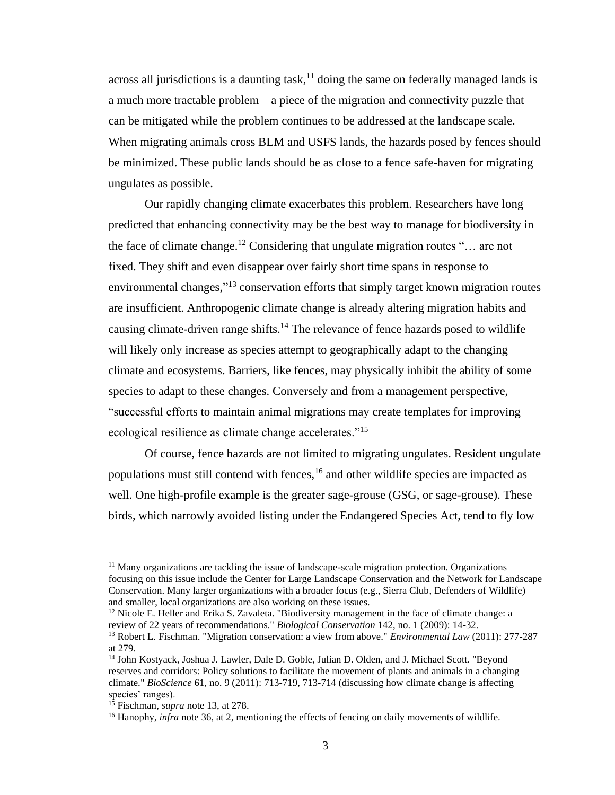across all jurisdictions is a daunting task,<sup>11</sup> doing the same on federally managed lands is a much more tractable problem – a piece of the migration and connectivity puzzle that can be mitigated while the problem continues to be addressed at the landscape scale. When migrating animals cross BLM and USFS lands, the hazards posed by fences should be minimized. These public lands should be as close to a fence safe-haven for migrating ungulates as possible.

Our rapidly changing climate exacerbates this problem. Researchers have long predicted that enhancing connectivity may be the best way to manage for biodiversity in the face of climate change.<sup>12</sup> Considering that ungulate migration routes " $\dots$  are not fixed. They shift and even disappear over fairly short time spans in response to environmental changes,"<sup>13</sup> conservation efforts that simply target known migration routes are insufficient. Anthropogenic climate change is already altering migration habits and causing climate-driven range shifts.<sup>14</sup> The relevance of fence hazards posed to wildlife will likely only increase as species attempt to geographically adapt to the changing climate and ecosystems. Barriers, like fences, may physically inhibit the ability of some species to adapt to these changes. Conversely and from a management perspective, "successful efforts to maintain animal migrations may create templates for improving ecological resilience as climate change accelerates."<sup>15</sup>

Of course, fence hazards are not limited to migrating ungulates. Resident ungulate populations must still contend with fences, <sup>16</sup> and other wildlife species are impacted as well. One high-profile example is the greater sage-grouse (GSG, or sage-grouse). These birds, which narrowly avoided listing under the Endangered Species Act, tend to fly low

 $12$  Nicole E. Heller and Erika S. Zavaleta. "Biodiversity management in the face of climate change: a review of 22 years of recommendations." *Biological Conservation* 142, no. 1 (2009): 14-32.

 $<sup>11</sup>$  Many organizations are tackling the issue of landscape-scale migration protection. Organizations</sup> focusing on this issue include the Center for Large Landscape Conservation and the Network for Landscape Conservation. Many larger organizations with a broader focus (e.g., Sierra Club, Defenders of Wildlife) and smaller, local organizations are also working on these issues.

<sup>13</sup> Robert L. Fischman. "Migration conservation: a view from above." *Environmental Law* (2011): 277-287 at 279.

<sup>14</sup> John Kostyack, Joshua J. Lawler, Dale D. Goble, Julian D. Olden, and J. Michael Scott. "Beyond reserves and corridors: Policy solutions to facilitate the movement of plants and animals in a changing climate." *BioScience* 61, no. 9 (2011): 713-719, 713-714 (discussing how climate change is affecting species' ranges).

<sup>15</sup> Fischman, *supra* note 13, at 278.

<sup>&</sup>lt;sup>16</sup> Hanophy, *infra* note 36, at 2, mentioning the effects of fencing on daily movements of wildlife.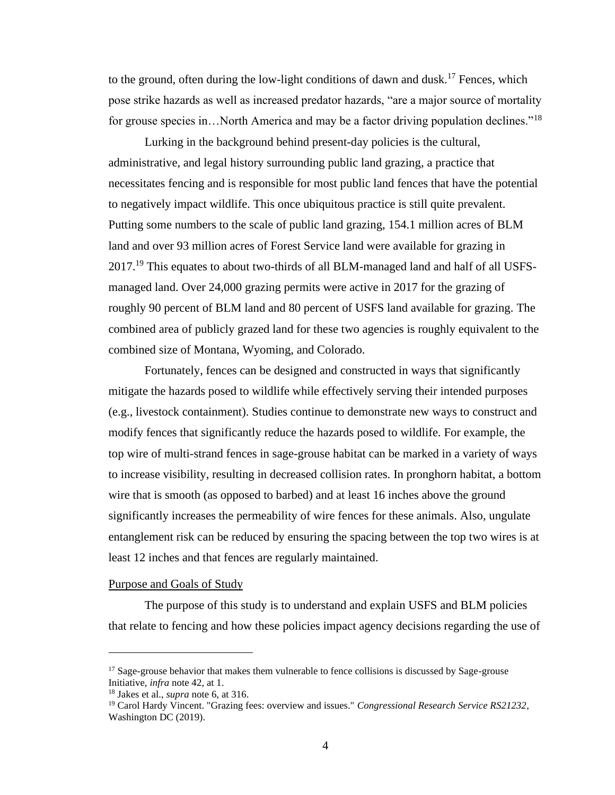to the ground, often during the low-light conditions of dawn and dusk.<sup>17</sup> Fences, which pose strike hazards as well as increased predator hazards, "are a major source of mortality for grouse species in...North America and may be a factor driving population declines."<sup>18</sup>

Lurking in the background behind present-day policies is the cultural, administrative, and legal history surrounding public land grazing, a practice that necessitates fencing and is responsible for most public land fences that have the potential to negatively impact wildlife. This once ubiquitous practice is still quite prevalent. Putting some numbers to the scale of public land grazing, 154.1 million acres of BLM land and over 93 million acres of Forest Service land were available for grazing in  $2017<sup>19</sup>$  This equates to about two-thirds of all BLM-managed land and half of all USFSmanaged land. Over 24,000 grazing permits were active in 2017 for the grazing of roughly 90 percent of BLM land and 80 percent of USFS land available for grazing. The combined area of publicly grazed land for these two agencies is roughly equivalent to the combined size of Montana, Wyoming, and Colorado.

Fortunately, fences can be designed and constructed in ways that significantly mitigate the hazards posed to wildlife while effectively serving their intended purposes (e.g., livestock containment). Studies continue to demonstrate new ways to construct and modify fences that significantly reduce the hazards posed to wildlife. For example, the top wire of multi-strand fences in sage-grouse habitat can be marked in a variety of ways to increase visibility, resulting in decreased collision rates. In pronghorn habitat, a bottom wire that is smooth (as opposed to barbed) and at least 16 inches above the ground significantly increases the permeability of wire fences for these animals. Also, ungulate entanglement risk can be reduced by ensuring the spacing between the top two wires is at least 12 inches and that fences are regularly maintained.

#### <span id="page-11-0"></span>Purpose and Goals of Study

The purpose of this study is to understand and explain USFS and BLM policies that relate to fencing and how these policies impact agency decisions regarding the use of

<sup>&</sup>lt;sup>17</sup> Sage-grouse behavior that makes them vulnerable to fence collisions is discussed by Sage-grouse Initiative, *infra* note 42, at 1.

<sup>18</sup> Jakes et al., *supra* note 6, at 316.

<sup>19</sup> Carol Hardy Vincent. "Grazing fees: overview and issues." *Congressional Research Service RS21232*, Washington DC (2019).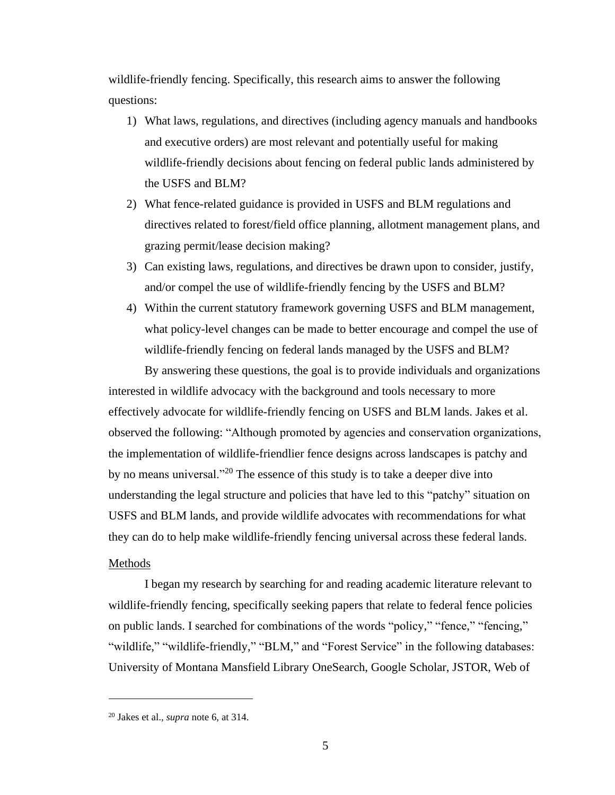wildlife-friendly fencing. Specifically, this research aims to answer the following questions:

- 1) What laws, regulations, and directives (including agency manuals and handbooks and executive orders) are most relevant and potentially useful for making wildlife-friendly decisions about fencing on federal public lands administered by the USFS and BLM?
- 2) What fence-related guidance is provided in USFS and BLM regulations and directives related to forest/field office planning, allotment management plans, and grazing permit/lease decision making?
- 3) Can existing laws, regulations, and directives be drawn upon to consider, justify, and/or compel the use of wildlife-friendly fencing by the USFS and BLM?
- 4) Within the current statutory framework governing USFS and BLM management, what policy-level changes can be made to better encourage and compel the use of wildlife-friendly fencing on federal lands managed by the USFS and BLM?

By answering these questions, the goal is to provide individuals and organizations interested in wildlife advocacy with the background and tools necessary to more effectively advocate for wildlife-friendly fencing on USFS and BLM lands. Jakes et al. observed the following: "Although promoted by agencies and conservation organizations, the implementation of wildlife-friendlier fence designs across landscapes is patchy and by no means universal."<sup>20</sup> The essence of this study is to take a deeper dive into understanding the legal structure and policies that have led to this "patchy" situation on USFS and BLM lands, and provide wildlife advocates with recommendations for what they can do to help make wildlife-friendly fencing universal across these federal lands.

## <span id="page-12-0"></span>Methods

I began my research by searching for and reading academic literature relevant to wildlife-friendly fencing, specifically seeking papers that relate to federal fence policies on public lands. I searched for combinations of the words "policy," "fence," "fencing," "wildlife," "wildlife-friendly," "BLM," and "Forest Service" in the following databases: University of Montana Mansfield Library OneSearch, Google Scholar, JSTOR, Web of

<sup>20</sup> Jakes et al., *supra* note 6, at 314.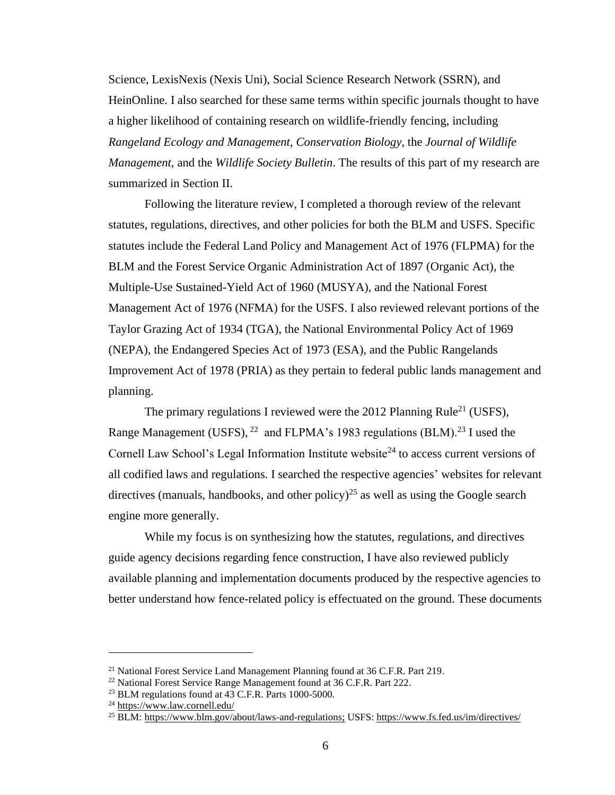Science, LexisNexis (Nexis Uni), Social Science Research Network (SSRN), and HeinOnline. I also searched for these same terms within specific journals thought to have a higher likelihood of containing research on wildlife-friendly fencing, including *Rangeland Ecology and Management*, *Conservation Biology*, the *Journal of Wildlife Management*, and the *Wildlife Society Bulletin*. The results of this part of my research are summarized in Section II.

Following the literature review, I completed a thorough review of the relevant statutes, regulations, directives, and other policies for both the BLM and USFS. Specific statutes include the Federal Land Policy and Management Act of 1976 (FLPMA) for the BLM and the Forest Service Organic Administration Act of 1897 (Organic Act), the Multiple-Use Sustained-Yield Act of 1960 (MUSYA), and the National Forest Management Act of 1976 (NFMA) for the USFS. I also reviewed relevant portions of the Taylor Grazing Act of 1934 (TGA), the National Environmental Policy Act of 1969 (NEPA), the Endangered Species Act of 1973 (ESA), and the Public Rangelands Improvement Act of 1978 (PRIA) as they pertain to federal public lands management and planning.

The primary regulations I reviewed were the 2012 Planning Rule<sup>21</sup> (USFS), Range Management (USFS), <sup>22</sup> and FLPMA's 1983 regulations (BLM).<sup>23</sup> I used the Cornell Law School's Legal Information Institute website<sup>24</sup> to access current versions of all codified laws and regulations. I searched the respective agencies' websites for relevant directives (manuals, handbooks, and other policy)<sup>25</sup> as well as using the Google search engine more generally.

While my focus is on synthesizing how the statutes, regulations, and directives guide agency decisions regarding fence construction, I have also reviewed publicly available planning and implementation documents produced by the respective agencies to better understand how fence-related policy is effectuated on the ground. These documents

<sup>&</sup>lt;sup>21</sup> National Forest Service Land Management Planning found at 36 C.F.R. Part 219.

<sup>&</sup>lt;sup>22</sup> National Forest Service Range Management found at 36 C.F.R. Part 222.

<sup>&</sup>lt;sup>23</sup> BLM regulations found at 43 C.F.R. Parts 1000-5000.

<sup>&</sup>lt;sup>24</sup> <https://www.law.cornell.edu/>

<sup>25</sup> BLM: [https://www.blm.gov/about/laws-and-regulations;](https://www.blm.gov/about/laws-and-regulations) USFS:<https://www.fs.fed.us/im/directives/>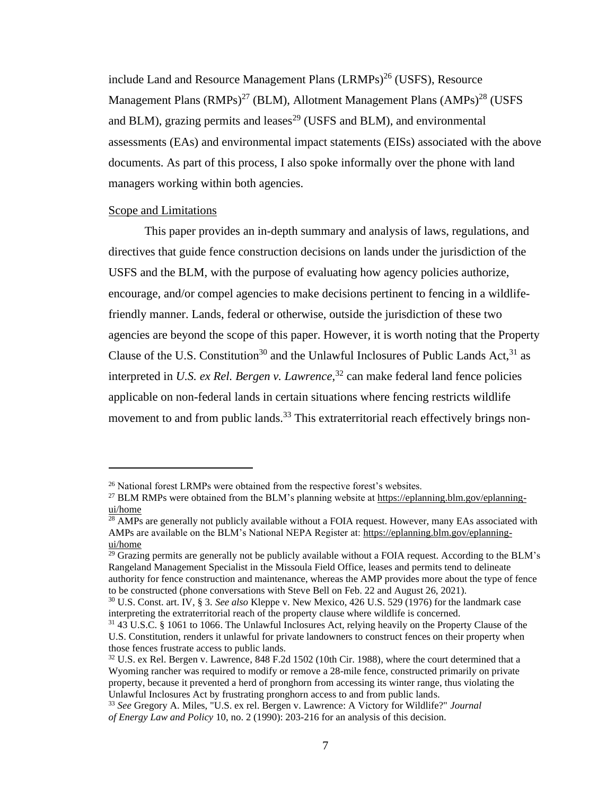include Land and Resource Management Plans (LRMPs)<sup>26</sup> (USFS), Resource Management Plans  $(RMPs)^{27}$  (BLM), Allotment Management Plans  $(AMPs)^{28}$  (USFS) and BLM), grazing permits and leases<sup>29</sup> (USFS and BLM), and environmental assessments (EAs) and environmental impact statements (EISs) associated with the above documents. As part of this process, I also spoke informally over the phone with land managers working within both agencies.

#### <span id="page-14-0"></span>Scope and Limitations

This paper provides an in-depth summary and analysis of laws, regulations, and directives that guide fence construction decisions on lands under the jurisdiction of the USFS and the BLM, with the purpose of evaluating how agency policies authorize, encourage, and/or compel agencies to make decisions pertinent to fencing in a wildlifefriendly manner. Lands, federal or otherwise, outside the jurisdiction of these two agencies are beyond the scope of this paper. However, it is worth noting that the Property Clause of the U.S. Constitution<sup>30</sup> and the Unlawful Inclosures of Public Lands Act,  $31$  as interpreted in *U.S. ex Rel. Bergen v. Lawrence*, <sup>32</sup> can make federal land fence policies applicable on non-federal lands in certain situations where fencing restricts wildlife movement to and from public lands.<sup>33</sup> This extraterritorial reach effectively brings non-

<sup>&</sup>lt;sup>26</sup> National forest LRMPs were obtained from the respective forest's websites.

<sup>&</sup>lt;sup>27</sup> BLM RMPs were obtained from the BLM's planning website at [https://eplanning.blm.gov/eplanning](https://eplanning.blm.gov/eplanning-ui/home)[ui/home](https://eplanning.blm.gov/eplanning-ui/home)

<sup>&</sup>lt;sup>28</sup> AMPs are generally not publicly available without a FOIA request. However, many EAs associated with AMPs are available on the BLM's National NEPA Register at: [https://eplanning.blm.gov/eplanning](https://eplanning.blm.gov/eplanning-ui/home)[ui/home](https://eplanning.blm.gov/eplanning-ui/home)

<sup>&</sup>lt;sup>29</sup> Grazing permits are generally not be publicly available without a FOIA request. According to the BLM's Rangeland Management Specialist in the Missoula Field Office, leases and permits tend to delineate authority for fence construction and maintenance, whereas the AMP provides more about the type of fence to be constructed (phone conversations with Steve Bell on Feb. 22 and August 26, 2021).

<sup>30</sup> U.S. Const. art. IV, § 3. *See also* Kleppe v. New Mexico, 426 U.S. 529 (1976) for the landmark case interpreting the extraterritorial reach of the property clause where wildlife is concerned.

<sup>31</sup> 43 U.S.C. § 1061 to 1066. The Unlawful Inclosures Act, relying heavily on the Property Clause of the U.S. Constitution, renders it unlawful for private landowners to construct fences on their property when those fences frustrate access to public lands.

<sup>&</sup>lt;sup>32</sup> U.S. ex Rel. Bergen v. Lawrence, 848 F.2d 1502 (10th Cir. 1988), where the court determined that a Wyoming rancher was required to modify or remove a 28-mile fence, constructed primarily on private property, because it prevented a herd of pronghorn from accessing its winter range, thus violating the Unlawful Inclosures Act by frustrating pronghorn access to and from public lands.

<sup>33</sup> *See* Gregory A. Miles, "U.S. ex rel. Bergen v. Lawrence: A Victory for Wildlife?" *Journal of Energy Law and Policy* 10, no. 2 (1990): 203-216 for an analysis of this decision.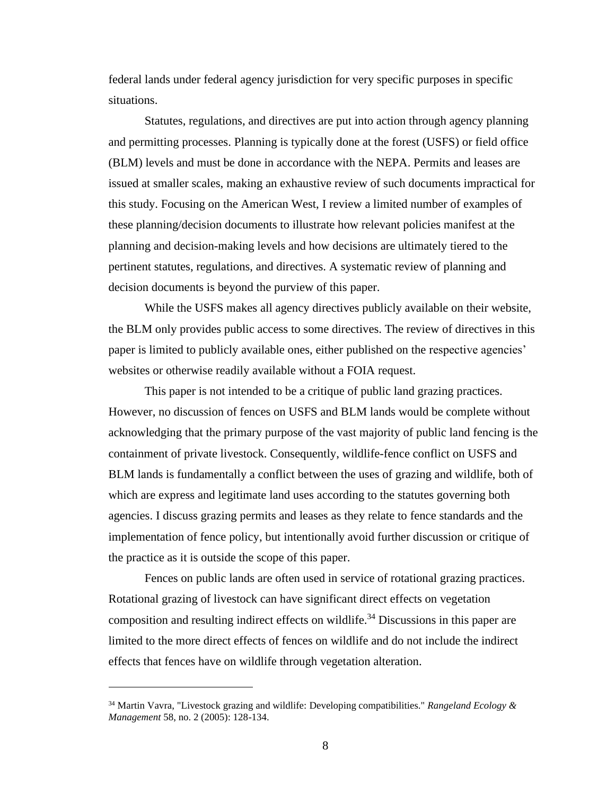federal lands under federal agency jurisdiction for very specific purposes in specific situations.

Statutes, regulations, and directives are put into action through agency planning and permitting processes. Planning is typically done at the forest (USFS) or field office (BLM) levels and must be done in accordance with the NEPA. Permits and leases are issued at smaller scales, making an exhaustive review of such documents impractical for this study. Focusing on the American West, I review a limited number of examples of these planning/decision documents to illustrate how relevant policies manifest at the planning and decision-making levels and how decisions are ultimately tiered to the pertinent statutes, regulations, and directives. A systematic review of planning and decision documents is beyond the purview of this paper.

While the USFS makes all agency directives publicly available on their website, the BLM only provides public access to some directives. The review of directives in this paper is limited to publicly available ones, either published on the respective agencies' websites or otherwise readily available without a FOIA request.

This paper is not intended to be a critique of public land grazing practices. However, no discussion of fences on USFS and BLM lands would be complete without acknowledging that the primary purpose of the vast majority of public land fencing is the containment of private livestock. Consequently, wildlife-fence conflict on USFS and BLM lands is fundamentally a conflict between the uses of grazing and wildlife, both of which are express and legitimate land uses according to the statutes governing both agencies. I discuss grazing permits and leases as they relate to fence standards and the implementation of fence policy, but intentionally avoid further discussion or critique of the practice as it is outside the scope of this paper.

Fences on public lands are often used in service of rotational grazing practices. Rotational grazing of livestock can have significant direct effects on vegetation composition and resulting indirect effects on wildlife.<sup>34</sup> Discussions in this paper are limited to the more direct effects of fences on wildlife and do not include the indirect effects that fences have on wildlife through vegetation alteration.

<sup>34</sup> Martin Vavra, "Livestock grazing and wildlife: Developing compatibilities." *Rangeland Ecology & Management* 58, no. 2 (2005): 128-134.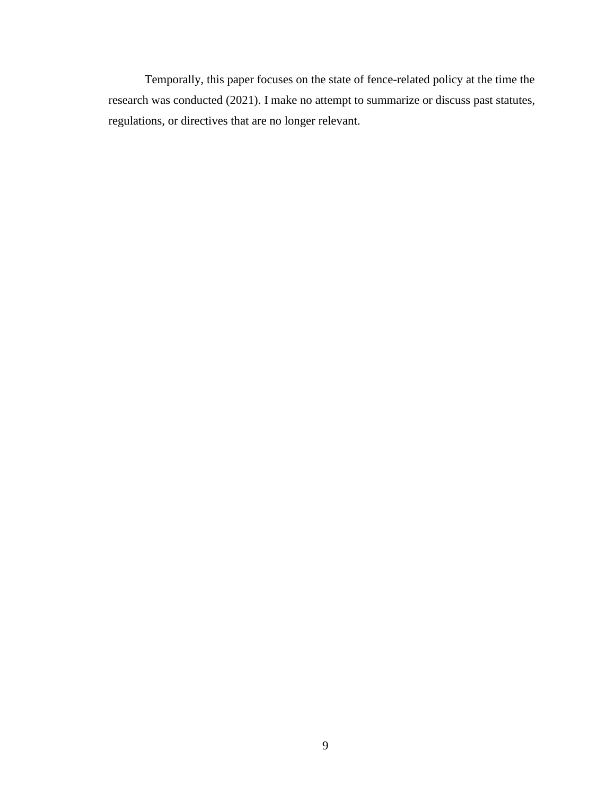<span id="page-16-0"></span>Temporally, this paper focuses on the state of fence-related policy at the time the research was conducted (2021). I make no attempt to summarize or discuss past statutes, regulations, or directives that are no longer relevant.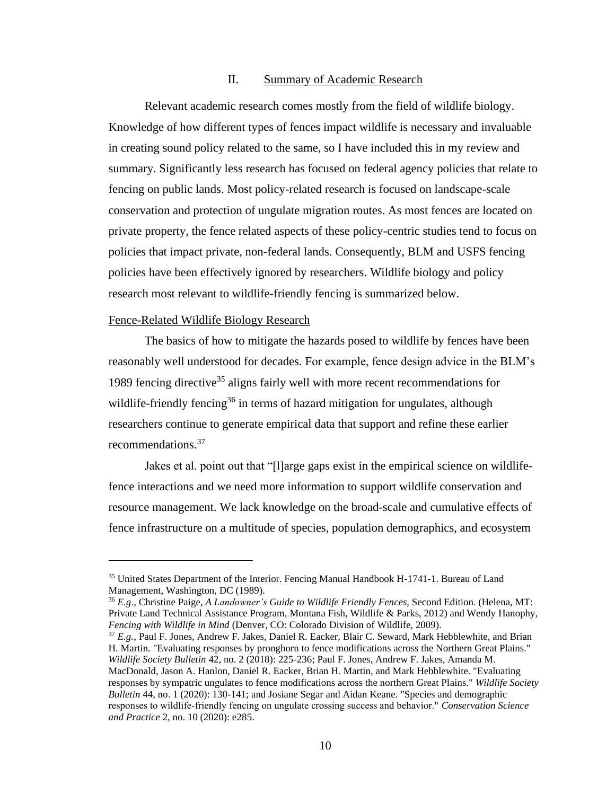#### II. Summary of Academic Research

Relevant academic research comes mostly from the field of wildlife biology. Knowledge of how different types of fences impact wildlife is necessary and invaluable in creating sound policy related to the same, so I have included this in my review and summary. Significantly less research has focused on federal agency policies that relate to fencing on public lands. Most policy-related research is focused on landscape-scale conservation and protection of ungulate migration routes. As most fences are located on private property, the fence related aspects of these policy-centric studies tend to focus on policies that impact private, non-federal lands. Consequently, BLM and USFS fencing policies have been effectively ignored by researchers. Wildlife biology and policy research most relevant to wildlife-friendly fencing is summarized below.

#### <span id="page-17-0"></span>Fence-Related Wildlife Biology Research

The basics of how to mitigate the hazards posed to wildlife by fences have been reasonably well understood for decades. For example, fence design advice in the BLM's 1989 fencing directive<sup>35</sup> aligns fairly well with more recent recommendations for wildlife-friendly fencing<sup>36</sup> in terms of hazard mitigation for ungulates, although researchers continue to generate empirical data that support and refine these earlier recommendations.<sup>37</sup>

Jakes et al. point out that "[l]arge gaps exist in the empirical science on wildlifefence interactions and we need more information to support wildlife conservation and resource management. We lack knowledge on the broad-scale and cumulative effects of fence infrastructure on a multitude of species, population demographics, and ecosystem

<sup>&</sup>lt;sup>35</sup> United States Department of the Interior. Fencing Manual Handbook H-1741-1. Bureau of Land Management, Washington, DC (1989).

<sup>36</sup> *E.g*., Christine Paige, *A Landowner's Guide to Wildlife Friendly Fences*, Second Edition. (Helena, MT: Private Land Technical Assistance Program, Montana Fish, Wildlife & Parks, 2012) and Wendy Hanophy, *Fencing with Wildlife in Mind* (Denver, CO: Colorado Division of Wildlife, 2009).

<sup>37</sup> *E.g.*, Paul F. Jones, Andrew F. Jakes, Daniel R. Eacker, Blair C. Seward, Mark Hebblewhite, and Brian H. Martin. "Evaluating responses by pronghorn to fence modifications across the Northern Great Plains." *Wildlife Society Bulletin* 42, no. 2 (2018): 225-236; Paul F. Jones, Andrew F. Jakes, Amanda M. MacDonald, Jason A. Hanlon, Daniel R. Eacker, Brian H. Martin, and Mark Hebblewhite. "Evaluating responses by sympatric ungulates to fence modifications across the northern Great Plains." *Wildlife Society Bulletin* 44, no. 1 (2020): 130-141; and Josiane Segar and Aidan Keane. "Species and demographic responses to wildlife‐friendly fencing on ungulate crossing success and behavior." *Conservation Science and Practice* 2, no. 10 (2020): e285.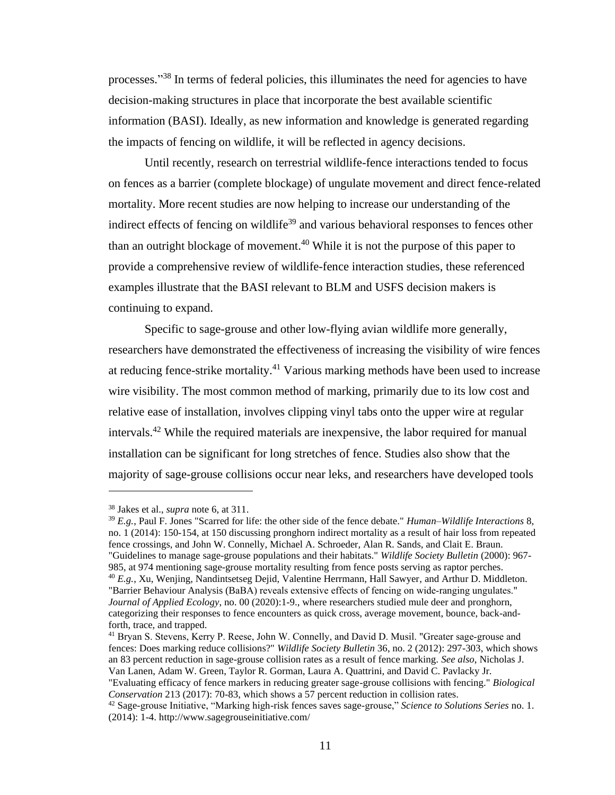processes."<sup>38</sup> In terms of federal policies, this illuminates the need for agencies to have decision-making structures in place that incorporate the best available scientific information (BASI). Ideally, as new information and knowledge is generated regarding the impacts of fencing on wildlife, it will be reflected in agency decisions.

Until recently, research on terrestrial wildlife-fence interactions tended to focus on fences as a barrier (complete blockage) of ungulate movement and direct fence-related mortality. More recent studies are now helping to increase our understanding of the indirect effects of fencing on wildlife<sup>39</sup> and various behavioral responses to fences other than an outright blockage of movement.<sup>40</sup> While it is not the purpose of this paper to provide a comprehensive review of wildlife-fence interaction studies, these referenced examples illustrate that the BASI relevant to BLM and USFS decision makers is continuing to expand.

Specific to sage-grouse and other low-flying avian wildlife more generally, researchers have demonstrated the effectiveness of increasing the visibility of wire fences at reducing fence-strike mortality.<sup>41</sup> Various marking methods have been used to increase wire visibility. The most common method of marking, primarily due to its low cost and relative ease of installation, involves clipping vinyl tabs onto the upper wire at regular intervals.<sup>42</sup> While the required materials are inexpensive, the labor required for manual installation can be significant for long stretches of fence. Studies also show that the majority of sage-grouse collisions occur near leks, and researchers have developed tools

<sup>38</sup> Jakes et al., *supra* note 6, at 311.

<sup>39</sup> *E.g.*, Paul F. Jones "Scarred for life: the other side of the fence debate." *Human–Wildlife Interactions* 8, no. 1 (2014): 150-154, at 150 discussing pronghorn indirect mortality as a result of hair loss from repeated fence crossings, and John W. Connelly, Michael A. Schroeder, Alan R. Sands, and Clait E. Braun. "Guidelines to manage sage-grouse populations and their habitats." *Wildlife Society Bulletin* (2000): 967- 985, at 974 mentioning sage-grouse mortality resulting from fence posts serving as raptor perches. <sup>40</sup> *E.g.*, Xu, Wenjing, Nandintsetseg Dejid, Valentine Herrmann, Hall Sawyer, and Arthur D. Middleton. "Barrier Behaviour Analysis (BaBA) reveals extensive effects of fencing on wide-ranging ungulates." *Journal of Applied Ecology*, no. 00 (2020):1-9., where researchers studied mule deer and pronghorn, categorizing their responses to fence encounters as quick cross, average movement, bounce, back-andforth, trace, and trapped.

<sup>41</sup> Bryan S. Stevens, Kerry P. Reese, John W. Connelly, and David D. Musil. "Greater sage‐grouse and fences: Does marking reduce collisions?" *Wildlife Society Bulletin* 36, no. 2 (2012): 297-303, which shows an 83 percent reduction in sage-grouse collision rates as a result of fence marking. *See also*, Nicholas J. Van Lanen, Adam W. Green, Taylor R. Gorman, Laura A. Quattrini, and David C. Pavlacky Jr.

<sup>&</sup>quot;Evaluating efficacy of fence markers in reducing greater sage-grouse collisions with fencing." *Biological Conservation* 213 (2017): 70-83, which shows a 57 percent reduction in collision rates.

<sup>42</sup> Sage-grouse Initiative, "Marking high-risk fences saves sage-grouse," *Science to Solutions Series* no. 1. (2014): 1-4. http://www.sagegrouseinitiative.com/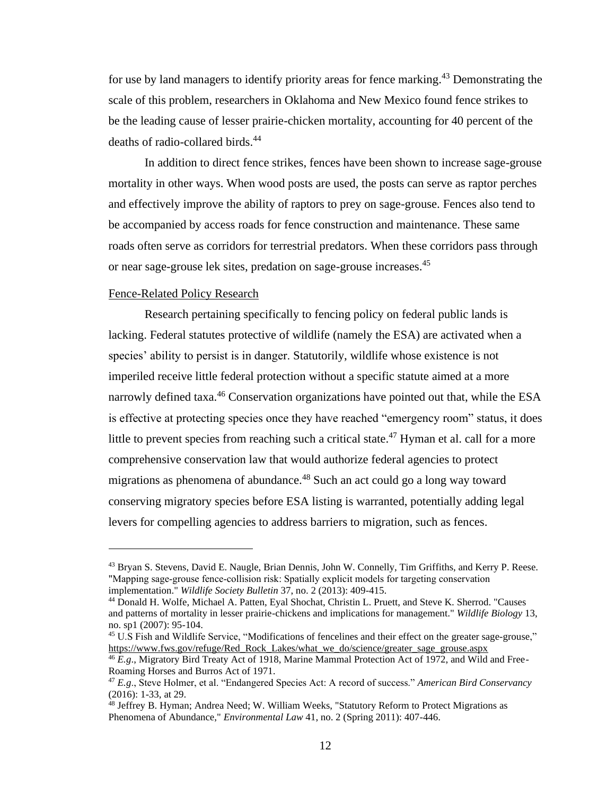for use by land managers to identify priority areas for fence marking.<sup>43</sup> Demonstrating the scale of this problem, researchers in Oklahoma and New Mexico found fence strikes to be the leading cause of lesser prairie-chicken mortality, accounting for 40 percent of the deaths of radio-collared birds.<sup>44</sup>

In addition to direct fence strikes, fences have been shown to increase sage-grouse mortality in other ways. When wood posts are used, the posts can serve as raptor perches and effectively improve the ability of raptors to prey on sage-grouse. Fences also tend to be accompanied by access roads for fence construction and maintenance. These same roads often serve as corridors for terrestrial predators. When these corridors pass through or near sage-grouse lek sites, predation on sage-grouse increases. 45

#### <span id="page-19-0"></span>Fence-Related Policy Research

Research pertaining specifically to fencing policy on federal public lands is lacking. Federal statutes protective of wildlife (namely the ESA) are activated when a species' ability to persist is in danger. Statutorily, wildlife whose existence is not imperiled receive little federal protection without a specific statute aimed at a more narrowly defined taxa.<sup>46</sup> Conservation organizations have pointed out that, while the ESA is effective at protecting species once they have reached "emergency room" status, it does little to prevent species from reaching such a critical state.<sup>47</sup> Hyman et al. call for a more comprehensive conservation law that would authorize federal agencies to protect migrations as phenomena of abundance.<sup>48</sup> Such an act could go a long way toward conserving migratory species before ESA listing is warranted, potentially adding legal levers for compelling agencies to address barriers to migration, such as fences.

<sup>&</sup>lt;sup>43</sup> Bryan S. Stevens, David E. Naugle, Brian Dennis, John W. Connelly, Tim Griffiths, and Kerry P. Reese. "Mapping sage‐grouse fence‐collision risk: Spatially explicit models for targeting conservation implementation." *Wildlife Society Bulletin* 37, no. 2 (2013): 409-415.

<sup>44</sup> Donald H. Wolfe, Michael A. Patten, Eyal Shochat, Christin L. Pruett, and Steve K. Sherrod. "Causes and patterns of mortality in lesser prairie-chickens and implications for management." *Wildlife Biology* 13, no. sp1 (2007): 95-104.

<sup>45</sup> U.S Fish and Wildlife Service, "Modifications of fencelines and their effect on the greater sage-grouse," [https://www.fws.gov/refuge/Red\\_Rock\\_Lakes/what\\_we\\_do/science/greater\\_sage\\_grouse.aspx](https://www.fws.gov/refuge/Red_Rock_Lakes/what_we_do/science/greater_sage_grouse.aspx)

<sup>46</sup> *E.g*., Migratory Bird Treaty Act of 1918, Marine Mammal Protection Act of 1972, and Wild and Free-Roaming Horses and Burros Act of 1971.

<sup>47</sup> *E.g*., Steve Holmer, et al. "Endangered Species Act: A record of success." *American Bird Conservancy* (2016): 1-33, at 29.

<sup>&</sup>lt;sup>48</sup> Jeffrey B. Hyman; Andrea Need; W. William Weeks, "Statutory Reform to Protect Migrations as Phenomena of Abundance," *Environmental Law* 41, no. 2 (Spring 2011): 407-446.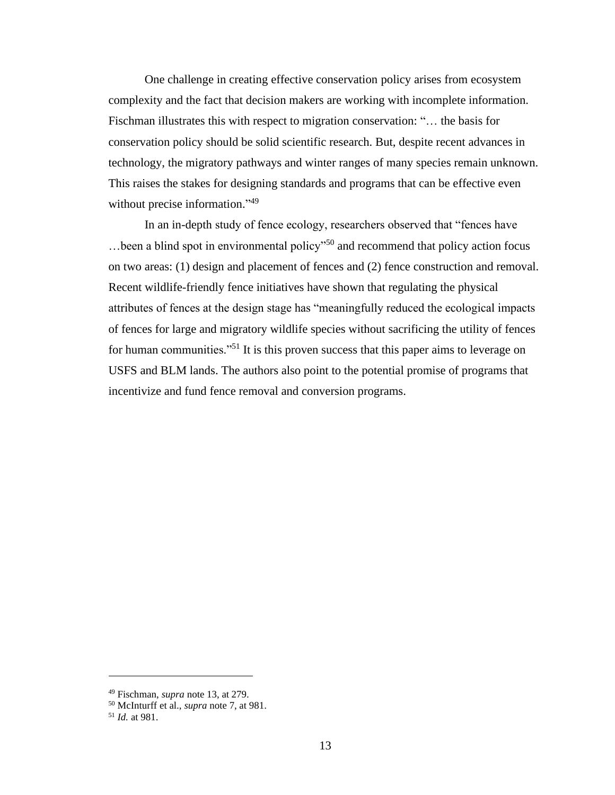One challenge in creating effective conservation policy arises from ecosystem complexity and the fact that decision makers are working with incomplete information. Fischman illustrates this with respect to migration conservation: "… the basis for conservation policy should be solid scientific research. But, despite recent advances in technology, the migratory pathways and winter ranges of many species remain unknown. This raises the stakes for designing standards and programs that can be effective even without precise information."<sup>49</sup>

<span id="page-20-0"></span>In an in-depth study of fence ecology, researchers observed that "fences have …been a blind spot in environmental policy"<sup>50</sup> and recommend that policy action focus on two areas: (1) design and placement of fences and (2) fence construction and removal. Recent wildlife-friendly fence initiatives have shown that regulating the physical attributes of fences at the design stage has "meaningfully reduced the ecological impacts of fences for large and migratory wildlife species without sacrificing the utility of fences for human communities."<sup>51</sup> It is this proven success that this paper aims to leverage on USFS and BLM lands. The authors also point to the potential promise of programs that incentivize and fund fence removal and conversion programs.

<sup>49</sup> Fischman, *supra* note 13, at 279.

<sup>50</sup> McInturff et al., *supra* note 7, at 981.

<sup>51</sup> *Id.* at 981.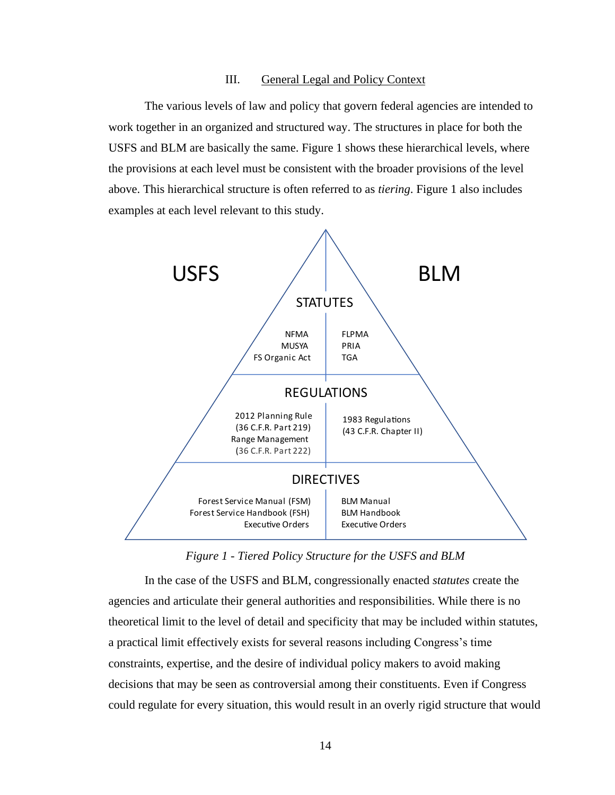#### III. General Legal and Policy Context

The various levels of law and policy that govern federal agencies are intended to work together in an organized and structured way. The structures in place for both the USFS and BLM are basically the same. Figure 1 shows these hierarchical levels, where the provisions at each level must be consistent with the broader provisions of the level above. This hierarchical structure is often referred to as *tiering*. Figure 1 also includes examples at each level relevant to this study.



*Figure 1 - Tiered Policy Structure for the USFS and BLM*

In the case of the USFS and BLM, congressionally enacted *statutes* create the agencies and articulate their general authorities and responsibilities. While there is no theoretical limit to the level of detail and specificity that may be included within statutes, a practical limit effectively exists for several reasons including Congress's time constraints, expertise, and the desire of individual policy makers to avoid making decisions that may be seen as controversial among their constituents. Even if Congress could regulate for every situation, this would result in an overly rigid structure that would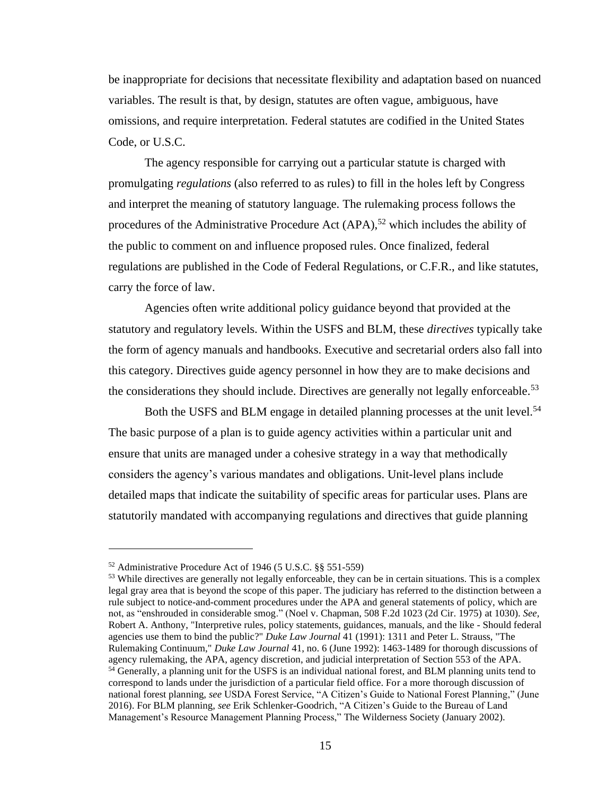be inappropriate for decisions that necessitate flexibility and adaptation based on nuanced variables. The result is that, by design, statutes are often vague, ambiguous, have omissions, and require interpretation. Federal statutes are codified in the United States Code, or U.S.C.

The agency responsible for carrying out a particular statute is charged with promulgating *regulations* (also referred to as rules) to fill in the holes left by Congress and interpret the meaning of statutory language. The rulemaking process follows the procedures of the Administrative Procedure Act  $(APA)$ ,<sup>52</sup> which includes the ability of the public to comment on and influence proposed rules. Once finalized, federal regulations are published in the Code of Federal Regulations, or C.F.R., and like statutes, carry the force of law.

Agencies often write additional policy guidance beyond that provided at the statutory and regulatory levels. Within the USFS and BLM, these *directives* typically take the form of agency manuals and handbooks. Executive and secretarial orders also fall into this category. Directives guide agency personnel in how they are to make decisions and the considerations they should include. Directives are generally not legally enforceable.<sup>53</sup>

Both the USFS and BLM engage in detailed planning processes at the unit level.<sup>54</sup> The basic purpose of a plan is to guide agency activities within a particular unit and ensure that units are managed under a cohesive strategy in a way that methodically considers the agency's various mandates and obligations. Unit-level plans include detailed maps that indicate the suitability of specific areas for particular uses. Plans are statutorily mandated with accompanying regulations and directives that guide planning

<sup>52</sup> Administrative Procedure Act of 1946 (5 U.S.C. §§ 551-559)

<sup>&</sup>lt;sup>53</sup> While directives are generally not legally enforceable, they can be in certain situations. This is a complex legal gray area that is beyond the scope of this paper. The judiciary has referred to the distinction between a rule subject to notice-and-comment procedures under the APA and general statements of policy, which are not, as "enshrouded in considerable smog." (Noel v. Chapman, 508 F.2d 1023 (2d Cir. 1975) at 1030). *See,* Robert A. Anthony, "Interpretive rules, policy statements, guidances, manuals, and the like - Should federal agencies use them to bind the public?" *Duke Law Journal* 41 (1991): 1311 and Peter L. Strauss, "The Rulemaking Continuum," *Duke Law Journal* 41, no. 6 (June 1992): 1463-1489 for thorough discussions of agency rulemaking, the APA, agency discretion, and judicial interpretation of Section 553 of the APA. <sup>54</sup> Generally, a planning unit for the USFS is an individual national forest, and BLM planning units tend to correspond to lands under the jurisdiction of a particular field office. For a more thorough discussion of national forest planning, *see* USDA Forest Service, "A Citizen's Guide to National Forest Planning," (June 2016). For BLM planning, *see* Erik Schlenker-Goodrich, "A Citizen's Guide to the Bureau of Land Management's Resource Management Planning Process," The Wilderness Society (January 2002).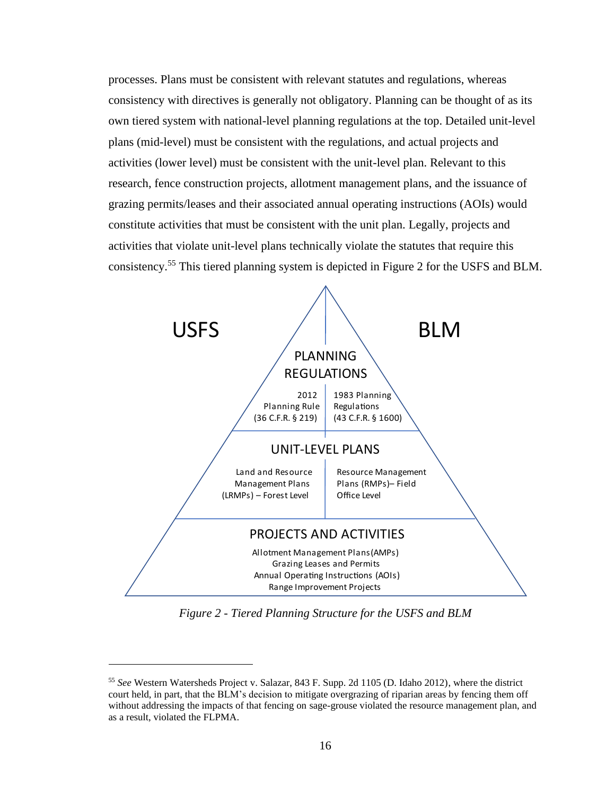processes. Plans must be consistent with relevant statutes and regulations, whereas consistency with directives is generally not obligatory. Planning can be thought of as its own tiered system with national-level planning regulations at the top. Detailed unit-level plans (mid-level) must be consistent with the regulations, and actual projects and activities (lower level) must be consistent with the unit-level plan. Relevant to this research, fence construction projects, allotment management plans, and the issuance of grazing permits/leases and their associated annual operating instructions (AOIs) would constitute activities that must be consistent with the unit plan. Legally, projects and activities that violate unit-level plans technically violate the statutes that require this consistency.<sup>55</sup> This tiered planning system is depicted in Figure 2 for the USFS and BLM.



*Figure 2 - Tiered Planning Structure for the USFS and BLM*

<sup>55</sup> *See* Western Watersheds Project v. Salazar, 843 F. Supp. 2d 1105 (D. Idaho 2012), where the district court held, in part, that the BLM's decision to mitigate overgrazing of riparian areas by fencing them off without addressing the impacts of that fencing on sage-grouse violated the resource management plan, and as a result, violated the FLPMA.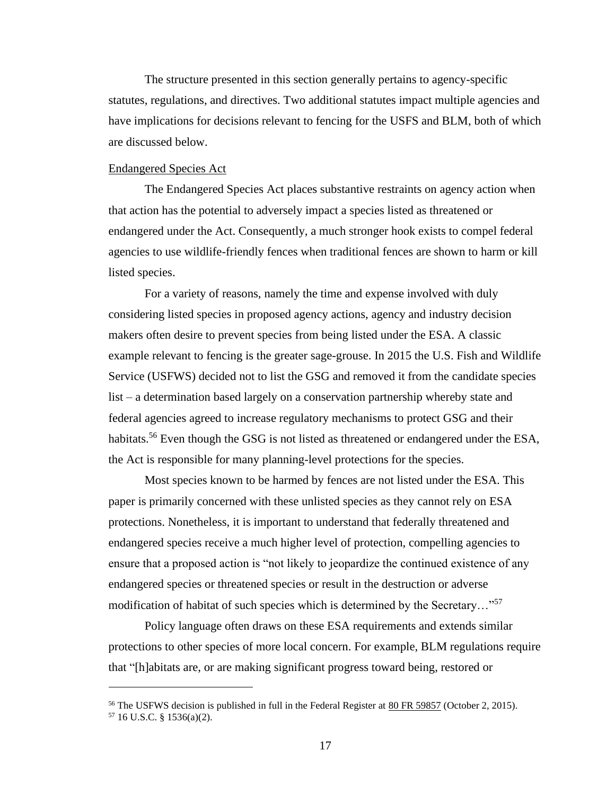The structure presented in this section generally pertains to agency-specific statutes, regulations, and directives. Two additional statutes impact multiple agencies and have implications for decisions relevant to fencing for the USFS and BLM, both of which are discussed below.

#### <span id="page-24-0"></span>Endangered Species Act

The Endangered Species Act places substantive restraints on agency action when that action has the potential to adversely impact a species listed as threatened or endangered under the Act. Consequently, a much stronger hook exists to compel federal agencies to use wildlife-friendly fences when traditional fences are shown to harm or kill listed species.

For a variety of reasons, namely the time and expense involved with duly considering listed species in proposed agency actions, agency and industry decision makers often desire to prevent species from being listed under the ESA. A classic example relevant to fencing is the greater sage-grouse. In 2015 the U.S. Fish and Wildlife Service (USFWS) decided not to list the GSG and removed it from the candidate species list – a determination based largely on a conservation partnership whereby state and federal agencies agreed to increase regulatory mechanisms to protect GSG and their habitats.<sup>56</sup> Even though the GSG is not listed as threatened or endangered under the ESA, the Act is responsible for many planning-level protections for the species.

Most species known to be harmed by fences are not listed under the ESA. This paper is primarily concerned with these unlisted species as they cannot rely on ESA protections. Nonetheless, it is important to understand that federally threatened and endangered species receive a much higher level of protection, compelling agencies to ensure that a proposed action is "not likely to jeopardize the continued existence of any endangered species or threatened species or result in the destruction or adverse modification of habitat of such species which is determined by the Secretary…"<sup>57</sup>

Policy language often draws on these ESA requirements and extends similar protections to other species of more local concern. For example, BLM regulations require that "[h]abitats are, or are making significant progress toward being, restored or

<sup>&</sup>lt;sup>56</sup> The USFWS decision is published in full in the Federal Register at  $80$  FR 59857 (October 2, 2015).  $57$  16 U.S.C. § 1536(a)(2).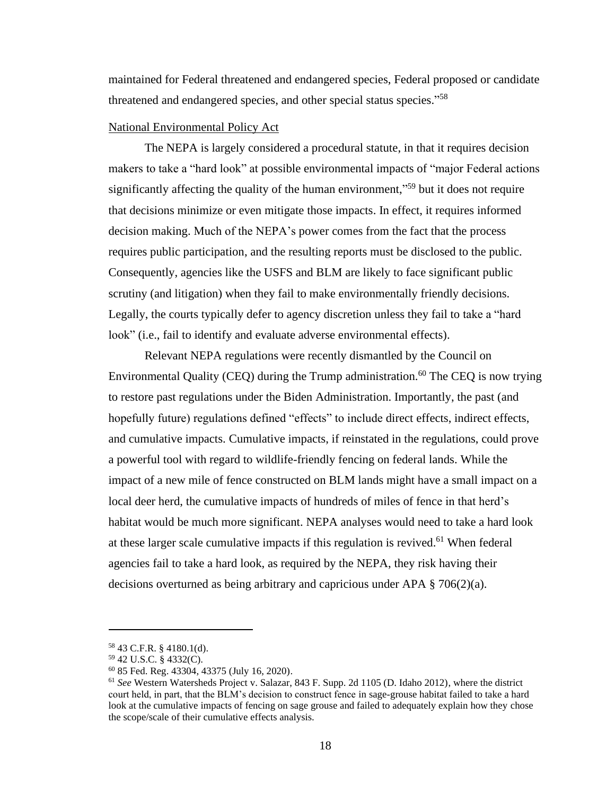maintained for Federal threatened and endangered species, Federal proposed or candidate threatened and endangered species, and other special status species."<sup>58</sup>

## <span id="page-25-0"></span>National Environmental Policy Act

The NEPA is largely considered a procedural statute, in that it requires decision makers to take a "hard look" at possible environmental impacts of "major Federal actions significantly affecting the quality of the human environment,"<sup>59</sup> but it does not require that decisions minimize or even mitigate those impacts. In effect, it requires informed decision making. Much of the NEPA's power comes from the fact that the process requires public participation, and the resulting reports must be disclosed to the public. Consequently, agencies like the USFS and BLM are likely to face significant public scrutiny (and litigation) when they fail to make environmentally friendly decisions. Legally, the courts typically defer to agency discretion unless they fail to take a "hard look" (i.e., fail to identify and evaluate adverse environmental effects).

Relevant NEPA regulations were recently dismantled by the Council on Environmental Quality (CEQ) during the Trump administration.<sup>60</sup> The CEQ is now trying to restore past regulations under the Biden Administration. Importantly, the past (and hopefully future) regulations defined "effects" to include direct effects, indirect effects, and cumulative impacts. Cumulative impacts, if reinstated in the regulations, could prove a powerful tool with regard to wildlife-friendly fencing on federal lands. While the impact of a new mile of fence constructed on BLM lands might have a small impact on a local deer herd, the cumulative impacts of hundreds of miles of fence in that herd's habitat would be much more significant. NEPA analyses would need to take a hard look at these larger scale cumulative impacts if this regulation is revived.<sup>61</sup> When federal agencies fail to take a hard look, as required by the NEPA, they risk having their decisions overturned as being arbitrary and capricious under APA § 706(2)(a).

<sup>58</sup> 43 C.F.R. § 4180.1(d).

<sup>59</sup> 42 U.S.C. § 4332(C).

<sup>60</sup> 85 Fed. Reg. 43304, 43375 (July 16, 2020).

<sup>61</sup> *See* Western Watersheds Project v. Salazar, 843 F. Supp. 2d 1105 (D. Idaho 2012), where the district court held, in part, that the BLM's decision to construct fence in sage-grouse habitat failed to take a hard look at the cumulative impacts of fencing on sage grouse and failed to adequately explain how they chose the scope/scale of their cumulative effects analysis.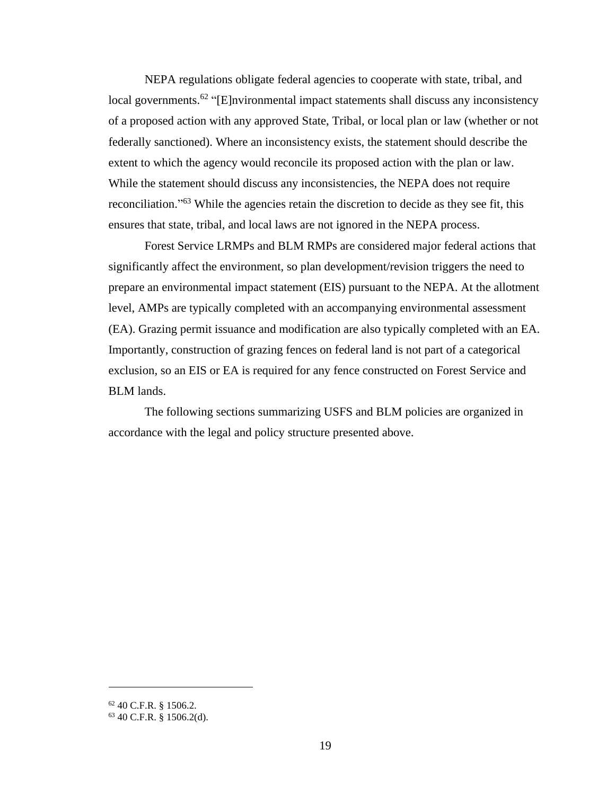NEPA regulations obligate federal agencies to cooperate with state, tribal, and local governments.<sup>62</sup> "[E]nvironmental impact statements shall discuss any inconsistency of a proposed action with any approved State, Tribal, or local plan or law (whether or not federally sanctioned). Where an inconsistency exists, the statement should describe the extent to which the agency would reconcile its proposed action with the plan or law. While the statement should discuss any inconsistencies, the NEPA does not require reconciliation."<sup>63</sup> While the agencies retain the discretion to decide as they see fit, this ensures that state, tribal, and local laws are not ignored in the NEPA process.

Forest Service LRMPs and BLM RMPs are considered major federal actions that significantly affect the environment, so plan development/revision triggers the need to prepare an environmental impact statement (EIS) pursuant to the NEPA. At the allotment level, AMPs are typically completed with an accompanying environmental assessment (EA). Grazing permit issuance and modification are also typically completed with an EA. Importantly, construction of grazing fences on federal land is not part of a categorical exclusion, so an EIS or EA is required for any fence constructed on Forest Service and BLM lands.

<span id="page-26-0"></span>The following sections summarizing USFS and BLM policies are organized in accordance with the legal and policy structure presented above.

<sup>62</sup> 40 C.F.R. § 1506.2.

<sup>63</sup> 40 C.F.R. § 1506.2(d).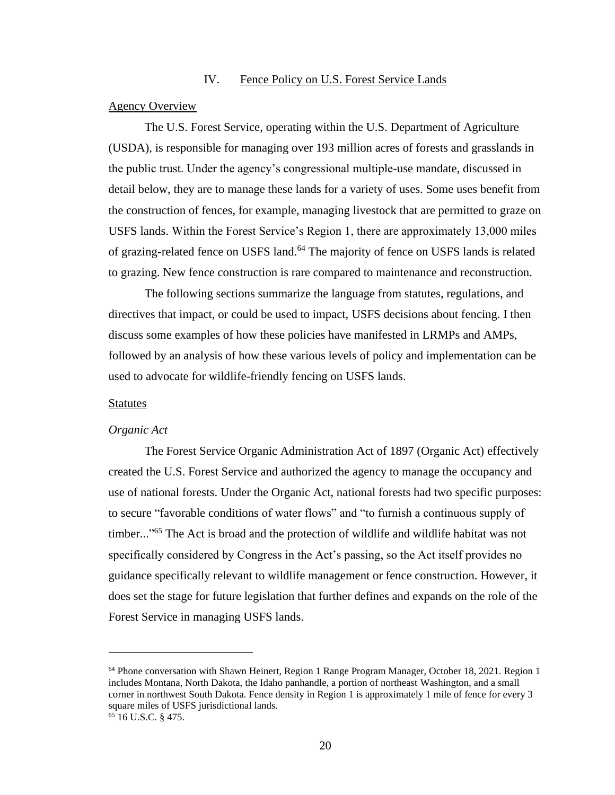## IV. Fence Policy on U.S. Forest Service Lands

#### <span id="page-27-0"></span>Agency Overview

The U.S. Forest Service, operating within the U.S. Department of Agriculture (USDA), is responsible for managing over 193 million acres of forests and grasslands in the public trust. Under the agency's congressional multiple-use mandate, discussed in detail below, they are to manage these lands for a variety of uses. Some uses benefit from the construction of fences, for example, managing livestock that are permitted to graze on USFS lands. Within the Forest Service's Region 1, there are approximately 13,000 miles of grazing-related fence on USFS land.<sup>64</sup> The majority of fence on USFS lands is related to grazing. New fence construction is rare compared to maintenance and reconstruction.

The following sections summarize the language from statutes, regulations, and directives that impact, or could be used to impact, USFS decisions about fencing. I then discuss some examples of how these policies have manifested in LRMPs and AMPs, followed by an analysis of how these various levels of policy and implementation can be used to advocate for wildlife-friendly fencing on USFS lands.

#### <span id="page-27-1"></span>Statutes

#### <span id="page-27-2"></span>*Organic Act*

The Forest Service Organic Administration Act of 1897 (Organic Act) effectively created the U.S. Forest Service and authorized the agency to manage the occupancy and use of national forests. Under the Organic Act, national forests had two specific purposes: to secure "favorable conditions of water flows" and "to furnish a continuous supply of timber..."<sup>65</sup> The Act is broad and the protection of wildlife and wildlife habitat was not specifically considered by Congress in the Act's passing, so the Act itself provides no guidance specifically relevant to wildlife management or fence construction. However, it does set the stage for future legislation that further defines and expands on the role of the Forest Service in managing USFS lands.

<sup>64</sup> Phone conversation with Shawn Heinert, Region 1 Range Program Manager, October 18, 2021. Region 1 includes Montana, North Dakota, the Idaho panhandle, a portion of northeast Washington, and a small corner in northwest South Dakota. Fence density in Region 1 is approximately 1 mile of fence for every 3 square miles of USFS jurisdictional lands.

 $65$  16 U.S.C. § 475.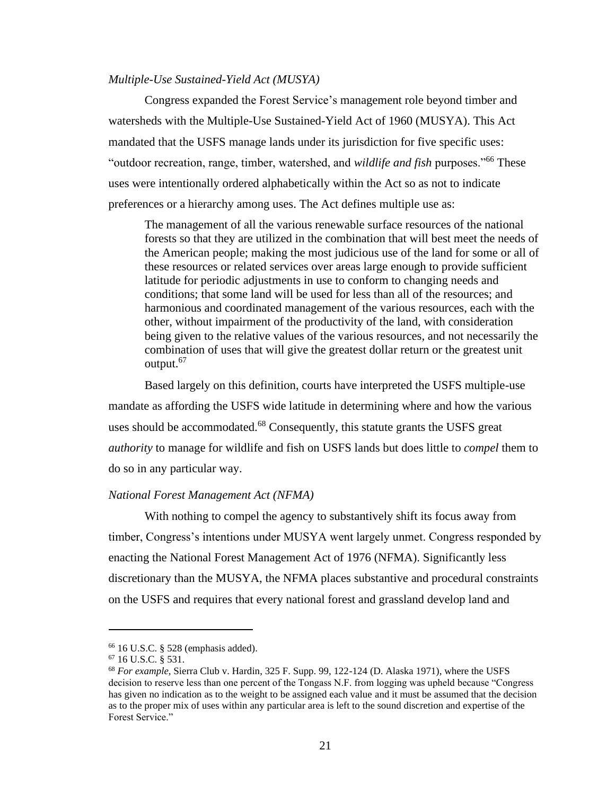#### <span id="page-28-0"></span>*Multiple-Use Sustained-Yield Act (MUSYA)*

Congress expanded the Forest Service's management role beyond timber and watersheds with the Multiple-Use Sustained-Yield Act of 1960 (MUSYA). This Act mandated that the USFS manage lands under its jurisdiction for five specific uses: "outdoor recreation, range, timber, watershed, and *wildlife and fish* purposes."<sup>66</sup> These uses were intentionally ordered alphabetically within the Act so as not to indicate preferences or a hierarchy among uses. The Act defines multiple use as:

The management of all the various renewable surface resources of the national forests so that they are utilized in the combination that will best meet the needs of the American people; making the most judicious use of the land for some or all of these resources or related services over areas large enough to provide sufficient latitude for periodic adjustments in use to conform to changing needs and conditions; that some land will be used for less than all of the resources; and harmonious and coordinated management of the various resources, each with the other, without impairment of the productivity of the land, with consideration being given to the relative values of the various resources, and not necessarily the combination of uses that will give the greatest dollar return or the greatest unit output.<sup>67</sup>

Based largely on this definition, courts have interpreted the USFS multiple-use mandate as affording the USFS wide latitude in determining where and how the various uses should be accommodated.<sup>68</sup> Consequently, this statute grants the USFS great *authority* to manage for wildlife and fish on USFS lands but does little to *compel* them to do so in any particular way.

#### <span id="page-28-1"></span>*National Forest Management Act (NFMA)*

With nothing to compel the agency to substantively shift its focus away from timber, Congress's intentions under MUSYA went largely unmet. Congress responded by enacting the National Forest Management Act of 1976 (NFMA). Significantly less discretionary than the MUSYA, the NFMA places substantive and procedural constraints on the USFS and requires that every national forest and grassland develop land and

 $66$  16 U.S.C. § 528 (emphasis added).

<sup>67</sup> 16 U.S.C. § 531.

<sup>68</sup> *For example*, Sierra Club v. Hardin, 325 F. Supp. 99, 122-124 (D. Alaska 1971), where the USFS decision to reserve less than one percent of the Tongass N.F. from logging was upheld because "Congress has given no indication as to the weight to be assigned each value and it must be assumed that the decision as to the proper mix of uses within any particular area is left to the sound discretion and expertise of the Forest Service."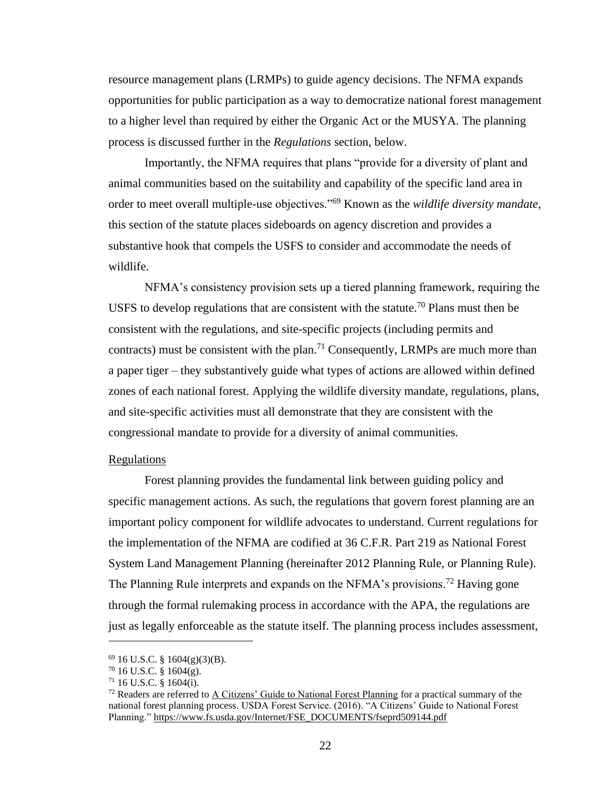resource management plans (LRMPs) to guide agency decisions. The NFMA expands opportunities for public participation as a way to democratize national forest management to a higher level than required by either the Organic Act or the MUSYA. The planning process is discussed further in the *Regulations* section, below.

Importantly, the NFMA requires that plans "provide for a diversity of plant and animal communities based on the suitability and capability of the specific land area in order to meet overall multiple-use objectives."<sup>69</sup> Known as the *wildlife diversity mandate*, this section of the statute places sideboards on agency discretion and provides a substantive hook that compels the USFS to consider and accommodate the needs of wildlife.

NFMA's consistency provision sets up a tiered planning framework, requiring the USFS to develop regulations that are consistent with the statute.<sup>70</sup> Plans must then be consistent with the regulations, and site-specific projects (including permits and contracts) must be consistent with the plan.<sup>71</sup> Consequently, LRMPs are much more than a paper tiger – they substantively guide what types of actions are allowed within defined zones of each national forest. Applying the wildlife diversity mandate, regulations, plans, and site-specific activities must all demonstrate that they are consistent with the congressional mandate to provide for a diversity of animal communities.

#### <span id="page-29-0"></span>Regulations

Forest planning provides the fundamental link between guiding policy and specific management actions. As such, the regulations that govern forest planning are an important policy component for wildlife advocates to understand. Current regulations for the implementation of the NFMA are codified at 36 C.F.R. Part 219 as National Forest System Land Management Planning (hereinafter 2012 Planning Rule, or Planning Rule). The Planning Rule interprets and expands on the NFMA's provisions.<sup>72</sup> Having gone through the formal rulemaking process in accordance with the APA, the regulations are just as legally enforceable as the statute itself. The planning process includes assessment,

 $69$  16 U.S.C. § 1604(g)(3)(B).

 $70$  16 U.S.C. § 1604(g).

 $71$  16 U.S.C. § 1604(i).

 $72$  Readers are referred to [A Citizens' Guide to National Forest Planning](https://www.fs.usda.gov/Internet/FSE_DOCUMENTS/fseprd509144.pdf) for a practical summary of the national forest planning process. USDA Forest Service. (2016). "A Citizens' Guide to National Forest Planning." [https://www.fs.usda.gov/Internet/FSE\\_DOCUMENTS/fseprd509144.pdf](https://www.fs.usda.gov/Internet/FSE_DOCUMENTS/fseprd509144.pdf)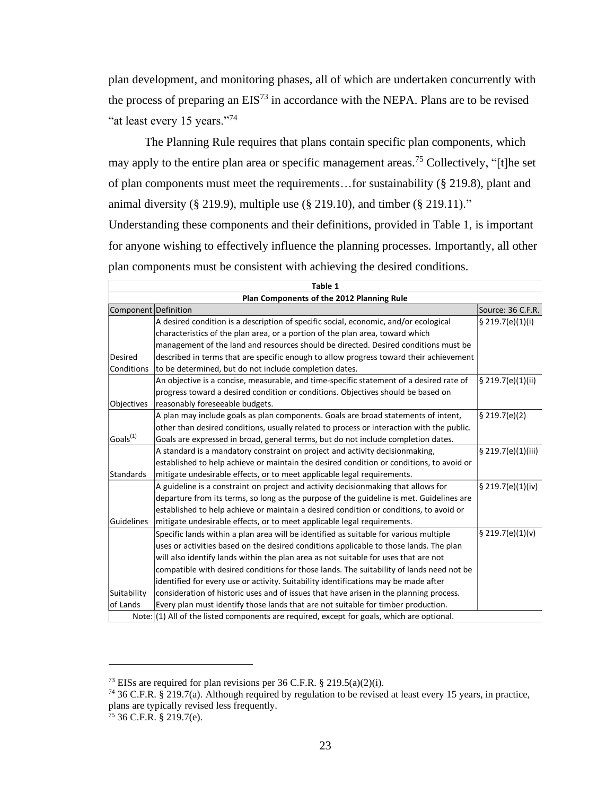plan development, and monitoring phases, all of which are undertaken concurrently with the process of preparing an  $EIS<sup>73</sup>$  in accordance with the NEPA. Plans are to be revised "at least every 15 years."<sup>74</sup>

The Planning Rule requires that plans contain specific plan components, which may apply to the entire plan area or specific management areas.<sup>75</sup> Collectively, "[t]he set of plan components must meet the requirements…for sustainability (§ 219.8), plant and animal diversity (§ 219.9), multiple use (§ 219.10), and timber (§ 219.11)." Understanding these components and their definitions, provided in Table 1, is important for anyone wishing to effectively influence the planning processes. Importantly, all other plan components must be consistent with achieving the desired conditions.

| Table 1              |                                                                                            |                    |  |  |  |
|----------------------|--------------------------------------------------------------------------------------------|--------------------|--|--|--|
|                      | Plan Components of the 2012 Planning Rule                                                  |                    |  |  |  |
| Component Definition |                                                                                            | Source: 36 C.F.R.  |  |  |  |
|                      | A desired condition is a description of specific social, economic, and/or ecological       | \$219.7(e)(1)(i)   |  |  |  |
|                      | characteristics of the plan area, or a portion of the plan area, toward which              |                    |  |  |  |
|                      | management of the land and resources should be directed. Desired conditions must be        |                    |  |  |  |
| Desired              | described in terms that are specific enough to allow progress toward their achievement     |                    |  |  |  |
| Conditions           | to be determined, but do not include completion dates.                                     |                    |  |  |  |
|                      | An objective is a concise, measurable, and time-specific statement of a desired rate of    | § 219.7(e)(1)(ii)  |  |  |  |
|                      | progress toward a desired condition or conditions. Objectives should be based on           |                    |  |  |  |
| Objectives           | reasonably foreseeable budgets.                                                            |                    |  |  |  |
|                      | A plan may include goals as plan components. Goals are broad statements of intent,         | \$219.7(e)(2)      |  |  |  |
|                      | other than desired conditions, usually related to process or interaction with the public.  |                    |  |  |  |
| Goals <sup>(1)</sup> | Goals are expressed in broad, general terms, but do not include completion dates.          |                    |  |  |  |
|                      | A standard is a mandatory constraint on project and activity decisionmaking,               | § 219.7(e)(1)(iii) |  |  |  |
|                      | established to help achieve or maintain the desired condition or conditions, to avoid or   |                    |  |  |  |
| Standards            | mitigate undesirable effects, or to meet applicable legal requirements.                    |                    |  |  |  |
|                      | A guideline is a constraint on project and activity decisionmaking that allows for         | § 219.7(e)(1)(iv)  |  |  |  |
|                      | departure from its terms, so long as the purpose of the guideline is met. Guidelines are   |                    |  |  |  |
|                      | established to help achieve or maintain a desired condition or conditions, to avoid or     |                    |  |  |  |
| Guidelines           | mitigate undesirable effects, or to meet applicable legal requirements.                    |                    |  |  |  |
|                      | Specific lands within a plan area will be identified as suitable for various multiple      | § 219.7(e)(1)(v)   |  |  |  |
|                      | uses or activities based on the desired conditions applicable to those lands. The plan     |                    |  |  |  |
|                      | will also identify lands within the plan area as not suitable for uses that are not        |                    |  |  |  |
|                      | compatible with desired conditions for those lands. The suitability of lands need not be   |                    |  |  |  |
|                      | identified for every use or activity. Suitability identifications may be made after        |                    |  |  |  |
| Suitability          | consideration of historic uses and of issues that have arisen in the planning process.     |                    |  |  |  |
| of Lands             | Every plan must identify those lands that are not suitable for timber production.          |                    |  |  |  |
|                      | Note: (1) All of the listed components are required, except for goals, which are optional. |                    |  |  |  |

<sup>&</sup>lt;sup>73</sup> EISs are required for plan revisions per 36 C.F.R. § 219.5(a)(2)(i).

<sup>74</sup> 36 C.F.R. § 219.7(a). Although required by regulation to be revised at least every 15 years, in practice, plans are typically revised less frequently.

<sup>75</sup> 36 C.F.R. § 219.7(e).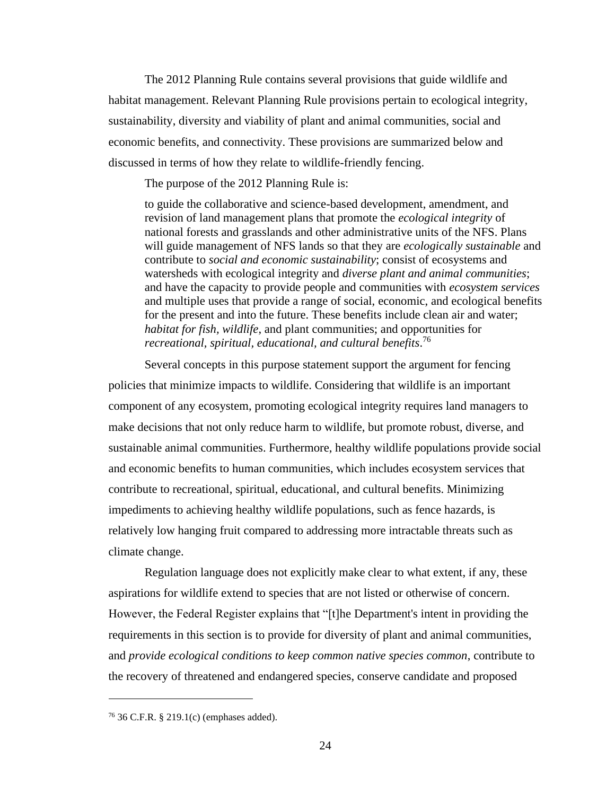The 2012 Planning Rule contains several provisions that guide wildlife and habitat management. Relevant Planning Rule provisions pertain to ecological integrity, sustainability, diversity and viability of plant and animal communities, social and economic benefits, and connectivity. These provisions are summarized below and discussed in terms of how they relate to wildlife-friendly fencing.

The purpose of the 2012 Planning Rule is:

to guide the collaborative and science-based development, amendment, and revision of land management plans that promote the *ecological integrity* of national forests and grasslands and other administrative units of the NFS. Plans will guide management of NFS lands so that they are *ecologically sustainable* and contribute to *social and economic sustainability*; consist of ecosystems and watersheds with ecological integrity and *diverse plant and animal communities*; and have the capacity to provide people and communities with *ecosystem services* and multiple uses that provide a range of social, economic, and ecological benefits for the present and into the future. These benefits include clean air and water; *habitat for fish, wildlife*, and plant communities; and opportunities for *recreational, spiritual, educational, and cultural benefits*. 76

Several concepts in this purpose statement support the argument for fencing policies that minimize impacts to wildlife. Considering that wildlife is an important component of any ecosystem, promoting ecological integrity requires land managers to make decisions that not only reduce harm to wildlife, but promote robust, diverse, and sustainable animal communities. Furthermore, healthy wildlife populations provide social and economic benefits to human communities, which includes ecosystem services that contribute to recreational, spiritual, educational, and cultural benefits. Minimizing impediments to achieving healthy wildlife populations, such as fence hazards, is relatively low hanging fruit compared to addressing more intractable threats such as climate change.

Regulation language does not explicitly make clear to what extent, if any, these aspirations for wildlife extend to species that are not listed or otherwise of concern. However, the Federal Register explains that "[t]he Department's intent in providing the requirements in this section is to provide for diversity of plant and animal communities, and *provide ecological conditions to keep common native species common*, contribute to the recovery of threatened and endangered species, conserve candidate and proposed

<sup>76</sup> 36 C.F.R. § 219.1(c) (emphases added).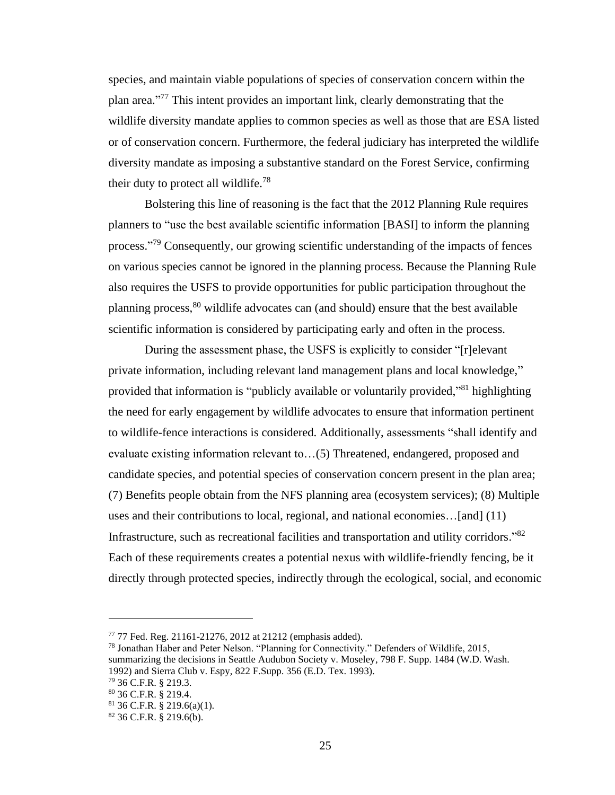species, and maintain viable populations of species of conservation concern within the plan area." <sup>77</sup> This intent provides an important link, clearly demonstrating that the wildlife diversity mandate applies to common species as well as those that are ESA listed or of conservation concern. Furthermore, the federal judiciary has interpreted the wildlife diversity mandate as imposing a substantive standard on the Forest Service, confirming their duty to protect all wildlife.<sup>78</sup>

Bolstering this line of reasoning is the fact that the 2012 Planning Rule requires planners to "use the best available scientific information [BASI] to inform the planning process."<sup>79</sup> Consequently, our growing scientific understanding of the impacts of fences on various species cannot be ignored in the planning process. Because the Planning Rule also requires the USFS to provide opportunities for public participation throughout the planning process,<sup>80</sup> wildlife advocates can (and should) ensure that the best available scientific information is considered by participating early and often in the process.

During the assessment phase, the USFS is explicitly to consider "[r]elevant private information, including relevant land management plans and local knowledge," provided that information is "publicly available or voluntarily provided,"<sup>81</sup> highlighting the need for early engagement by wildlife advocates to ensure that information pertinent to wildlife-fence interactions is considered. Additionally, assessments "shall identify and evaluate existing information relevant to…(5) Threatened, endangered, proposed and candidate species, and potential species of conservation concern present in the plan area; (7) Benefits people obtain from the NFS planning area (ecosystem services); (8) Multiple uses and their contributions to local, regional, and national economies…[and] (11) Infrastructure, such as recreational facilities and transportation and utility corridors."<sup>82</sup> Each of these requirements creates a potential nexus with wildlife-friendly fencing, be it directly through protected species, indirectly through the ecological, social, and economic

<sup>77</sup> 77 Fed. Reg. 21161-21276, 2012 at 21212 (emphasis added).

<sup>78</sup> Jonathan Haber and Peter Nelson. "Planning for Connectivity." Defenders of Wildlife, 2015, summarizing the decisions in Seattle Audubon Society v. Moseley, 798 F. Supp. 1484 (W.D. Wash. 1992) and Sierra Club v. Espy, 822 F.Supp. 356 (E.D. Tex. 1993).

<sup>79</sup> 36 C.F.R. § 219.3.

<sup>80</sup> 36 C.F.R. § 219.4.

<sup>81</sup> 36 C.F.R. § 219.6(a)(1).

<sup>82</sup> 36 C.F.R. § 219.6(b).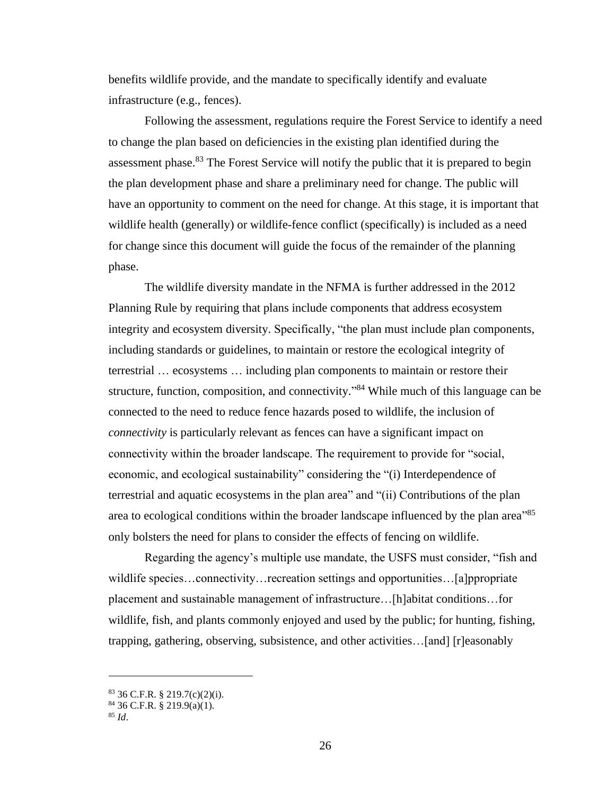benefits wildlife provide, and the mandate to specifically identify and evaluate infrastructure (e.g., fences).

Following the assessment, regulations require the Forest Service to identify a need to change the plan based on deficiencies in the existing plan identified during the assessment phase.<sup>83</sup> The Forest Service will notify the public that it is prepared to begin the plan development phase and share a preliminary need for change. The public will have an opportunity to comment on the need for change. At this stage, it is important that wildlife health (generally) or wildlife-fence conflict (specifically) is included as a need for change since this document will guide the focus of the remainder of the planning phase.

The wildlife diversity mandate in the NFMA is further addressed in the 2012 Planning Rule by requiring that plans include components that address ecosystem integrity and ecosystem diversity. Specifically, "the plan must include plan components, including standards or guidelines, to maintain or restore the ecological integrity of terrestrial … ecosystems … including plan components to maintain or restore their structure, function, composition, and connectivity."<sup>84</sup> While much of this language can be connected to the need to reduce fence hazards posed to wildlife, the inclusion of *connectivity* is particularly relevant as fences can have a significant impact on connectivity within the broader landscape. The requirement to provide for "social, economic, and ecological sustainability" considering the "(i) Interdependence of terrestrial and aquatic ecosystems in the plan area" and "(ii) Contributions of the plan area to ecological conditions within the broader landscape influenced by the plan area<sup>"85</sup> only bolsters the need for plans to consider the effects of fencing on wildlife.

Regarding the agency's multiple use mandate, the USFS must consider, "fish and wildlife species…connectivity…recreation settings and opportunities…[a]ppropriate placement and sustainable management of infrastructure…[h]abitat conditions…for wildlife, fish, and plants commonly enjoyed and used by the public; for hunting, fishing, trapping, gathering, observing, subsistence, and other activities…[and] [r]easonably

 $83$  36 C.F.R. § 219.7(c)(2)(i).

 $84$  36 C.F.R. § 219.9(a)(1).

<sup>85</sup> *Id*.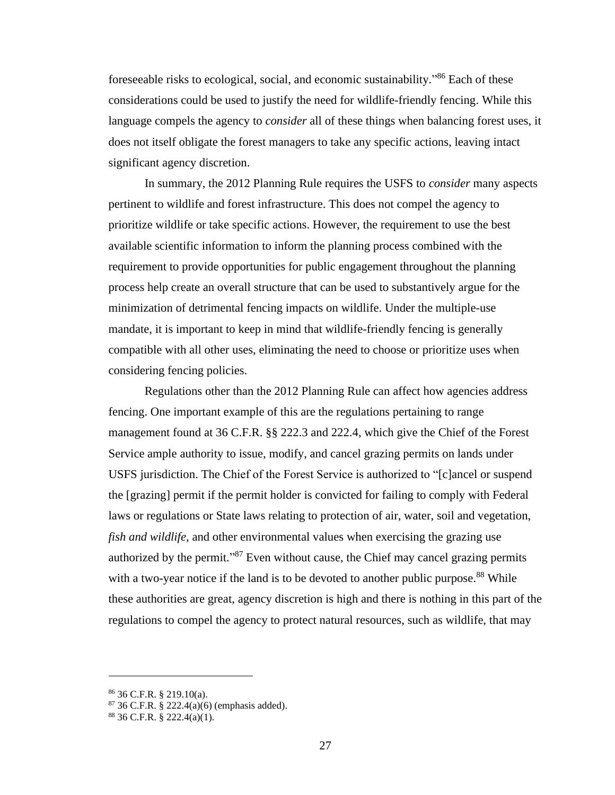foreseeable risks to ecological, social, and economic sustainability."<sup>86</sup> Each of these considerations could be used to justify the need for wildlife-friendly fencing. While this language compels the agency to *consider* all of these things when balancing forest uses, it does not itself obligate the forest managers to take any specific actions, leaving intact significant agency discretion.

In summary, the 2012 Planning Rule requires the USFS to *consider* many aspects pertinent to wildlife and forest infrastructure. This does not compel the agency to prioritize wildlife or take specific actions. However, the requirement to use the best available scientific information to inform the planning process combined with the requirement to provide opportunities for public engagement throughout the planning process help create an overall structure that can be used to substantively argue for the minimization of detrimental fencing impacts on wildlife. Under the multiple-use mandate, it is important to keep in mind that wildlife-friendly fencing is generally compatible with all other uses, eliminating the need to choose or prioritize uses when considering fencing policies.

Regulations other than the 2012 Planning Rule can affect how agencies address fencing. One important example of this are the regulations pertaining to range management found at 36 C.F.R. §§ 222.3 and 222.4, which give the Chief of the Forest Service ample authority to issue, modify, and cancel grazing permits on lands under USFS jurisdiction. The Chief of the Forest Service is authorized to "[c]ancel or suspend the [grazing] permit if the permit holder is convicted for failing to comply with Federal laws or regulations or State laws relating to protection of air, water, soil and vegetation, *fish and wildlife*, and other environmental values when exercising the grazing use authorized by the permit."<sup>87</sup> Even without cause, the Chief may cancel grazing permits with a two-year notice if the land is to be devoted to another public purpose.<sup>88</sup> While these authorities are great, agency discretion is high and there is nothing in this part of the regulations to compel the agency to protect natural resources, such as wildlife, that may

<sup>86</sup> 36 C.F.R. § 219.10(a).

 $87$  36 C.F.R. § 222.4(a)(6) (emphasis added).

 $8836$  C.F.R. § 222.4(a)(1).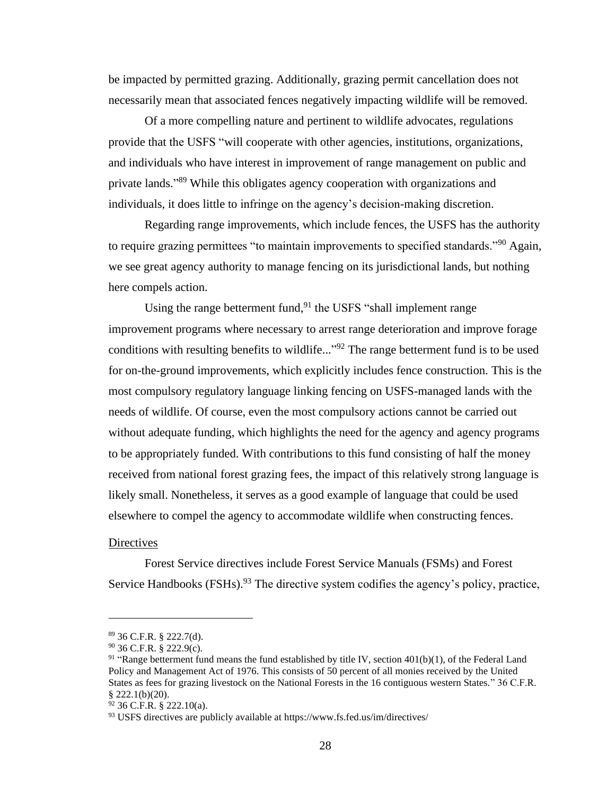be impacted by permitted grazing. Additionally, grazing permit cancellation does not necessarily mean that associated fences negatively impacting wildlife will be removed.

Of a more compelling nature and pertinent to wildlife advocates, regulations provide that the USFS "will cooperate with other agencies, institutions, organizations, and individuals who have interest in improvement of range management on public and private lands."<sup>89</sup> While this obligates agency cooperation with organizations and individuals, it does little to infringe on the agency's decision-making discretion.

Regarding range improvements, which include fences, the USFS has the authority to require grazing permittees "to maintain improvements to specified standards."<sup>90</sup> Again, we see great agency authority to manage fencing on its jurisdictional lands, but nothing here compels action.

Using the range betterment fund,  $91$  the USFS "shall implement range improvement programs where necessary to arrest range deterioration and improve forage conditions with resulting benefits to wildlife..."<sup>92</sup> The range betterment fund is to be used for on-the-ground improvements, which explicitly includes fence construction. This is the most compulsory regulatory language linking fencing on USFS-managed lands with the needs of wildlife. Of course, even the most compulsory actions cannot be carried out without adequate funding, which highlights the need for the agency and agency programs to be appropriately funded. With contributions to this fund consisting of half the money received from national forest grazing fees, the impact of this relatively strong language is likely small. Nonetheless, it serves as a good example of language that could be used elsewhere to compel the agency to accommodate wildlife when constructing fences.

#### <span id="page-35-0"></span>**Directives**

Forest Service directives include Forest Service Manuals (FSMs) and Forest Service Handbooks (FSHs).<sup>93</sup> The directive system codifies the agency's policy, practice,

<sup>89</sup> 36 C.F.R. § 222.7(d).

 $90$  36 C.F.R. § 222.9(c).

<sup>&</sup>lt;sup>91</sup> "Range betterment fund means the fund established by title IV, section  $401(b)(1)$ , of the Federal Land Policy and Management Act of 1976. This consists of 50 percent of all monies received by the United States as fees for grazing livestock on the National Forests in the 16 contiguous western States." 36 C.F.R.  $$222.1(b)(20).$ 

 $92$  36 C.F.R. § 222.10(a).

<sup>93</sup> USFS directives are publicly available at https://www.fs.fed.us/im/directives/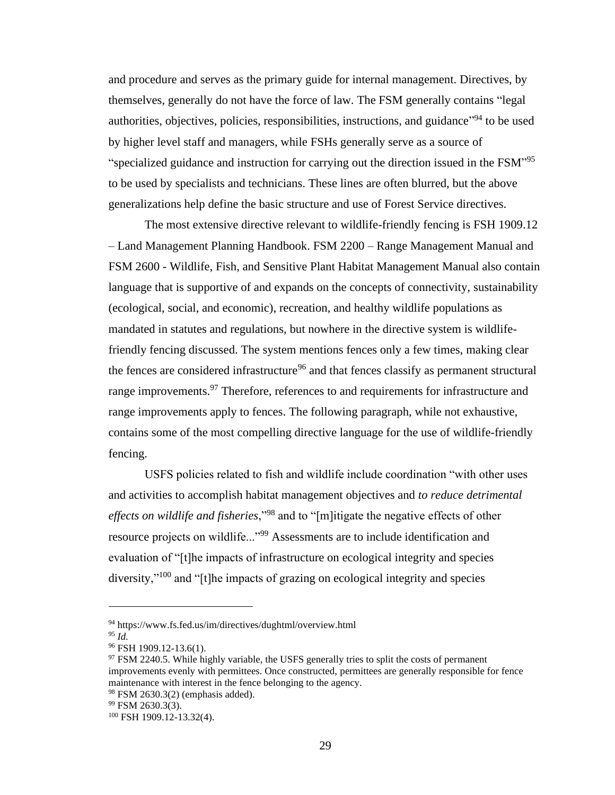and procedure and serves as the primary guide for internal management. Directives, by themselves, generally do not have the force of law. The FSM generally contains "legal authorities, objectives, policies, responsibilities, instructions, and guidance<sup>194</sup> to be used by higher level staff and managers, while FSHs generally serve as a source of "specialized guidance and instruction for carrying out the direction issued in the FSM"<sup>95</sup> to be used by specialists and technicians. These lines are often blurred, but the above generalizations help define the basic structure and use of Forest Service directives.

The most extensive directive relevant to wildlife-friendly fencing is FSH 1909.12 – Land Management Planning Handbook. FSM 2200 – Range Management Manual and FSM 2600 - Wildlife, Fish, and Sensitive Plant Habitat Management Manual also contain language that is supportive of and expands on the concepts of connectivity, sustainability (ecological, social, and economic), recreation, and healthy wildlife populations as mandated in statutes and regulations, but nowhere in the directive system is wildlifefriendly fencing discussed. The system mentions fences only a few times, making clear the fences are considered infrastructure<sup>96</sup> and that fences classify as permanent structural range improvements.<sup>97</sup> Therefore, references to and requirements for infrastructure and range improvements apply to fences. The following paragraph, while not exhaustive, contains some of the most compelling directive language for the use of wildlife-friendly fencing.

USFS policies related to fish and wildlife include coordination "with other uses and activities to accomplish habitat management objectives and *to reduce detrimental effects on wildlife and fisheries*,"<sup>98</sup> and to "[m]itigate the negative effects of other resource projects on wildlife..."<sup>99</sup> Assessments are to include identification and evaluation of "[t]he impacts of infrastructure on ecological integrity and species diversity,"<sup>100</sup> and "[t]he impacts of grazing on ecological integrity and species

<sup>94</sup> https://www.fs.fed.us/im/directives/dughtml/overview.html

<sup>95</sup> *Id.*

<sup>96</sup> FSH 1909.12-13.6(1).

<sup>&</sup>lt;sup>97</sup> FSM 2240.5. While highly variable, the USFS generally tries to split the costs of permanent improvements evenly with permittees. Once constructed, permittees are generally responsible for fence maintenance with interest in the fence belonging to the agency.

<sup>98</sup> FSM 2630.3(2) (emphasis added).

<sup>99</sup> FSM 2630.3(3).

<sup>100</sup> FSH 1909.12-13.32(4).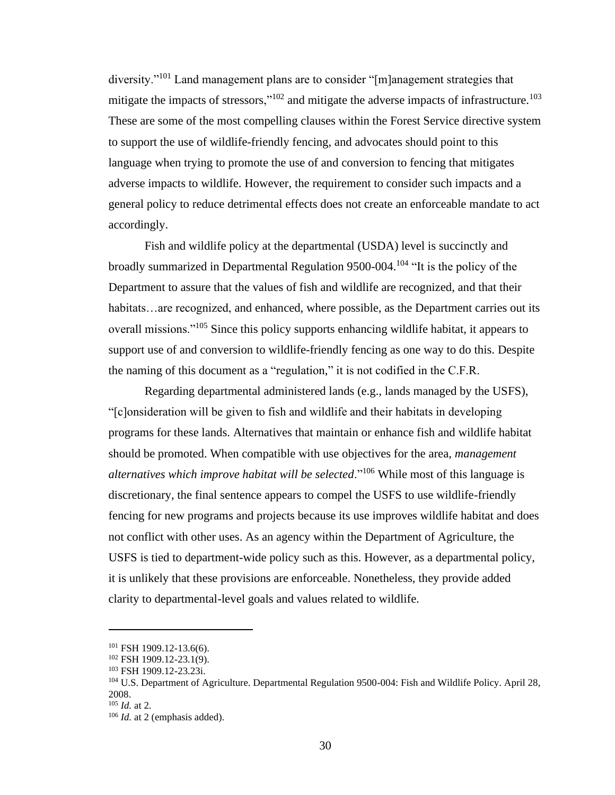diversity."<sup>101</sup> Land management plans are to consider "[m]anagement strategies that mitigate the impacts of stressors,"<sup>102</sup> and mitigate the adverse impacts of infrastructure.<sup>103</sup> These are some of the most compelling clauses within the Forest Service directive system to support the use of wildlife-friendly fencing, and advocates should point to this language when trying to promote the use of and conversion to fencing that mitigates adverse impacts to wildlife. However, the requirement to consider such impacts and a general policy to reduce detrimental effects does not create an enforceable mandate to act accordingly.

Fish and wildlife policy at the departmental (USDA) level is succinctly and broadly summarized in Departmental Regulation 9500-004.<sup>104</sup> "It is the policy of the Department to assure that the values of fish and wildlife are recognized, and that their habitats…are recognized, and enhanced, where possible, as the Department carries out its overall missions."<sup>105</sup> Since this policy supports enhancing wildlife habitat, it appears to support use of and conversion to wildlife-friendly fencing as one way to do this. Despite the naming of this document as a "regulation," it is not codified in the C.F.R.

Regarding departmental administered lands (e.g., lands managed by the USFS), "[c]onsideration will be given to fish and wildlife and their habitats in developing programs for these lands. Alternatives that maintain or enhance fish and wildlife habitat should be promoted. When compatible with use objectives for the area, *management alternatives which improve habitat will be selected*."<sup>106</sup> While most of this language is discretionary, the final sentence appears to compel the USFS to use wildlife-friendly fencing for new programs and projects because its use improves wildlife habitat and does not conflict with other uses. As an agency within the Department of Agriculture, the USFS is tied to department-wide policy such as this. However, as a departmental policy, it is unlikely that these provisions are enforceable. Nonetheless, they provide added clarity to departmental-level goals and values related to wildlife.

 $101$  FSH 1909.12-13.6(6).

<sup>102</sup> FSH 1909.12-23.1(9).

<sup>103</sup> FSH 1909.12-23.23i.

<sup>&</sup>lt;sup>104</sup> U.S. Department of Agriculture. Departmental Regulation 9500-004: Fish and Wildlife Policy. April 28, 2008.

<sup>105</sup> *Id.* at 2.

<sup>106</sup> *Id.* at 2 (emphasis added).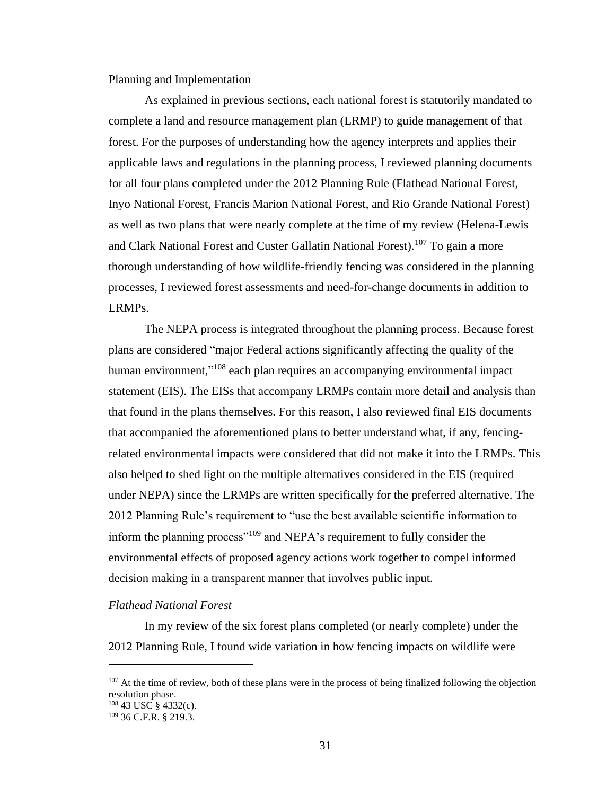#### Planning and Implementation

As explained in previous sections, each national forest is statutorily mandated to complete a land and resource management plan (LRMP) to guide management of that forest. For the purposes of understanding how the agency interprets and applies their applicable laws and regulations in the planning process, I reviewed planning documents for all four plans completed under the 2012 Planning Rule (Flathead National Forest, Inyo National Forest, Francis Marion National Forest, and Rio Grande National Forest) as well as two plans that were nearly complete at the time of my review (Helena-Lewis and Clark National Forest and Custer Gallatin National Forest).<sup>107</sup> To gain a more thorough understanding of how wildlife-friendly fencing was considered in the planning processes, I reviewed forest assessments and need-for-change documents in addition to LRMPs.

The NEPA process is integrated throughout the planning process. Because forest plans are considered "major Federal actions significantly affecting the quality of the human environment,"<sup>108</sup> each plan requires an accompanying environmental impact statement (EIS). The EISs that accompany LRMPs contain more detail and analysis than that found in the plans themselves. For this reason, I also reviewed final EIS documents that accompanied the aforementioned plans to better understand what, if any, fencingrelated environmental impacts were considered that did not make it into the LRMPs. This also helped to shed light on the multiple alternatives considered in the EIS (required under NEPA) since the LRMPs are written specifically for the preferred alternative. The 2012 Planning Rule's requirement to "use the best available scientific information to inform the planning process"<sup>109</sup> and NEPA's requirement to fully consider the environmental effects of proposed agency actions work together to compel informed decision making in a transparent manner that involves public input.

## *Flathead National Forest*

In my review of the six forest plans completed (or nearly complete) under the 2012 Planning Rule, I found wide variation in how fencing impacts on wildlife were

<sup>&</sup>lt;sup>107</sup> At the time of review, both of these plans were in the process of being finalized following the objection resolution phase.

<sup>108</sup> 43 USC § 4332(c).

<sup>109</sup> 36 C.F.R. § 219.3.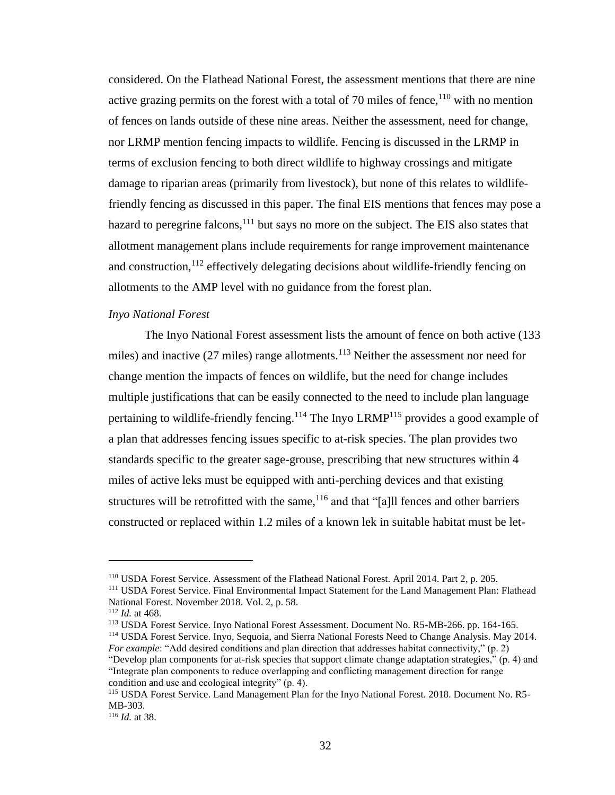considered. On the Flathead National Forest, the assessment mentions that there are nine active grazing permits on the forest with a total of 70 miles of fence, $110$  with no mention of fences on lands outside of these nine areas. Neither the assessment, need for change, nor LRMP mention fencing impacts to wildlife. Fencing is discussed in the LRMP in terms of exclusion fencing to both direct wildlife to highway crossings and mitigate damage to riparian areas (primarily from livestock), but none of this relates to wildlifefriendly fencing as discussed in this paper. The final EIS mentions that fences may pose a hazard to peregrine falcons, <sup>111</sup> but says no more on the subject. The EIS also states that allotment management plans include requirements for range improvement maintenance and construction,  $112$  effectively delegating decisions about wildlife-friendly fencing on allotments to the AMP level with no guidance from the forest plan.

# *Inyo National Forest*

The Inyo National Forest assessment lists the amount of fence on both active (133 miles) and inactive  $(27 \text{ miles})$  range allotments.<sup>113</sup> Neither the assessment nor need for change mention the impacts of fences on wildlife, but the need for change includes multiple justifications that can be easily connected to the need to include plan language pertaining to wildlife-friendly fencing.<sup>114</sup> The Inyo LRMP<sup>115</sup> provides a good example of a plan that addresses fencing issues specific to at-risk species. The plan provides two standards specific to the greater sage-grouse, prescribing that new structures within 4 miles of active leks must be equipped with anti-perching devices and that existing structures will be retrofitted with the same,  $116$  and that "[a] I fences and other barriers constructed or replaced within 1.2 miles of a known lek in suitable habitat must be let-

<sup>113</sup> USDA Forest Service. Inyo National Forest Assessment. Document No. R5-MB-266. pp. 164-165. <sup>114</sup> USDA Forest Service. Inyo, Sequoia, and Sierra National Forests Need to Change Analysis. May 2014.

*For example*: "Add desired conditions and plan direction that addresses habitat connectivity," (p. 2) "Develop plan components for at-risk species that support climate change adaptation strategies," (p. 4) and "Integrate plan components to reduce overlapping and conflicting management direction for range condition and use and ecological integrity" (p. 4).

<sup>110</sup> USDA Forest Service. Assessment of the Flathead National Forest. April 2014. Part 2, p. 205.

<sup>111</sup> USDA Forest Service. Final Environmental Impact Statement for the Land Management Plan: Flathead National Forest. November 2018. Vol. 2, p. 58.

<sup>112</sup> *Id.* at 468.

<sup>115</sup> USDA Forest Service. Land Management Plan for the Inyo National Forest. 2018. Document No. R5- MB-303.

<sup>116</sup> *Id.* at 38.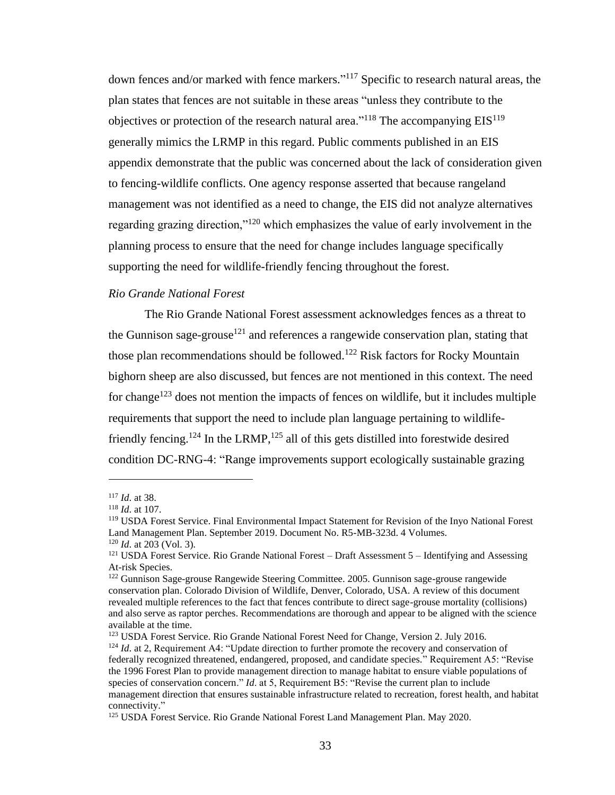down fences and/or marked with fence markers." <sup>117</sup> Specific to research natural areas, the plan states that fences are not suitable in these areas "unless they contribute to the objectives or protection of the research natural area."<sup>118</sup> The accompanying  $EIS<sup>119</sup>$ generally mimics the LRMP in this regard. Public comments published in an EIS appendix demonstrate that the public was concerned about the lack of consideration given to fencing-wildlife conflicts. One agency response asserted that because rangeland management was not identified as a need to change, the EIS did not analyze alternatives regarding grazing direction,"<sup>120</sup> which emphasizes the value of early involvement in the planning process to ensure that the need for change includes language specifically supporting the need for wildlife-friendly fencing throughout the forest.

### *Rio Grande National Forest*

The Rio Grande National Forest assessment acknowledges fences as a threat to the Gunnison sage-grouse<sup>121</sup> and references a rangewide conservation plan, stating that those plan recommendations should be followed.<sup>122</sup> Risk factors for Rocky Mountain bighorn sheep are also discussed, but fences are not mentioned in this context. The need for change<sup>123</sup> does not mention the impacts of fences on wildlife, but it includes multiple requirements that support the need to include plan language pertaining to wildlifefriendly fencing.<sup>124</sup> In the LRMP,<sup>125</sup> all of this gets distilled into forestwide desired condition DC-RNG-4: "Range improvements support ecologically sustainable grazing

<sup>117</sup> *Id*. at 38.

<sup>118</sup> *Id*. at 107.

<sup>119</sup> USDA Forest Service. Final Environmental Impact Statement for Revision of the Inyo National Forest Land Management Plan. September 2019. Document No. R5-MB-323d. 4 Volumes. <sup>120</sup> *Id*. at 203 (Vol. 3).

<sup>&</sup>lt;sup>121</sup> USDA Forest Service. Rio Grande National Forest – Draft Assessment 5 – Identifying and Assessing At-risk Species.

<sup>122</sup> Gunnison Sage-grouse Rangewide Steering Committee. 2005. Gunnison sage-grouse rangewide conservation plan. Colorado Division of Wildlife, Denver, Colorado, USA. A review of this document revealed multiple references to the fact that fences contribute to direct sage-grouse mortality (collisions) and also serve as raptor perches. Recommendations are thorough and appear to be aligned with the science available at the time.

<sup>123</sup> USDA Forest Service. Rio Grande National Forest Need for Change, Version 2. July 2016. <sup>124</sup> *Id.* at 2, Requirement A4: "Update direction to further promote the recovery and conservation of federally recognized threatened, endangered, proposed, and candidate species." Requirement A5: "Revise the 1996 Forest Plan to provide management direction to manage habitat to ensure viable populations of species of conservation concern." *Id*. at 5, Requirement B5: "Revise the current plan to include management direction that ensures sustainable infrastructure related to recreation, forest health, and habitat connectivity."

<sup>125</sup> USDA Forest Service. Rio Grande National Forest Land Management Plan. May 2020.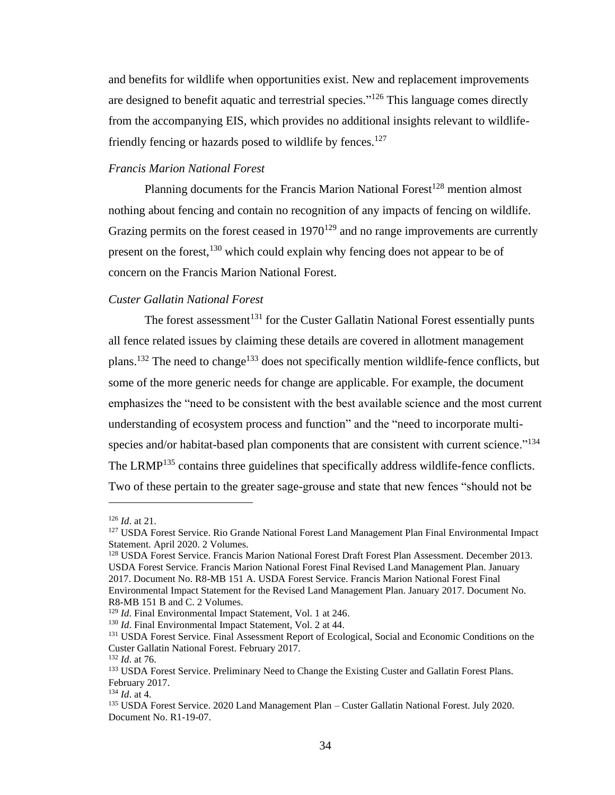and benefits for wildlife when opportunities exist. New and replacement improvements are designed to benefit aquatic and terrestrial species."<sup>126</sup> This language comes directly from the accompanying EIS, which provides no additional insights relevant to wildlifefriendly fencing or hazards posed to wildlife by fences.<sup>127</sup>

# *Francis Marion National Forest*

Planning documents for the Francis Marion National Forest<sup>128</sup> mention almost nothing about fencing and contain no recognition of any impacts of fencing on wildlife. Grazing permits on the forest ceased in  $1970^{129}$  and no range improvements are currently present on the forest,  $130$  which could explain why fencing does not appear to be of concern on the Francis Marion National Forest.

### *Custer Gallatin National Forest*

The forest assessment<sup>131</sup> for the Custer Gallatin National Forest essentially punts all fence related issues by claiming these details are covered in allotment management plans.<sup>132</sup> The need to change<sup>133</sup> does not specifically mention wildlife-fence conflicts, but some of the more generic needs for change are applicable. For example, the document emphasizes the "need to be consistent with the best available science and the most current understanding of ecosystem process and function" and the "need to incorporate multispecies and/or habitat-based plan components that are consistent with current science."<sup>134</sup> The LRMP<sup>135</sup> contains three guidelines that specifically address wildlife-fence conflicts. Two of these pertain to the greater sage-grouse and state that new fences "should not be

<sup>126</sup> *Id*. at 21.

<sup>&</sup>lt;sup>127</sup> USDA Forest Service. Rio Grande National Forest Land Management Plan Final Environmental Impact Statement. April 2020. 2 Volumes.

<sup>128</sup> USDA Forest Service. Francis Marion National Forest Draft Forest Plan Assessment. December 2013. USDA Forest Service. Francis Marion National Forest Final Revised Land Management Plan. January 2017. Document No. R8-MB 151 A. USDA Forest Service. Francis Marion National Forest Final Environmental Impact Statement for the Revised Land Management Plan. January 2017. Document No. R8-MB 151 B and C. 2 Volumes.

<sup>&</sup>lt;sup>129</sup> *Id*. Final Environmental Impact Statement, Vol. 1 at 246.

<sup>&</sup>lt;sup>130</sup> *Id*. Final Environmental Impact Statement, Vol. 2 at 44.

<sup>&</sup>lt;sup>131</sup> USDA Forest Service. Final Assessment Report of Ecological, Social and Economic Conditions on the Custer Gallatin National Forest. February 2017.

<sup>132</sup> *Id*. at 76.

<sup>&</sup>lt;sup>133</sup> USDA Forest Service. Preliminary Need to Change the Existing Custer and Gallatin Forest Plans. February 2017.

<sup>134</sup> *Id*. at 4.

<sup>135</sup> USDA Forest Service. 2020 Land Management Plan – Custer Gallatin National Forest. July 2020. Document No. R1-19-07.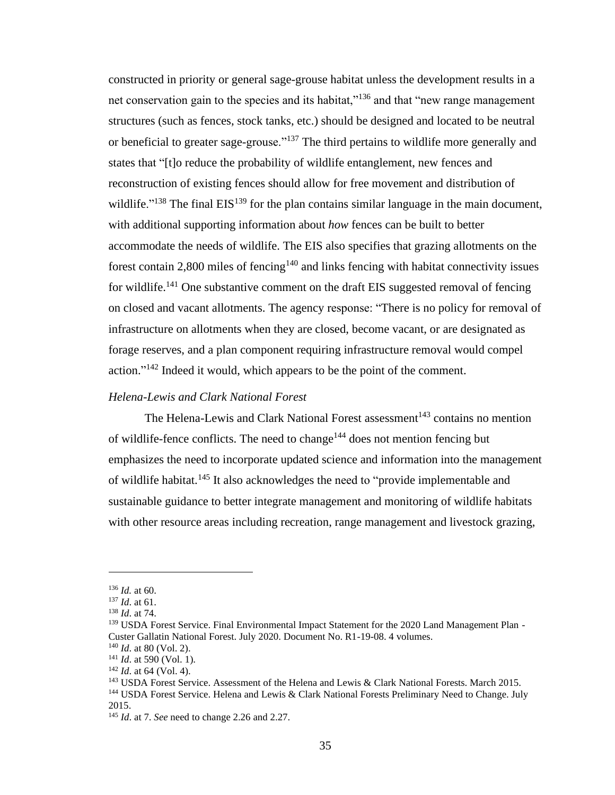constructed in priority or general sage-grouse habitat unless the development results in a net conservation gain to the species and its habitat,"<sup>136</sup> and that "new range management structures (such as fences, stock tanks, etc.) should be designed and located to be neutral or beneficial to greater sage-grouse."<sup>137</sup> The third pertains to wildlife more generally and states that "[t]o reduce the probability of wildlife entanglement, new fences and reconstruction of existing fences should allow for free movement and distribution of wildlife."<sup>138</sup> The final EIS<sup>139</sup> for the plan contains similar language in the main document, with additional supporting information about *how* fences can be built to better accommodate the needs of wildlife. The EIS also specifies that grazing allotments on the forest contain 2,800 miles of fencing<sup>140</sup> and links fencing with habitat connectivity issues for wildlife.<sup>141</sup> One substantive comment on the draft EIS suggested removal of fencing on closed and vacant allotments. The agency response: "There is no policy for removal of infrastructure on allotments when they are closed, become vacant, or are designated as forage reserves, and a plan component requiring infrastructure removal would compel action."<sup>142</sup> Indeed it would, which appears to be the point of the comment.

# *Helena-Lewis and Clark National Forest*

The Helena-Lewis and Clark National Forest assessment<sup>143</sup> contains no mention of wildlife-fence conflicts. The need to change<sup>144</sup> does not mention fencing but emphasizes the need to incorporate updated science and information into the management of wildlife habitat.<sup>145</sup> It also acknowledges the need to "provide implementable and sustainable guidance to better integrate management and monitoring of wildlife habitats with other resource areas including recreation, range management and livestock grazing,

<sup>136</sup> *Id.* at 60.

<sup>137</sup> *Id*. at 61.

<sup>138</sup> *Id*. at 74.

<sup>&</sup>lt;sup>139</sup> USDA Forest Service. Final Environmental Impact Statement for the 2020 Land Management Plan -Custer Gallatin National Forest. July 2020. Document No. R1-19-08. 4 volumes.

<sup>140</sup> *Id*. at 80 (Vol. 2).

<sup>141</sup> *Id*. at 590 (Vol. 1).

<sup>142</sup> *Id*. at 64 (Vol. 4).

<sup>&</sup>lt;sup>143</sup> USDA Forest Service. Assessment of the Helena and Lewis & Clark National Forests. March 2015.

<sup>144</sup> USDA Forest Service. Helena and Lewis & Clark National Forests Preliminary Need to Change. July 2015.

<sup>145</sup> *Id*. at 7. *See* need to change 2.26 and 2.27.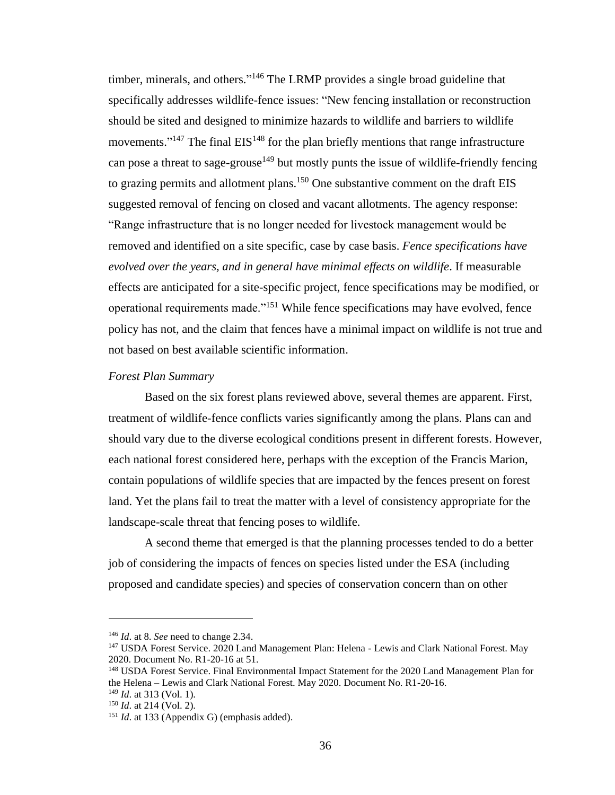timber, minerals, and others."<sup>146</sup> The LRMP provides a single broad guideline that specifically addresses wildlife-fence issues: "New fencing installation or reconstruction should be sited and designed to minimize hazards to wildlife and barriers to wildlife movements."<sup>147</sup> The final  $EIS<sup>148</sup>$  for the plan briefly mentions that range infrastructure can pose a threat to sage-grouse<sup>149</sup> but mostly punts the issue of wildlife-friendly fencing to grazing permits and allotment plans.<sup>150</sup> One substantive comment on the draft EIS suggested removal of fencing on closed and vacant allotments. The agency response: "Range infrastructure that is no longer needed for livestock management would be removed and identified on a site specific, case by case basis. *Fence specifications have evolved over the years, and in general have minimal effects on wildlife*. If measurable effects are anticipated for a site-specific project, fence specifications may be modified, or operational requirements made."<sup>151</sup> While fence specifications may have evolved, fence policy has not, and the claim that fences have a minimal impact on wildlife is not true and not based on best available scientific information.

### *Forest Plan Summary*

Based on the six forest plans reviewed above, several themes are apparent. First, treatment of wildlife-fence conflicts varies significantly among the plans. Plans can and should vary due to the diverse ecological conditions present in different forests. However, each national forest considered here, perhaps with the exception of the Francis Marion, contain populations of wildlife species that are impacted by the fences present on forest land. Yet the plans fail to treat the matter with a level of consistency appropriate for the landscape-scale threat that fencing poses to wildlife.

A second theme that emerged is that the planning processes tended to do a better job of considering the impacts of fences on species listed under the ESA (including proposed and candidate species) and species of conservation concern than on other

<sup>146</sup> *Id*. at 8. *See* need to change 2.34.

<sup>&</sup>lt;sup>147</sup> USDA Forest Service. 2020 Land Management Plan: Helena - Lewis and Clark National Forest. May 2020. Document No. R1-20-16 at 51.

<sup>&</sup>lt;sup>148</sup> USDA Forest Service. Final Environmental Impact Statement for the 2020 Land Management Plan for the Helena – Lewis and Clark National Forest. May 2020. Document No. R1-20-16.

<sup>149</sup> *Id*. at 313 (Vol. 1).

<sup>150</sup> *Id*. at 214 (Vol. 2).

<sup>&</sup>lt;sup>151</sup> *Id.* at 133 (Appendix G) (emphasis added).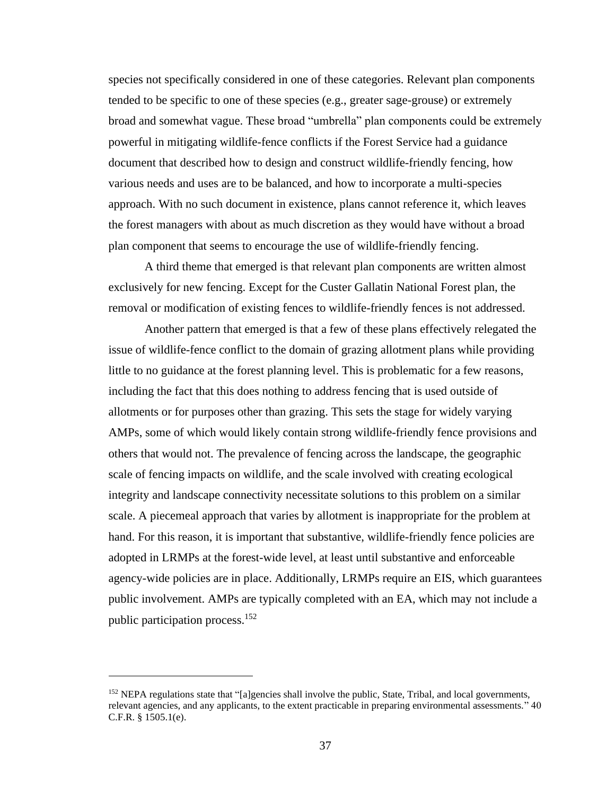species not specifically considered in one of these categories. Relevant plan components tended to be specific to one of these species (e.g., greater sage-grouse) or extremely broad and somewhat vague. These broad "umbrella" plan components could be extremely powerful in mitigating wildlife-fence conflicts if the Forest Service had a guidance document that described how to design and construct wildlife-friendly fencing, how various needs and uses are to be balanced, and how to incorporate a multi-species approach. With no such document in existence, plans cannot reference it, which leaves the forest managers with about as much discretion as they would have without a broad plan component that seems to encourage the use of wildlife-friendly fencing.

A third theme that emerged is that relevant plan components are written almost exclusively for new fencing. Except for the Custer Gallatin National Forest plan, the removal or modification of existing fences to wildlife-friendly fences is not addressed.

Another pattern that emerged is that a few of these plans effectively relegated the issue of wildlife-fence conflict to the domain of grazing allotment plans while providing little to no guidance at the forest planning level. This is problematic for a few reasons, including the fact that this does nothing to address fencing that is used outside of allotments or for purposes other than grazing. This sets the stage for widely varying AMPs, some of which would likely contain strong wildlife-friendly fence provisions and others that would not. The prevalence of fencing across the landscape, the geographic scale of fencing impacts on wildlife, and the scale involved with creating ecological integrity and landscape connectivity necessitate solutions to this problem on a similar scale. A piecemeal approach that varies by allotment is inappropriate for the problem at hand. For this reason, it is important that substantive, wildlife-friendly fence policies are adopted in LRMPs at the forest-wide level, at least until substantive and enforceable agency-wide policies are in place. Additionally, LRMPs require an EIS, which guarantees public involvement. AMPs are typically completed with an EA, which may not include a public participation process.<sup>152</sup>

<sup>&</sup>lt;sup>152</sup> NEPA regulations state that "[a]gencies shall involve the public, State, Tribal, and local governments, relevant agencies, and any applicants, to the extent practicable in preparing environmental assessments." 40 C.F.R. § 1505.1(e).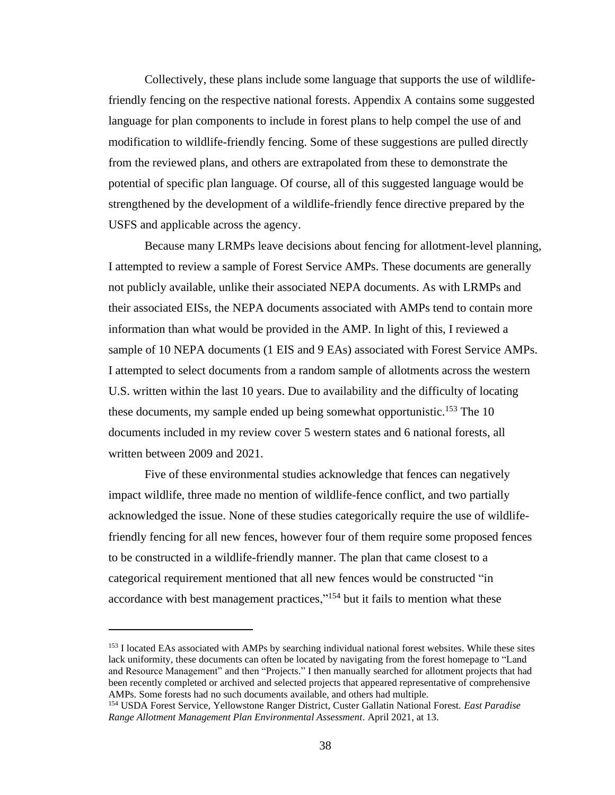Collectively, these plans include some language that supports the use of wildlifefriendly fencing on the respective national forests. Appendix A contains some suggested language for plan components to include in forest plans to help compel the use of and modification to wildlife-friendly fencing. Some of these suggestions are pulled directly from the reviewed plans, and others are extrapolated from these to demonstrate the potential of specific plan language. Of course, all of this suggested language would be strengthened by the development of a wildlife-friendly fence directive prepared by the USFS and applicable across the agency.

Because many LRMPs leave decisions about fencing for allotment-level planning, I attempted to review a sample of Forest Service AMPs. These documents are generally not publicly available, unlike their associated NEPA documents. As with LRMPs and their associated EISs, the NEPA documents associated with AMPs tend to contain more information than what would be provided in the AMP. In light of this, I reviewed a sample of 10 NEPA documents (1 EIS and 9 EAs) associated with Forest Service AMPs. I attempted to select documents from a random sample of allotments across the western U.S. written within the last 10 years. Due to availability and the difficulty of locating these documents, my sample ended up being somewhat opportunistic.<sup>153</sup> The 10 documents included in my review cover 5 western states and 6 national forests, all written between 2009 and 2021.

Five of these environmental studies acknowledge that fences can negatively impact wildlife, three made no mention of wildlife-fence conflict, and two partially acknowledged the issue. None of these studies categorically require the use of wildlifefriendly fencing for all new fences, however four of them require some proposed fences to be constructed in a wildlife-friendly manner. The plan that came closest to a categorical requirement mentioned that all new fences would be constructed "in accordance with best management practices,"<sup>154</sup> but it fails to mention what these

<sup>&</sup>lt;sup>153</sup> I located EAs associated with AMPs by searching individual national forest websites. While these sites lack uniformity, these documents can often be located by navigating from the forest homepage to "Land and Resource Management" and then "Projects." I then manually searched for allotment projects that had been recently completed or archived and selected projects that appeared representative of comprehensive AMPs. Some forests had no such documents available, and others had multiple.

<sup>154</sup> USDA Forest Service, Yellowstone Ranger District, Custer Gallatin National Forest. *East Paradise Range Allotment Management Plan Environmental Assessment*. April 2021, at 13.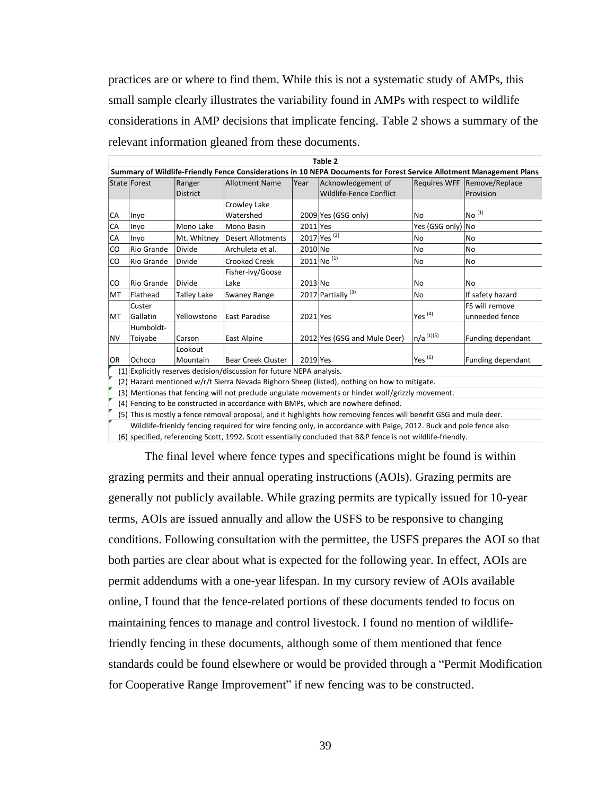practices are or where to find them. While this is not a systematic study of AMPs, this small sample clearly illustrates the variability found in AMPs with respect to wildlife considerations in AMP decisions that implicate fencing. Table 2 shows a summary of the relevant information gleaned from these documents.

| Table 2                                                                                                              |                 |                    |                           |          |                               |                     |                           |
|----------------------------------------------------------------------------------------------------------------------|-----------------|--------------------|---------------------------|----------|-------------------------------|---------------------|---------------------------|
| Summary of Wildlife-Friendly Fence Considerations in 10 NEPA Documents for Forest Service Allotment Management Plans |                 |                    |                           |          |                               |                     |                           |
|                                                                                                                      | State Forest    | Ranger             | <b>Allotment Name</b>     | Year     | Acknowledgement of            | <b>Requires WFF</b> | Remove/Replace            |
|                                                                                                                      |                 | <b>District</b>    |                           |          | Wildlife-Fence Conflict       |                     | Provision                 |
|                                                                                                                      |                 |                    | Crowley Lake              |          |                               |                     |                           |
| <b>CA</b>                                                                                                            | Inyo            |                    | Watershed                 |          | 2009 Yes (GSG only)           | No                  | $^{\prime}$ No $^{\,(1)}$ |
| <b>CA</b>                                                                                                            | Inyo            | Mono Lake          | Mono Basin                | 2011 Yes |                               | Yes (GSG only) No   |                           |
| <b>CA</b>                                                                                                            | Inyo            | Mt. Whitney        | <b>Desert Allotments</b>  |          | 2017 Yes <sup>(2)</sup>       | No                  | No                        |
| lco                                                                                                                  | Rio Grande      | Divide             | Archuleta et al.          | 2010 No  |                               | No                  | No                        |
| lco                                                                                                                  | lRio Grande     | <b>Divide</b>      | Crooked Creek             |          | $2011$ No $^{(1)}$            | No                  | No                        |
|                                                                                                                      |                 |                    | Fisher-Ivy/Goose          |          |                               |                     |                           |
| lco                                                                                                                  | lRio Grande     | Divide             | Lake                      | 2013 No  |                               | No                  | No                        |
| <b>MT</b>                                                                                                            | <b>Flathead</b> | <b>Talley Lake</b> | Swaney Range              |          | 2017 Partially <sup>(3)</sup> | No                  | If safety hazard          |
|                                                                                                                      | Custer          |                    |                           |          |                               |                     | FS will remove            |
| MT                                                                                                                   | Gallatin        | Yellowstone        | East Paradise             | 2021 Yes |                               | Yes $(4)$           | unneeded fence            |
|                                                                                                                      | Humboldt-       |                    |                           |          |                               |                     |                           |
| INV.                                                                                                                 | Toiyabe         | Carson             | East Alpine               |          | 2012 Yes (GSG and Mule Deer)  | $n/a^{(1)(5)}$      | Funding dependant         |
|                                                                                                                      |                 | Lookout            |                           |          |                               |                     |                           |
| <b>OR</b>                                                                                                            | Ochoco          | Mountain           | <b>Bear Creek Cluster</b> | 2019 Yes |                               | Yes <sup>(6)</sup>  | Funding dependant         |
| (1) Explicitly reserves decision/discussion for future NEPA analysis.                                                |                 |                    |                           |          |                               |                     |                           |
| (2) Hazard mentioned w/r/t Sierra Nevada Bighorn Sheep (listed), nothing on how to mitigate.                         |                 |                    |                           |          |                               |                     |                           |

(3) Mentionas that fencing will not preclude ungulate movements or hinder wolf/grizzly movement.

(4) Fencing to be constructed in accordance with BMPs, which are nowhere defined.

(5) This is mostly a fence removal proposal, and it highlights how removing fences will benefit GSG and mule deer.

Wildlife-frienldy fencing required for wire fencing only, in accordance with Paige, 2012. Buck and pole fence also

(6) specified, referencing Scott, 1992. Scott essentially concluded that B&P fence is not wildlife-friendly.

The final level where fence types and specifications might be found is within grazing permits and their annual operating instructions (AOIs). Grazing permits are generally not publicly available. While grazing permits are typically issued for 10-year terms, AOIs are issued annually and allow the USFS to be responsive to changing conditions. Following consultation with the permittee, the USFS prepares the AOI so that both parties are clear about what is expected for the following year. In effect, AOIs are permit addendums with a one-year lifespan. In my cursory review of AOIs available online, I found that the fence-related portions of these documents tended to focus on maintaining fences to manage and control livestock. I found no mention of wildlifefriendly fencing in these documents, although some of them mentioned that fence standards could be found elsewhere or would be provided through a "Permit Modification for Cooperative Range Improvement" if new fencing was to be constructed.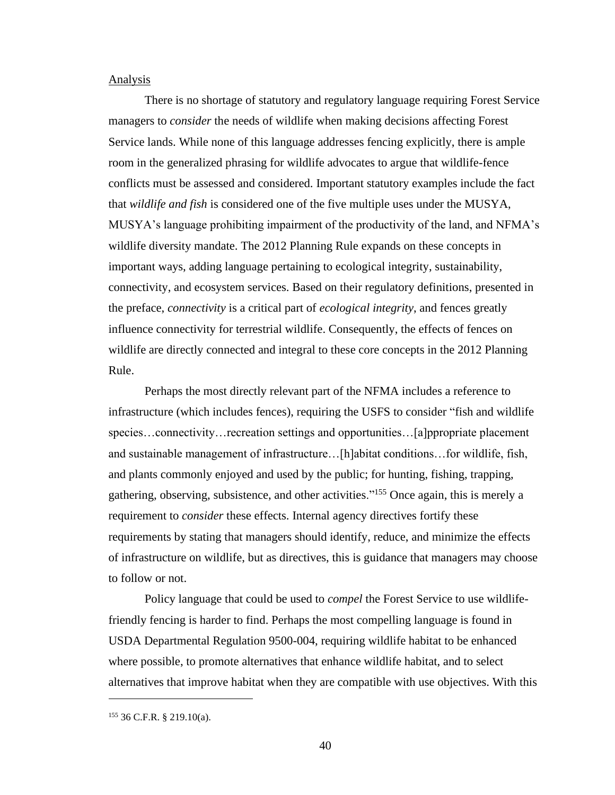#### **Analysis**

There is no shortage of statutory and regulatory language requiring Forest Service managers to *consider* the needs of wildlife when making decisions affecting Forest Service lands. While none of this language addresses fencing explicitly, there is ample room in the generalized phrasing for wildlife advocates to argue that wildlife-fence conflicts must be assessed and considered. Important statutory examples include the fact that *wildlife and fish* is considered one of the five multiple uses under the MUSYA, MUSYA's language prohibiting impairment of the productivity of the land, and NFMA's wildlife diversity mandate. The 2012 Planning Rule expands on these concepts in important ways, adding language pertaining to ecological integrity, sustainability, connectivity, and ecosystem services. Based on their regulatory definitions, presented in the preface, *connectivity* is a critical part of *ecological integrity*, and fences greatly influence connectivity for terrestrial wildlife. Consequently, the effects of fences on wildlife are directly connected and integral to these core concepts in the 2012 Planning Rule.

Perhaps the most directly relevant part of the NFMA includes a reference to infrastructure (which includes fences), requiring the USFS to consider "fish and wildlife species...connectivity...recreation settings and opportunities...[a]ppropriate placement and sustainable management of infrastructure…[h]abitat conditions…for wildlife, fish, and plants commonly enjoyed and used by the public; for hunting, fishing, trapping, gathering, observing, subsistence, and other activities."<sup>155</sup> Once again, this is merely a requirement to *consider* these effects. Internal agency directives fortify these requirements by stating that managers should identify, reduce, and minimize the effects of infrastructure on wildlife, but as directives, this is guidance that managers may choose to follow or not.

Policy language that could be used to *compel* the Forest Service to use wildlifefriendly fencing is harder to find. Perhaps the most compelling language is found in USDA Departmental Regulation 9500-004, requiring wildlife habitat to be enhanced where possible, to promote alternatives that enhance wildlife habitat, and to select alternatives that improve habitat when they are compatible with use objectives. With this

<sup>155</sup> 36 C.F.R. § 219.10(a).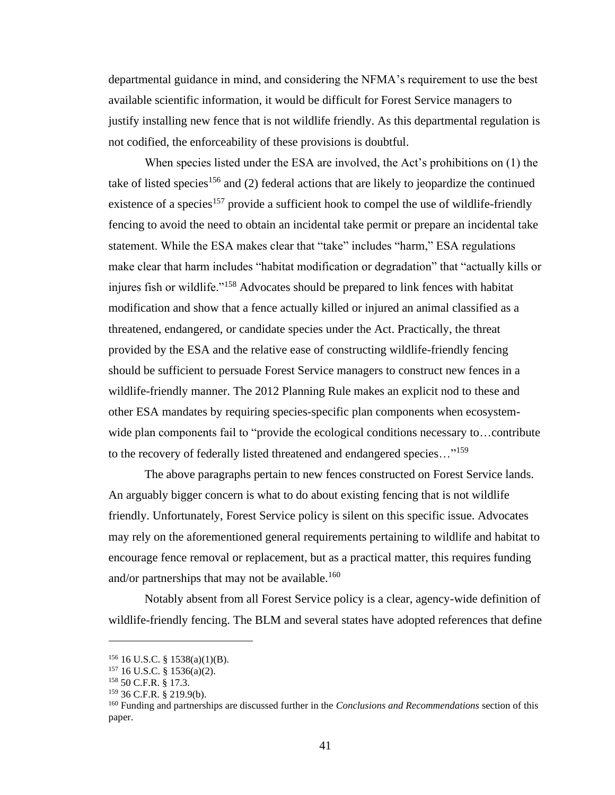departmental guidance in mind, and considering the NFMA's requirement to use the best available scientific information, it would be difficult for Forest Service managers to justify installing new fence that is not wildlife friendly. As this departmental regulation is not codified, the enforceability of these provisions is doubtful.

When species listed under the ESA are involved, the Act's prohibitions on (1) the take of listed species<sup>156</sup> and (2) federal actions that are likely to jeopardize the continued existence of a species<sup>157</sup> provide a sufficient hook to compel the use of wildlife-friendly fencing to avoid the need to obtain an incidental take permit or prepare an incidental take statement. While the ESA makes clear that "take" includes "harm," ESA regulations make clear that harm includes "habitat modification or degradation" that "actually kills or injures fish or wildlife."<sup>158</sup> Advocates should be prepared to link fences with habitat modification and show that a fence actually killed or injured an animal classified as a threatened, endangered, or candidate species under the Act. Practically, the threat provided by the ESA and the relative ease of constructing wildlife-friendly fencing should be sufficient to persuade Forest Service managers to construct new fences in a wildlife-friendly manner. The 2012 Planning Rule makes an explicit nod to these and other ESA mandates by requiring species-specific plan components when ecosystemwide plan components fail to "provide the ecological conditions necessary to...contribute to the recovery of federally listed threatened and endangered species..."<sup>159</sup>

The above paragraphs pertain to new fences constructed on Forest Service lands. An arguably bigger concern is what to do about existing fencing that is not wildlife friendly. Unfortunately, Forest Service policy is silent on this specific issue. Advocates may rely on the aforementioned general requirements pertaining to wildlife and habitat to encourage fence removal or replacement, but as a practical matter, this requires funding and/or partnerships that may not be available.<sup>160</sup>

Notably absent from all Forest Service policy is a clear, agency-wide definition of wildlife-friendly fencing. The BLM and several states have adopted references that define

 $156$  16 U.S.C. § 1538(a)(1)(B).

 $157$  16 U.S.C. § 1536(a)(2).

<sup>158</sup> 50 C.F.R. § 17.3.

<sup>159</sup> 36 C.F.R. § 219.9(b).

<sup>160</sup> Funding and partnerships are discussed further in the *Conclusions and Recommendations* section of this paper.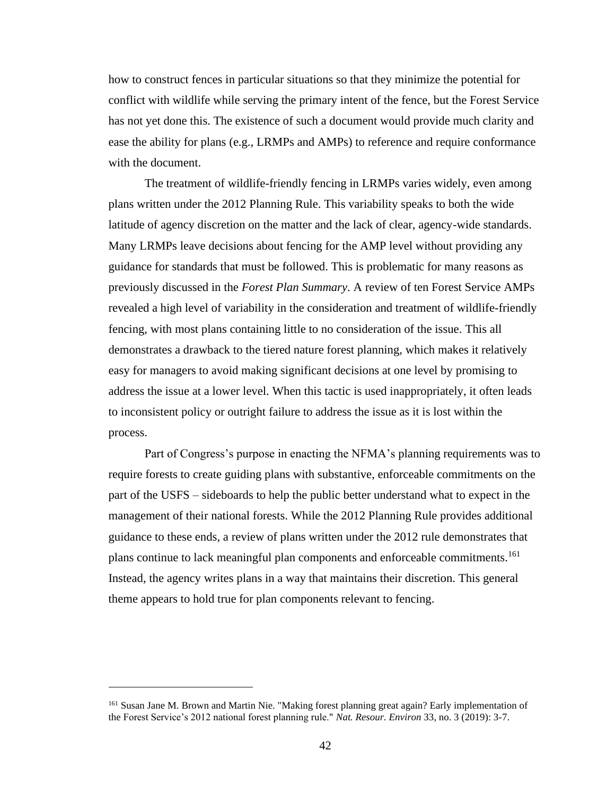how to construct fences in particular situations so that they minimize the potential for conflict with wildlife while serving the primary intent of the fence, but the Forest Service has not yet done this. The existence of such a document would provide much clarity and ease the ability for plans (e.g., LRMPs and AMPs) to reference and require conformance with the document.

The treatment of wildlife-friendly fencing in LRMPs varies widely, even among plans written under the 2012 Planning Rule. This variability speaks to both the wide latitude of agency discretion on the matter and the lack of clear, agency-wide standards. Many LRMPs leave decisions about fencing for the AMP level without providing any guidance for standards that must be followed. This is problematic for many reasons as previously discussed in the *Forest Plan Summary*. A review of ten Forest Service AMPs revealed a high level of variability in the consideration and treatment of wildlife-friendly fencing, with most plans containing little to no consideration of the issue. This all demonstrates a drawback to the tiered nature forest planning, which makes it relatively easy for managers to avoid making significant decisions at one level by promising to address the issue at a lower level. When this tactic is used inappropriately, it often leads to inconsistent policy or outright failure to address the issue as it is lost within the process.

Part of Congress's purpose in enacting the NFMA's planning requirements was to require forests to create guiding plans with substantive, enforceable commitments on the part of the USFS – sideboards to help the public better understand what to expect in the management of their national forests. While the 2012 Planning Rule provides additional guidance to these ends, a review of plans written under the 2012 rule demonstrates that plans continue to lack meaningful plan components and enforceable commitments.<sup>161</sup> Instead, the agency writes plans in a way that maintains their discretion. This general theme appears to hold true for plan components relevant to fencing.

<sup>&</sup>lt;sup>161</sup> Susan Jane M. Brown and Martin Nie. "Making forest planning great again? Early implementation of the Forest Service's 2012 national forest planning rule." *Nat. Resour. Environ* 33, no. 3 (2019): 3-7.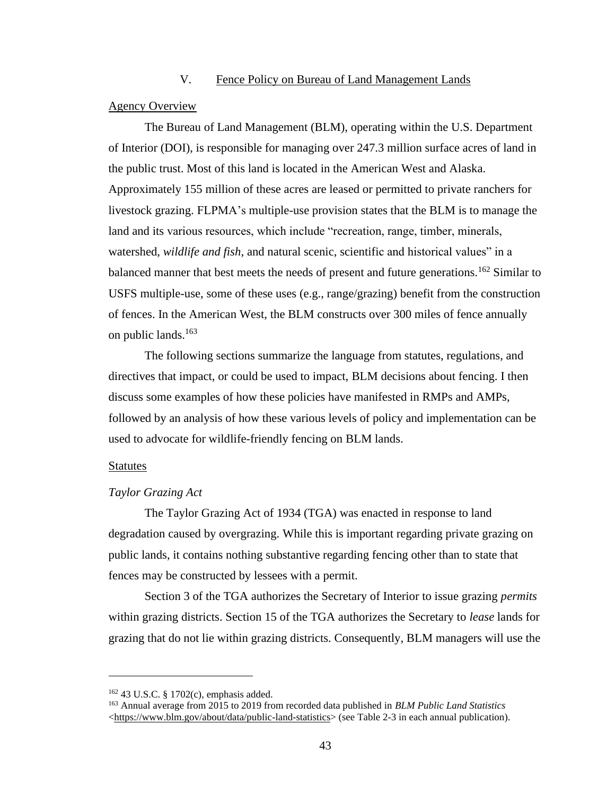#### V. Fence Policy on Bureau of Land Management Lands

#### Agency Overview

The Bureau of Land Management (BLM), operating within the U.S. Department of Interior (DOI), is responsible for managing over 247.3 million surface acres of land in the public trust. Most of this land is located in the American West and Alaska. Approximately 155 million of these acres are leased or permitted to private ranchers for livestock grazing. FLPMA's multiple-use provision states that the BLM is to manage the land and its various resources, which include "recreation, range, timber, minerals, watershed, *wildlife and fish*, and natural scenic, scientific and historical values" in a balanced manner that best meets the needs of present and future generations.<sup>162</sup> Similar to USFS multiple-use, some of these uses (e.g., range/grazing) benefit from the construction of fences. In the American West, the BLM constructs over 300 miles of fence annually on public lands.<sup>163</sup>

The following sections summarize the language from statutes, regulations, and directives that impact, or could be used to impact, BLM decisions about fencing. I then discuss some examples of how these policies have manifested in RMPs and AMPs, followed by an analysis of how these various levels of policy and implementation can be used to advocate for wildlife-friendly fencing on BLM lands.

#### Statutes

#### *Taylor Grazing Act*

The Taylor Grazing Act of 1934 (TGA) was enacted in response to land degradation caused by overgrazing. While this is important regarding private grazing on public lands, it contains nothing substantive regarding fencing other than to state that fences may be constructed by lessees with a permit.

Section 3 of the TGA authorizes the Secretary of Interior to issue grazing *permits* within grazing districts. Section 15 of the TGA authorizes the Secretary to *lease* lands for grazing that do not lie within grazing districts. Consequently, BLM managers will use the

<sup>162</sup> 43 U.S.C. § 1702(c), emphasis added.

<sup>163</sup> Annual average from 2015 to 2019 from recorded data published in *BLM Public Land Statistics* [<https://www.blm.gov/about/data/public-land-statistics>](https://www.blm.gov/about/data/public-land-statistics) (see Table 2-3 in each annual publication).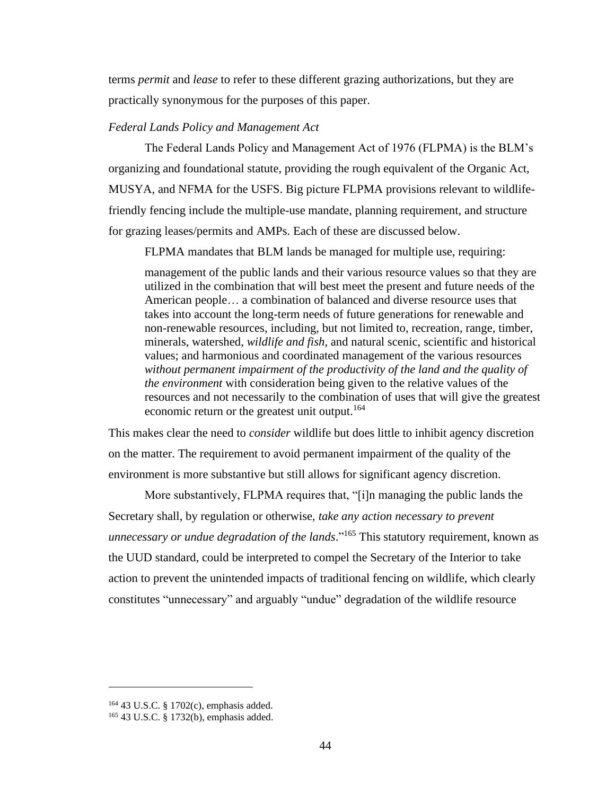terms *permit* and *lease* to refer to these different grazing authorizations, but they are practically synonymous for the purposes of this paper.

## *Federal Lands Policy and Management Act*

The Federal Lands Policy and Management Act of 1976 (FLPMA) is the BLM's organizing and foundational statute, providing the rough equivalent of the Organic Act, MUSYA, and NFMA for the USFS. Big picture FLPMA provisions relevant to wildlifefriendly fencing include the multiple-use mandate, planning requirement, and structure for grazing leases/permits and AMPs. Each of these are discussed below.

FLPMA mandates that BLM lands be managed for multiple use, requiring:

management of the public lands and their various resource values so that they are utilized in the combination that will best meet the present and future needs of the American people… a combination of balanced and diverse resource uses that takes into account the long-term needs of future generations for renewable and non-renewable resources, including, but not limited to, recreation, range, timber, minerals, watershed, *wildlife and fish*, and natural scenic, scientific and historical values; and harmonious and coordinated management of the various resources *without permanent impairment of the productivity of the land and the quality of the environment* with consideration being given to the relative values of the resources and not necessarily to the combination of uses that will give the greatest economic return or the greatest unit output.<sup>164</sup>

This makes clear the need to *consider* wildlife but does little to inhibit agency discretion on the matter. The requirement to avoid permanent impairment of the quality of the environment is more substantive but still allows for significant agency discretion.

More substantively, FLPMA requires that, "[i]n managing the public lands the Secretary shall, by regulation or otherwise, *take any action necessary to prevent unnecessary or undue degradation of the lands*." <sup>165</sup> This statutory requirement, known as the UUD standard, could be interpreted to compel the Secretary of the Interior to take action to prevent the unintended impacts of traditional fencing on wildlife, which clearly constitutes "unnecessary" and arguably "undue" degradation of the wildlife resource

<sup>164</sup> 43 U.S.C. § 1702(c), emphasis added.

<sup>165</sup> 43 U.S.C. § 1732(b), emphasis added.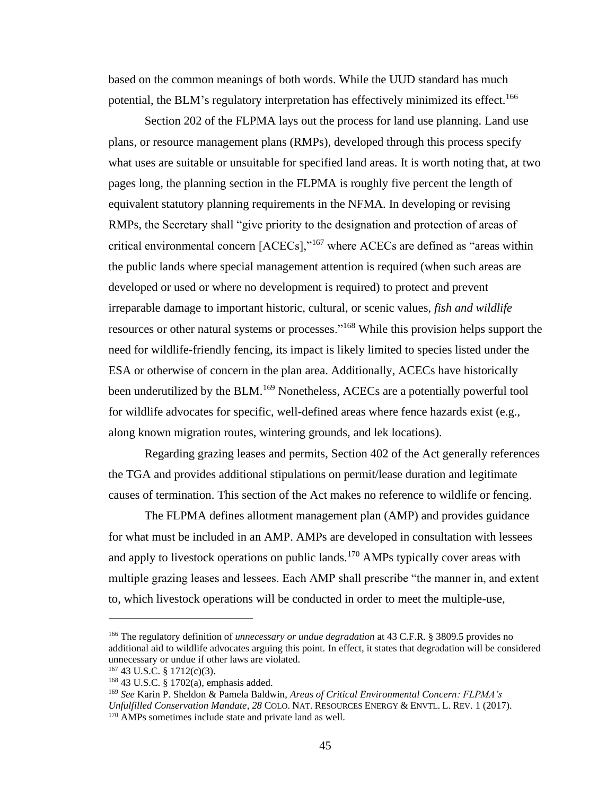based on the common meanings of both words. While the UUD standard has much potential, the BLM's regulatory interpretation has effectively minimized its effect.<sup>166</sup>

Section 202 of the FLPMA lays out the process for land use planning. Land use plans, or resource management plans (RMPs), developed through this process specify what uses are suitable or unsuitable for specified land areas. It is worth noting that, at two pages long, the planning section in the FLPMA is roughly five percent the length of equivalent statutory planning requirements in the NFMA. In developing or revising RMPs, the Secretary shall "give priority to the designation and protection of areas of critical environmental concern [ACECs],"<sup>167</sup> where ACECs are defined as "areas within the public lands where special management attention is required (when such areas are developed or used or where no development is required) to protect and prevent irreparable damage to important historic, cultural, or scenic values, *fish and wildlife* resources or other natural systems or processes."<sup>168</sup> While this provision helps support the need for wildlife-friendly fencing, its impact is likely limited to species listed under the ESA or otherwise of concern in the plan area. Additionally, ACECs have historically been underutilized by the BLM.<sup>169</sup> Nonetheless, ACECs are a potentially powerful tool for wildlife advocates for specific, well-defined areas where fence hazards exist (e.g., along known migration routes, wintering grounds, and lek locations).

Regarding grazing leases and permits, Section 402 of the Act generally references the TGA and provides additional stipulations on permit/lease duration and legitimate causes of termination. This section of the Act makes no reference to wildlife or fencing.

The FLPMA defines allotment management plan (AMP) and provides guidance for what must be included in an AMP. AMPs are developed in consultation with lessees and apply to livestock operations on public lands.<sup>170</sup> AMPs typically cover areas with multiple grazing leases and lessees. Each AMP shall prescribe "the manner in, and extent to, which livestock operations will be conducted in order to meet the multiple-use,

<sup>166</sup> The regulatory definition of *unnecessary or undue degradation* at 43 C.F.R. § 3809.5 provides no additional aid to wildlife advocates arguing this point. In effect, it states that degradation will be considered unnecessary or undue if other laws are violated.

 $167$  43 U.S.C. § 1712(c)(3).

<sup>168</sup> 43 U.S.C. § 1702(a), emphasis added.

<sup>169</sup> *See* Karin P. Sheldon & Pamela Baldwin, *Areas of Critical Environmental Concern: FLPMA's Unfulfilled Conservation Mandate, 28* COLO. NAT. RESOURCES ENERGY & ENVTL. L. REV. 1 (2017). <sup>170</sup> AMPs sometimes include state and private land as well.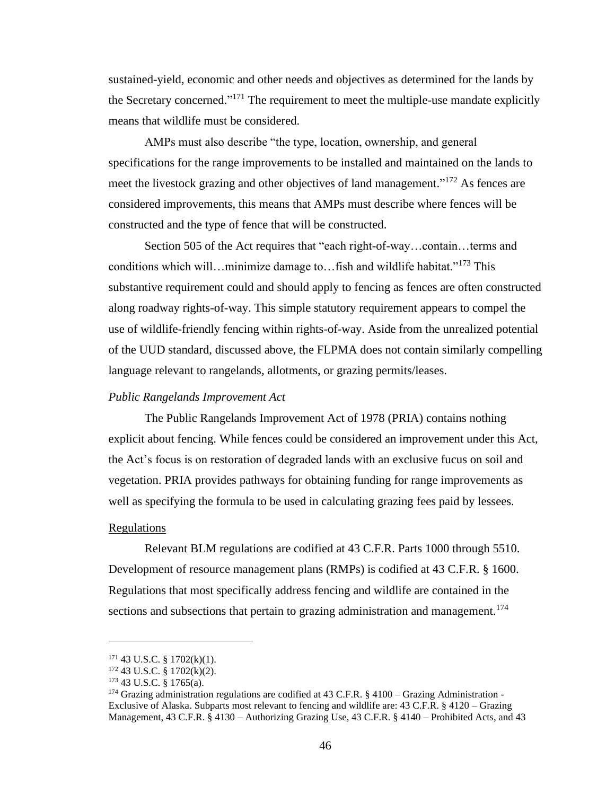sustained-yield, economic and other needs and objectives as determined for the lands by the Secretary concerned."<sup>171</sup> The requirement to meet the multiple-use mandate explicitly means that wildlife must be considered.

AMPs must also describe "the type, location, ownership, and general specifications for the range improvements to be installed and maintained on the lands to meet the livestock grazing and other objectives of land management."<sup>172</sup> As fences are considered improvements, this means that AMPs must describe where fences will be constructed and the type of fence that will be constructed.

Section 505 of the Act requires that "each right-of-way…contain…terms and conditions which will…minimize damage to…fish and wildlife habitat."<sup>173</sup> This substantive requirement could and should apply to fencing as fences are often constructed along roadway rights-of-way. This simple statutory requirement appears to compel the use of wildlife-friendly fencing within rights-of-way. Aside from the unrealized potential of the UUD standard, discussed above, the FLPMA does not contain similarly compelling language relevant to rangelands, allotments, or grazing permits/leases.

### *Public Rangelands Improvement Act*

The Public Rangelands Improvement Act of 1978 (PRIA) contains nothing explicit about fencing. While fences could be considered an improvement under this Act, the Act's focus is on restoration of degraded lands with an exclusive fucus on soil and vegetation. PRIA provides pathways for obtaining funding for range improvements as well as specifying the formula to be used in calculating grazing fees paid by lessees.

#### Regulations

Relevant BLM regulations are codified at 43 C.F.R. Parts 1000 through 5510. Development of resource management plans (RMPs) is codified at 43 C.F.R. § 1600. Regulations that most specifically address fencing and wildlife are contained in the sections and subsections that pertain to grazing administration and management.<sup>174</sup>

 $171$  43 U.S.C. § 1702(k)(1).

<sup>172</sup> 43 U.S.C. § 1702(k)(2).

<sup>173</sup> 43 U.S.C. § 1765(a).

<sup>&</sup>lt;sup>174</sup> Grazing administration regulations are codified at 43 C.F.R. § 4100 – Grazing Administration -Exclusive of Alaska. Subparts most relevant to fencing and wildlife are: 43 C.F.R. § 4120 – Grazing Management, 43 C.F.R. § 4130 – Authorizing Grazing Use, 43 C.F.R. § 4140 – Prohibited Acts, and 43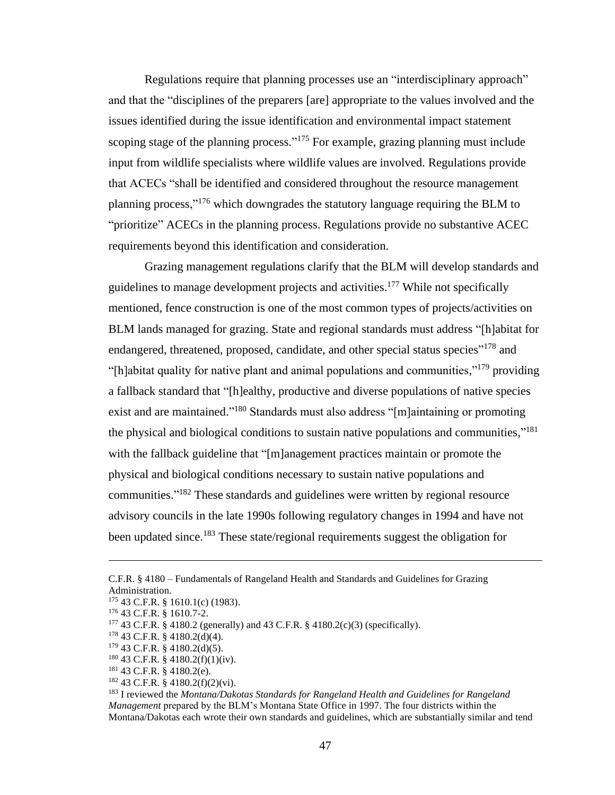Regulations require that planning processes use an "interdisciplinary approach" and that the "disciplines of the preparers [are] appropriate to the values involved and the issues identified during the issue identification and environmental impact statement scoping stage of the planning process."<sup>175</sup> For example, grazing planning must include input from wildlife specialists where wildlife values are involved. Regulations provide that ACECs "shall be identified and considered throughout the resource management planning process,"<sup>176</sup> which downgrades the statutory language requiring the BLM to "prioritize" ACECs in the planning process. Regulations provide no substantive ACEC requirements beyond this identification and consideration.

Grazing management regulations clarify that the BLM will develop standards and guidelines to manage development projects and activities.<sup>177</sup> While not specifically mentioned, fence construction is one of the most common types of projects/activities on BLM lands managed for grazing. State and regional standards must address "[h]abitat for endangered, threatened, proposed, candidate, and other special status species"<sup>178</sup> and "[h]abitat quality for native plant and animal populations and communities,"<sup>179</sup> providing a fallback standard that "[h]ealthy, productive and diverse populations of native species exist and are maintained."<sup>180</sup> Standards must also address "[m]aintaining or promoting the physical and biological conditions to sustain native populations and communities,"<sup>181</sup> with the fallback guideline that "[m]anagement practices maintain or promote the physical and biological conditions necessary to sustain native populations and communities."<sup>182</sup> These standards and guidelines were written by regional resource advisory councils in the late 1990s following regulatory changes in 1994 and have not been updated since.<sup>183</sup> These state/regional requirements suggest the obligation for

C.F.R. § 4180 – Fundamentals of Rangeland Health and Standards and Guidelines for Grazing Administration.

<sup>175</sup> 43 C.F.R. § 1610.1(c) (1983).

<sup>176</sup> 43 C.F.R. § 1610.7-2.

<sup>177</sup> 43 C.F.R. § 4180.2 (generally) and 43 C.F.R. § 4180.2(c)(3) (specifically).

<sup>178</sup> 43 C.F.R. § 4180.2(d)(4).

 $179$  43 C.F.R. § 4180.2(d)(5).

<sup>180</sup> 43 C.F.R. § 4180.2(f)(1)(iv).

<sup>181</sup> 43 C.F.R. § 4180.2(e).

<sup>182</sup> 43 C.F.R. § 4180.2(f)(2)(vi).

<sup>183</sup> I reviewed the *Montana/Dakotas Standards for Rangeland Health and Guidelines for Rangeland Management* prepared by the BLM's Montana State Office in 1997. The four districts within the Montana/Dakotas each wrote their own standards and guidelines, which are substantially similar and tend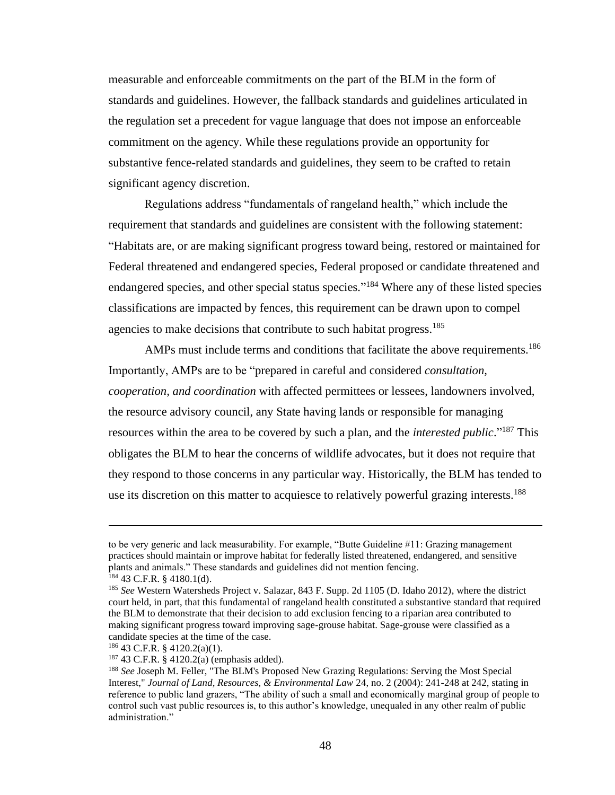measurable and enforceable commitments on the part of the BLM in the form of standards and guidelines. However, the fallback standards and guidelines articulated in the regulation set a precedent for vague language that does not impose an enforceable commitment on the agency. While these regulations provide an opportunity for substantive fence-related standards and guidelines, they seem to be crafted to retain significant agency discretion.

Regulations address "fundamentals of rangeland health," which include the requirement that standards and guidelines are consistent with the following statement: "Habitats are, or are making significant progress toward being, restored or maintained for Federal threatened and endangered species, Federal proposed or candidate threatened and endangered species, and other special status species."<sup>184</sup> Where any of these listed species classifications are impacted by fences, this requirement can be drawn upon to compel agencies to make decisions that contribute to such habitat progress.<sup>185</sup>

AMPs must include terms and conditions that facilitate the above requirements.<sup>186</sup> Importantly, AMPs are to be "prepared in careful and considered *consultation, cooperation, and coordination* with affected permittees or lessees, landowners involved, the resource advisory council, any State having lands or responsible for managing resources within the area to be covered by such a plan, and the *interested public*." <sup>187</sup> This obligates the BLM to hear the concerns of wildlife advocates, but it does not require that they respond to those concerns in any particular way. Historically, the BLM has tended to use its discretion on this matter to acquiesce to relatively powerful grazing interests.<sup>188</sup>

to be very generic and lack measurability. For example, "Butte Guideline #11: Grazing management practices should maintain or improve habitat for federally listed threatened, endangered, and sensitive plants and animals." These standards and guidelines did not mention fencing. <sup>184</sup> 43 C.F.R. § 4180.1(d).

<sup>185</sup> *See* Western Watersheds Project v. Salazar, 843 F. Supp. 2d 1105 (D. Idaho 2012), where the district court held, in part, that this fundamental of rangeland health constituted a substantive standard that required the BLM to demonstrate that their decision to add exclusion fencing to a riparian area contributed to making significant progress toward improving sage-grouse habitat. Sage-grouse were classified as a candidate species at the time of the case.

 $186$  43 C.F.R. § 4120.2(a)(1).

<sup>187</sup> 43 C.F.R. § 4120.2(a) (emphasis added).

<sup>188</sup> *See* Joseph M. Feller, "The BLM's Proposed New Grazing Regulations: Serving the Most Special Interest," *Journal of Land, Resources, & Environmental Law* 24, no. 2 (2004): 241-248 at 242, stating in reference to public land grazers, "The ability of such a small and economically marginal group of people to control such vast public resources is, to this author's knowledge, unequaled in any other realm of public administration."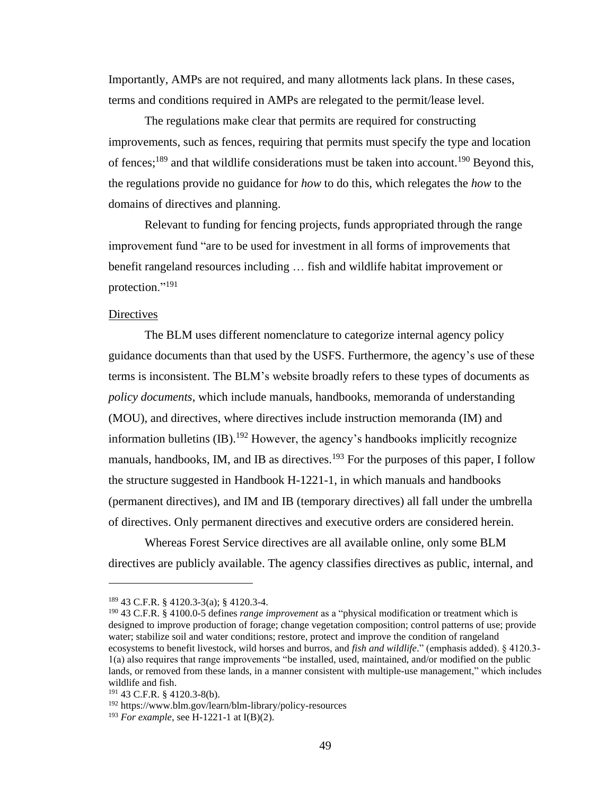Importantly, AMPs are not required, and many allotments lack plans. In these cases, terms and conditions required in AMPs are relegated to the permit/lease level.

The regulations make clear that permits are required for constructing improvements, such as fences, requiring that permits must specify the type and location of fences;<sup>189</sup> and that wildlife considerations must be taken into account.<sup>190</sup> Beyond this, the regulations provide no guidance for *how* to do this, which relegates the *how* to the domains of directives and planning.

Relevant to funding for fencing projects, funds appropriated through the range improvement fund "are to be used for investment in all forms of improvements that benefit rangeland resources including … fish and wildlife habitat improvement or protection."<sup>191</sup>

# **Directives**

The BLM uses different nomenclature to categorize internal agency policy guidance documents than that used by the USFS. Furthermore, the agency's use of these terms is inconsistent. The BLM's website broadly refers to these types of documents as *policy documents*, which include manuals, handbooks, memoranda of understanding (MOU), and directives, where directives include instruction memoranda (IM) and information bulletins  $(IB)$ .<sup>192</sup> However, the agency's handbooks implicitly recognize manuals, handbooks, IM, and IB as directives.<sup>193</sup> For the purposes of this paper, I follow the structure suggested in Handbook H-1221-1, in which manuals and handbooks (permanent directives), and IM and IB (temporary directives) all fall under the umbrella of directives. Only permanent directives and executive orders are considered herein.

Whereas Forest Service directives are all available online, only some BLM directives are publicly available. The agency classifies directives as public, internal, and

<sup>189</sup> 43 C.F.R. § 4120.3-3(a); § 4120.3-4.

<sup>190</sup> 43 C.F.R. § 4100.0-5 defines *range improvement* as a "physical modification or treatment which is designed to improve production of forage; change vegetation composition; control patterns of use; provide water; stabilize soil and water conditions; restore, protect and improve the condition of rangeland ecosystems to benefit livestock, wild horses and burros, and *fish and wildlife*." (emphasis added). § 4120.3- 1(a) also requires that range improvements "be installed, used, maintained, and/or modified on the public lands, or removed from these lands, in a manner consistent with multiple-use management," which includes wildlife and fish.

<sup>191</sup> 43 C.F.R. § 4120.3-8(b).

<sup>192</sup> https://www.blm.gov/learn/blm-library/policy-resources

<sup>193</sup> *For example*, see H-1221-1 at I(B)(2).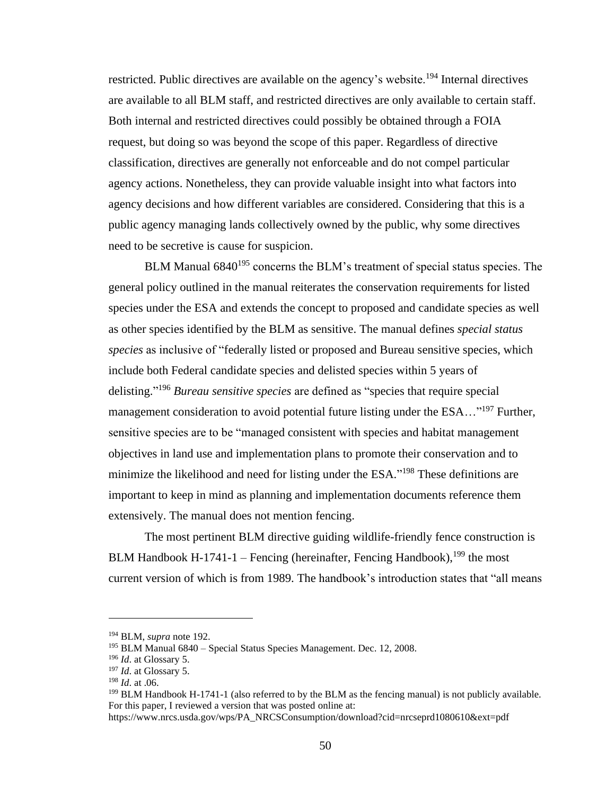restricted. Public directives are available on the agency's website.<sup>194</sup> Internal directives are available to all BLM staff, and restricted directives are only available to certain staff. Both internal and restricted directives could possibly be obtained through a FOIA request, but doing so was beyond the scope of this paper. Regardless of directive classification, directives are generally not enforceable and do not compel particular agency actions. Nonetheless, they can provide valuable insight into what factors into agency decisions and how different variables are considered. Considering that this is a public agency managing lands collectively owned by the public, why some directives need to be secretive is cause for suspicion.

BLM Manual  $6840^{195}$  concerns the BLM's treatment of special status species. The general policy outlined in the manual reiterates the conservation requirements for listed species under the ESA and extends the concept to proposed and candidate species as well as other species identified by the BLM as sensitive. The manual defines *special status species* as inclusive of "federally listed or proposed and Bureau sensitive species, which include both Federal candidate species and delisted species within 5 years of delisting." <sup>196</sup> *Bureau sensitive species* are defined as "species that require special management consideration to avoid potential future listing under the ESA..."<sup>197</sup> Further, sensitive species are to be "managed consistent with species and habitat management objectives in land use and implementation plans to promote their conservation and to minimize the likelihood and need for listing under the ESA."<sup>198</sup> These definitions are important to keep in mind as planning and implementation documents reference them extensively. The manual does not mention fencing.

The most pertinent BLM directive guiding wildlife-friendly fence construction is BLM Handbook H-1741-1 – Fencing (hereinafter, Fencing Handbook), $199$  the most current version of which is from 1989. The handbook's introduction states that "all means

<sup>194</sup> BLM, *supra* note 192.

<sup>&</sup>lt;sup>195</sup> BLM Manual 6840 – Special Status Species Management. Dec. 12, 2008.

<sup>196</sup> *Id*. at Glossary 5.

<sup>197</sup> *Id*. at Glossary 5.

<sup>198</sup> *Id*. at .06.

<sup>&</sup>lt;sup>199</sup> BLM Handbook H-1741-1 (also referred to by the BLM as the fencing manual) is not publicly available. For this paper, I reviewed a version that was posted online at:

https://www.nrcs.usda.gov/wps/PA\_NRCSConsumption/download?cid=nrcseprd1080610&ext=pdf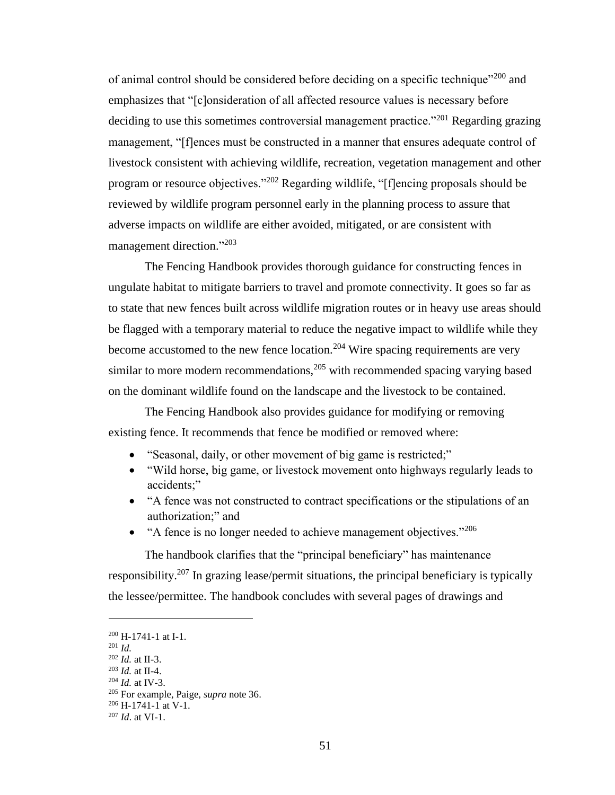of animal control should be considered before deciding on a specific technique"<sup>200</sup> and emphasizes that "[c]onsideration of all affected resource values is necessary before deciding to use this sometimes controversial management practice."<sup>201</sup> Regarding grazing management, "[f]ences must be constructed in a manner that ensures adequate control of livestock consistent with achieving wildlife, recreation, vegetation management and other program or resource objectives."<sup>202</sup> Regarding wildlife, "[f]encing proposals should be reviewed by wildlife program personnel early in the planning process to assure that adverse impacts on wildlife are either avoided, mitigated, or are consistent with management direction."<sup>203</sup>

The Fencing Handbook provides thorough guidance for constructing fences in ungulate habitat to mitigate barriers to travel and promote connectivity. It goes so far as to state that new fences built across wildlife migration routes or in heavy use areas should be flagged with a temporary material to reduce the negative impact to wildlife while they become accustomed to the new fence location.<sup>204</sup> Wire spacing requirements are very similar to more modern recommendations,  $205$  with recommended spacing varying based on the dominant wildlife found on the landscape and the livestock to be contained.

The Fencing Handbook also provides guidance for modifying or removing existing fence. It recommends that fence be modified or removed where:

- "Seasonal, daily, or other movement of big game is restricted;"
- "Wild horse, big game, or livestock movement onto highways regularly leads to accidents;"
- "A fence was not constructed to contract specifications or the stipulations of an authorization;" and
- "A fence is no longer needed to achieve management objectives."  $^{206}$

The handbook clarifies that the "principal beneficiary" has maintenance responsibility.<sup>207</sup> In grazing lease/permit situations, the principal beneficiary is typically the lessee/permittee. The handbook concludes with several pages of drawings and

 $200$  H-1741-1 at I-1.

<sup>201</sup> *Id.*

<sup>202</sup> *Id.* at II-3.

<sup>203</sup> *Id.* at II-4.

<sup>204</sup> *Id.* at IV-3.

<sup>205</sup> For example, Paige, *supra* note 36.

 $206$  H-1741-1 at V-1.

<sup>207</sup> *Id*. at VI-1.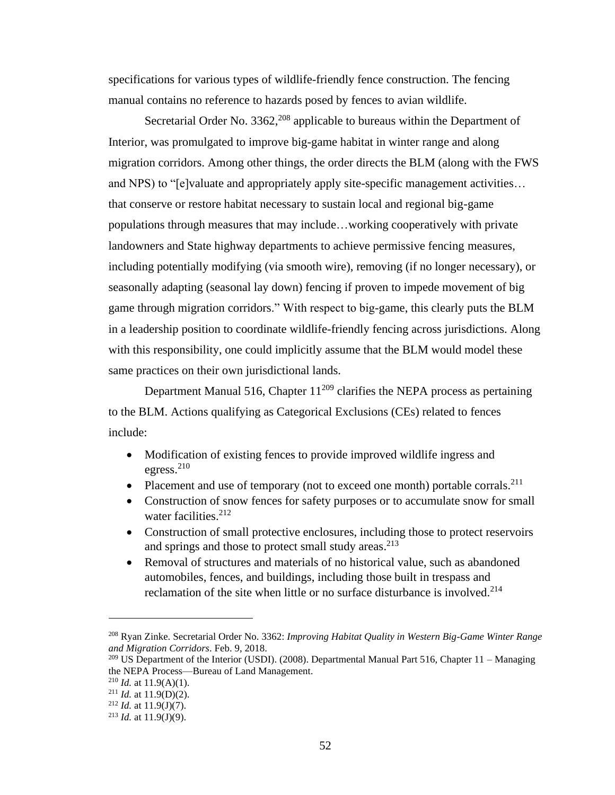specifications for various types of wildlife-friendly fence construction. The fencing manual contains no reference to hazards posed by fences to avian wildlife.

Secretarial Order No.  $3362$ <sup>208</sup> applicable to bureaus within the Department of Interior, was promulgated to improve big-game habitat in winter range and along migration corridors. Among other things, the order directs the BLM (along with the FWS and NPS) to "[e]valuate and appropriately apply site-specific management activities… that conserve or restore habitat necessary to sustain local and regional big-game populations through measures that may include…working cooperatively with private landowners and State highway departments to achieve permissive fencing measures, including potentially modifying (via smooth wire), removing (if no longer necessary), or seasonally adapting (seasonal lay down) fencing if proven to impede movement of big game through migration corridors." With respect to big-game, this clearly puts the BLM in a leadership position to coordinate wildlife-friendly fencing across jurisdictions. Along with this responsibility, one could implicitly assume that the BLM would model these same practices on their own jurisdictional lands.

Department Manual 516, Chapter  $11^{209}$  clarifies the NEPA process as pertaining to the BLM. Actions qualifying as Categorical Exclusions (CEs) related to fences include:

- Modification of existing fences to provide improved wildlife ingress and egress. 210
- Placement and use of temporary (not to exceed one month) portable corrals.<sup>211</sup>
- Construction of snow fences for safety purposes or to accumulate snow for small water facilities.<sup>212</sup>
- Construction of small protective enclosures, including those to protect reservoirs and springs and those to protect small study areas.<sup>213</sup>
- Removal of structures and materials of no historical value, such as abandoned automobiles, fences, and buildings, including those built in trespass and reclamation of the site when little or no surface disturbance is involved. 214

<sup>208</sup> Ryan Zinke. Secretarial Order No. 3362: *Improving Habitat Quality in Western Big-Game Winter Range and Migration Corridors*. Feb. 9, 2018.

<sup>&</sup>lt;sup>209</sup> US Department of the Interior (USDI). (2008). Departmental Manual Part 516, Chapter 11 – Managing the NEPA Process—Bureau of Land Management.

 $^{210}$  *Id.* at 11.9(A)(1).

<sup>&</sup>lt;sup>211</sup> *Id.* at 11.9(D)(2).

<sup>&</sup>lt;sup>212</sup> *Id.* at 11.9(J)(7).

 $2^{13}$  *Id.* at 11.9(J)(9).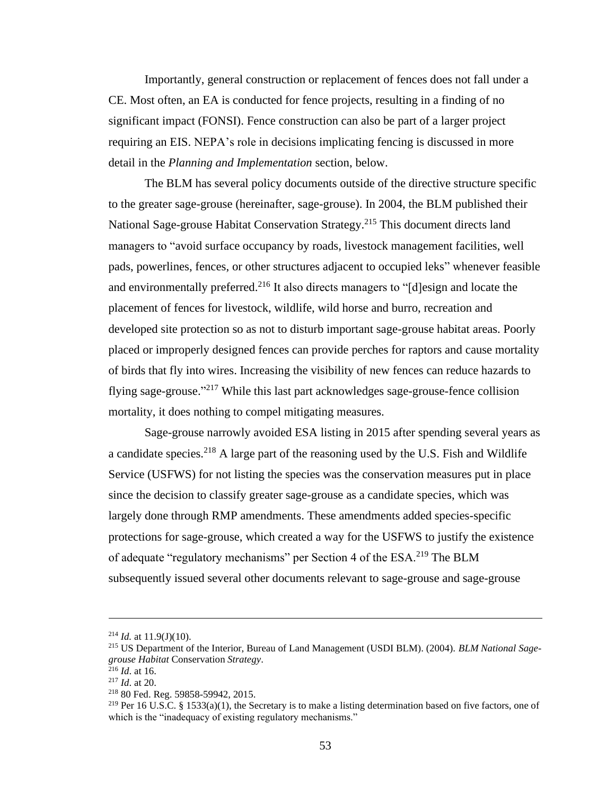Importantly, general construction or replacement of fences does not fall under a CE. Most often, an EA is conducted for fence projects, resulting in a finding of no significant impact (FONSI). Fence construction can also be part of a larger project requiring an EIS. NEPA's role in decisions implicating fencing is discussed in more detail in the *Planning and Implementation* section, below.

The BLM has several policy documents outside of the directive structure specific to the greater sage-grouse (hereinafter, sage-grouse). In 2004, the BLM published their National Sage-grouse Habitat Conservation Strategy.<sup>215</sup> This document directs land managers to "avoid surface occupancy by roads, livestock management facilities, well pads, powerlines, fences, or other structures adjacent to occupied leks" whenever feasible and environmentally preferred.<sup>216</sup> It also directs managers to "[d]esign and locate the placement of fences for livestock, wildlife, wild horse and burro, recreation and developed site protection so as not to disturb important sage-grouse habitat areas. Poorly placed or improperly designed fences can provide perches for raptors and cause mortality of birds that fly into wires. Increasing the visibility of new fences can reduce hazards to flying sage-grouse."<sup>217</sup> While this last part acknowledges sage-grouse-fence collision mortality, it does nothing to compel mitigating measures.

Sage-grouse narrowly avoided ESA listing in 2015 after spending several years as a candidate species.<sup>218</sup> A large part of the reasoning used by the U.S. Fish and Wildlife Service (USFWS) for not listing the species was the conservation measures put in place since the decision to classify greater sage-grouse as a candidate species, which was largely done through RMP amendments. These amendments added species-specific protections for sage-grouse, which created a way for the USFWS to justify the existence of adequate "regulatory mechanisms" per Section 4 of the ESA.<sup>219</sup> The BLM subsequently issued several other documents relevant to sage-grouse and sage-grouse

 $^{214}$  *Id.* at 11.9(J)(10).

<sup>215</sup> US Department of the Interior, Bureau of Land Management (USDI BLM). (2004). *BLM National Sagegrouse Habitat* Conservation *Strategy*.

<sup>216</sup> *Id*. at 16.

<sup>217</sup> *Id*. at 20.

<sup>218</sup> 80 Fed. Reg. 59858-59942, 2015.

<sup>&</sup>lt;sup>219</sup> Per 16 U.S.C. § 1533(a)(1), the Secretary is to make a listing determination based on five factors, one of which is the "inadequacy of existing regulatory mechanisms."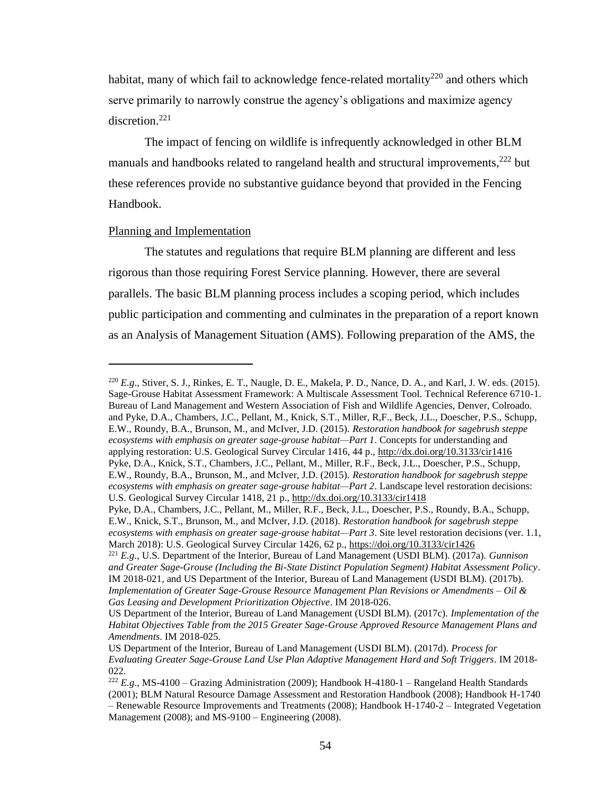habitat, many of which fail to acknowledge fence-related mortality<sup>220</sup> and others which serve primarily to narrowly construe the agency's obligations and maximize agency discretion.<sup>221</sup>

The impact of fencing on wildlife is infrequently acknowledged in other BLM manuals and handbooks related to rangeland health and structural improvements,<sup>222</sup> but these references provide no substantive guidance beyond that provided in the Fencing Handbook.

### Planning and Implementation

The statutes and regulations that require BLM planning are different and less rigorous than those requiring Forest Service planning. However, there are several parallels. The basic BLM planning process includes a scoping period, which includes public participation and commenting and culminates in the preparation of a report known as an Analysis of Management Situation (AMS). Following preparation of the AMS, the

<sup>220</sup> *E.g*., Stiver, S. J., Rinkes, E. T., Naugle, D. E., Makela, P. D., Nance, D. A., and Karl, J. W. eds. (2015). Sage-Grouse Habitat Assessment Framework: A Multiscale Assessment Tool. Technical Reference 6710-1. Bureau of Land Management and Western Association of Fish and Wildlife Agencies, Denver, Colroado. and Pyke, D.A., Chambers, J.C., Pellant, M., Knick, S.T., Miller, R,F., Beck, J.L., Doescher, P.S., Schupp, E.W., Roundy, B.A., Brunson, M., and McIver, J.D. (2015). *Restoration handbook for sagebrush steppe ecosystems with emphasis on greater sage-grouse habitat—Part 1*. Concepts for understanding and applying restoration: U.S. Geological Survey Circular 1416, 44 p.,<http://dx.doi.org/10.3133/cir1416> Pyke, D.A., Knick, S.T., Chambers, J.C., Pellant, M., Miller, R.F., Beck, J.L., Doescher, P.S., Schupp, E.W., Roundy, B.A., Brunson, M., and McIver, J.D. (2015). *Restoration handbook for sagebrush steppe ecosystems with emphasis on greater sage-grouse habitat—Part 2*. Landscape level restoration decisions: U.S. Geological Survey Circular 1418, 21 p.[, http://dx.doi.org/10.3133/cir1418](http://dx.doi.org/10.3133/cir1418)

Pyke, D.A., Chambers, J.C., Pellant, M., Miller, R.F., Beck, J.L., Doescher, P.S., Roundy, B.A., Schupp, E.W., Knick, S.T., Brunson, M., and McIver, J.D. (2018). *Restoration handbook for sagebrush steppe ecosystems with emphasis on greater sage-grouse habitat—Part 3*. Site level restoration decisions (ver. 1.1, March 2018): U.S. Geological Survey Circular 1426, 62 p.,<https://doi.org/10.3133/cir1426>

<sup>221</sup> *E.g*., U.S. Department of the Interior, Bureau of Land Management (USDI BLM). (2017a). *Gunnison and Greater Sage-Grouse (Including the Bi-State Distinct Population Segment) Habitat Assessment Policy*. IM 2018-021, and US Department of the Interior, Bureau of Land Management (USDI BLM). (2017b). *Implementation of Greater Sage-Grouse Resource Management Plan Revisions or Amendments – Oil & Gas Leasing and Development Prioritization Objective*. IM 2018-026.

US Department of the Interior, Bureau of Land Management (USDI BLM). (2017c). *Implementation of the Habitat Objectives Table from the 2015 Greater Sage-Grouse Approved Resource Management Plans and Amendments*. IM 2018-025.

US Department of the Interior, Bureau of Land Management (USDI BLM). (2017d). *Process for Evaluating Greater Sage-Grouse Land Use Plan Adaptive Management Hard and Soft Triggers*. IM 2018- 022.

<sup>&</sup>lt;sup>222</sup>  $E.g., MS-4100 - Grazing Administration (2009); Handbook H-4180-1 - Rangeland Health Standards$ (2001); BLM Natural Resource Damage Assessment and Restoration Handbook (2008); Handbook H-1740 – Renewable Resource Improvements and Treatments (2008); Handbook H-1740-2 – Integrated Vegetation Management (2008); and MS-9100 – Engineering (2008).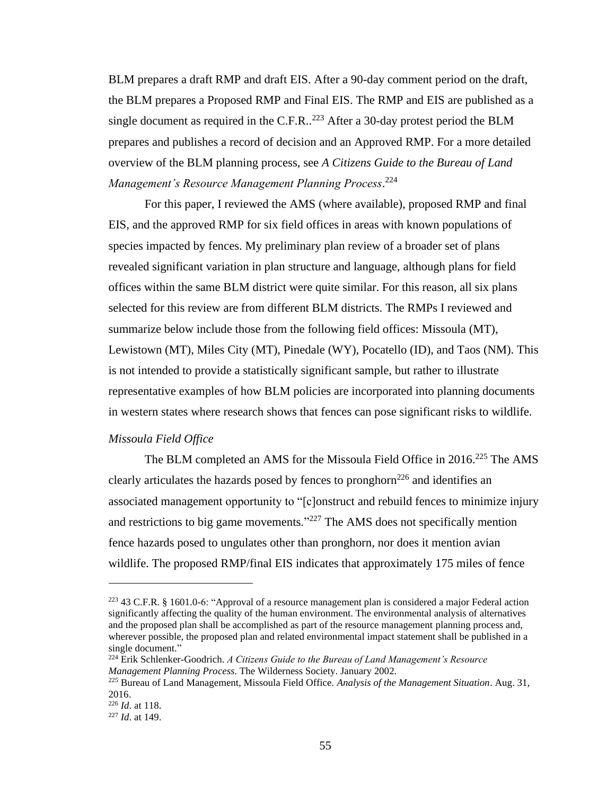BLM prepares a draft RMP and draft EIS. After a 90-day comment period on the draft, the BLM prepares a Proposed RMP and Final EIS. The RMP and EIS are published as a single document as required in the C.F.R..<sup>223</sup> After a 30-day protest period the BLM prepares and publishes a record of decision and an Approved RMP. For a more detailed overview of the BLM planning process, see *A Citizens Guide to the Bureau of Land Management's Resource Management Planning Process*. 224

For this paper, I reviewed the AMS (where available), proposed RMP and final EIS, and the approved RMP for six field offices in areas with known populations of species impacted by fences. My preliminary plan review of a broader set of plans revealed significant variation in plan structure and language, although plans for field offices within the same BLM district were quite similar. For this reason, all six plans selected for this review are from different BLM districts. The RMPs I reviewed and summarize below include those from the following field offices: Missoula (MT), Lewistown (MT), Miles City (MT), Pinedale (WY), Pocatello (ID), and Taos (NM). This is not intended to provide a statistically significant sample, but rather to illustrate representative examples of how BLM policies are incorporated into planning documents in western states where research shows that fences can pose significant risks to wildlife.

## *Missoula Field Office*

The BLM completed an AMS for the Missoula Field Office in 2016.<sup>225</sup> The AMS clearly articulates the hazards posed by fences to pronghorn<sup>226</sup> and identifies an associated management opportunity to "[c]onstruct and rebuild fences to minimize injury and restrictions to big game movements."<sup>227</sup> The AMS does not specifically mention fence hazards posed to ungulates other than pronghorn, nor does it mention avian wildlife. The proposed RMP/final EIS indicates that approximately 175 miles of fence

<sup>223</sup> 43 C.F.R. § 1601.0-6: "Approval of a resource management plan is considered a major Federal action significantly affecting the quality of the human environment. The environmental analysis of alternatives and the proposed plan shall be accomplished as part of the resource management planning process and, wherever possible, the proposed plan and related environmental impact statement shall be published in a single document."

<sup>224</sup> Erik Schlenker-Goodrich. *A Citizens Guide to the Bureau of Land Management's Resource Management Planning Process*. The Wilderness Society. January 2002.

<sup>225</sup> Bureau of Land Management, Missoula Field Office. *Analysis of the Management Situation*. Aug. 31, 2016.

<sup>226</sup> *Id*. at 118.

<sup>227</sup> *Id*. at 149.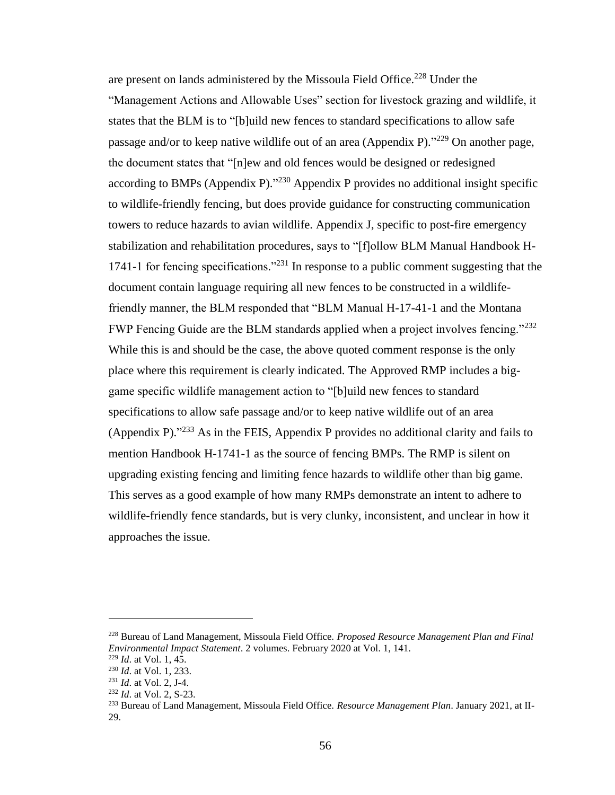are present on lands administered by the Missoula Field Office.<sup>228</sup> Under the "Management Actions and Allowable Uses" section for livestock grazing and wildlife, it states that the BLM is to "[b]uild new fences to standard specifications to allow safe passage and/or to keep native wildlife out of an area (Appendix P)."<sup>229</sup> On another page, the document states that "[n]ew and old fences would be designed or redesigned according to BMPs (Appendix P).<sup> $230$ </sup> Appendix P provides no additional insight specific to wildlife-friendly fencing, but does provide guidance for constructing communication towers to reduce hazards to avian wildlife. Appendix J, specific to post-fire emergency stabilization and rehabilitation procedures, says to "[f]ollow BLM Manual Handbook H-1741-1 for fencing specifications."<sup>231</sup> In response to a public comment suggesting that the document contain language requiring all new fences to be constructed in a wildlifefriendly manner, the BLM responded that "BLM Manual H-17-41-1 and the Montana FWP Fencing Guide are the BLM standards applied when a project involves fencing."<sup>232</sup> While this is and should be the case, the above quoted comment response is the only place where this requirement is clearly indicated. The Approved RMP includes a biggame specific wildlife management action to "[b]uild new fences to standard specifications to allow safe passage and/or to keep native wildlife out of an area (Appendix P).<sup> $233$ </sup> As in the FEIS, Appendix P provides no additional clarity and fails to mention Handbook H-1741-1 as the source of fencing BMPs. The RMP is silent on upgrading existing fencing and limiting fence hazards to wildlife other than big game. This serves as a good example of how many RMPs demonstrate an intent to adhere to wildlife-friendly fence standards, but is very clunky, inconsistent, and unclear in how it approaches the issue.

<sup>228</sup> Bureau of Land Management, Missoula Field Office. *Proposed Resource Management Plan and Final Environmental Impact Statement*. 2 volumes. February 2020 at Vol. 1, 141.

<sup>229</sup> *Id*. at Vol. 1, 45.

<sup>230</sup> *Id*. at Vol. 1, 233.

<sup>231</sup> *Id*. at Vol. 2, J-4.

<sup>232</sup> *Id*. at Vol. 2, S-23.

<sup>233</sup> Bureau of Land Management, Missoula Field Office. *Resource Management Plan*. January 2021, at II-29.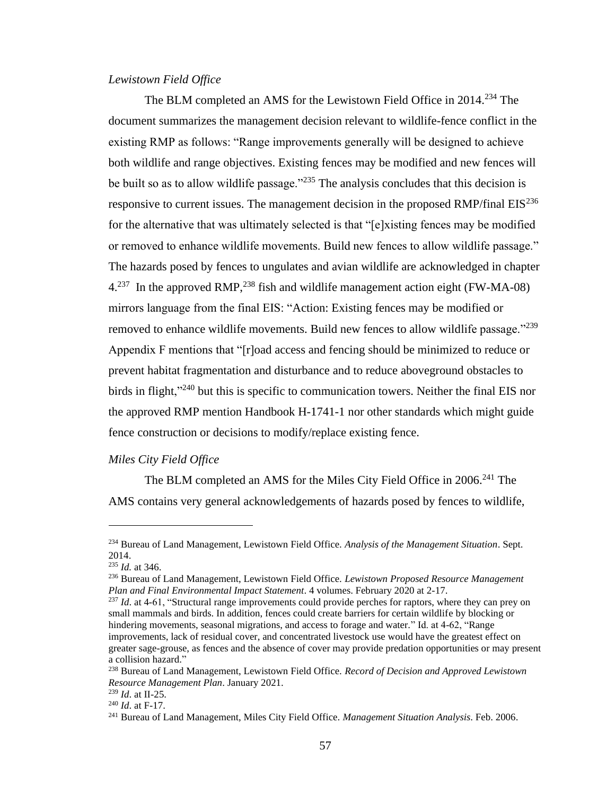## *Lewistown Field Office*

The BLM completed an AMS for the Lewistown Field Office in 2014.<sup>234</sup> The document summarizes the management decision relevant to wildlife-fence conflict in the existing RMP as follows: "Range improvements generally will be designed to achieve both wildlife and range objectives. Existing fences may be modified and new fences will be built so as to allow wildlife passage."<sup>235</sup> The analysis concludes that this decision is responsive to current issues. The management decision in the proposed RMP/final  $EIS<sup>236</sup>$ for the alternative that was ultimately selected is that "[e]xisting fences may be modified or removed to enhance wildlife movements. Build new fences to allow wildlife passage." The hazards posed by fences to ungulates and avian wildlife are acknowledged in chapter  $4.^{237}$  In the approved RMP,<sup>238</sup> fish and wildlife management action eight (FW-MA-08) mirrors language from the final EIS: "Action: Existing fences may be modified or removed to enhance wildlife movements. Build new fences to allow wildlife passage."<sup>239</sup> Appendix F mentions that "[r]oad access and fencing should be minimized to reduce or prevent habitat fragmentation and disturbance and to reduce aboveground obstacles to birds in flight,"<sup>240</sup> but this is specific to communication towers. Neither the final EIS nor the approved RMP mention Handbook H-1741-1 nor other standards which might guide fence construction or decisions to modify/replace existing fence.

### *Miles City Field Office*

The BLM completed an AMS for the Miles City Field Office in 2006.<sup>241</sup> The AMS contains very general acknowledgements of hazards posed by fences to wildlife,

<sup>234</sup> Bureau of Land Management, Lewistown Field Office. *Analysis of the Management Situation*. Sept. 2014.

<sup>235</sup> *Id.* at 346.

<sup>236</sup> Bureau of Land Management, Lewistown Field Office. *Lewistown Proposed Resource Management Plan and Final Environmental Impact Statement*. 4 volumes. February 2020 at 2-17.

<sup>&</sup>lt;sup>237</sup> *Id.* at 4-61, "Structural range improvements could provide perches for raptors, where they can prey on small mammals and birds. In addition, fences could create barriers for certain wildlife by blocking or hindering movements, seasonal migrations, and access to forage and water." Id. at 4-62, "Range improvements, lack of residual cover, and concentrated livestock use would have the greatest effect on greater sage-grouse, as fences and the absence of cover may provide predation opportunities or may present a collision hazard."

<sup>238</sup> Bureau of Land Management, Lewistown Field Office. *Record of Decision and Approved Lewistown Resource Management Plan*. January 2021.

<sup>239</sup> *Id*. at II-25.

<sup>240</sup> *Id*. at F-17.

<sup>241</sup> Bureau of Land Management, Miles City Field Office. *Management Situation Analysis*. Feb. 2006.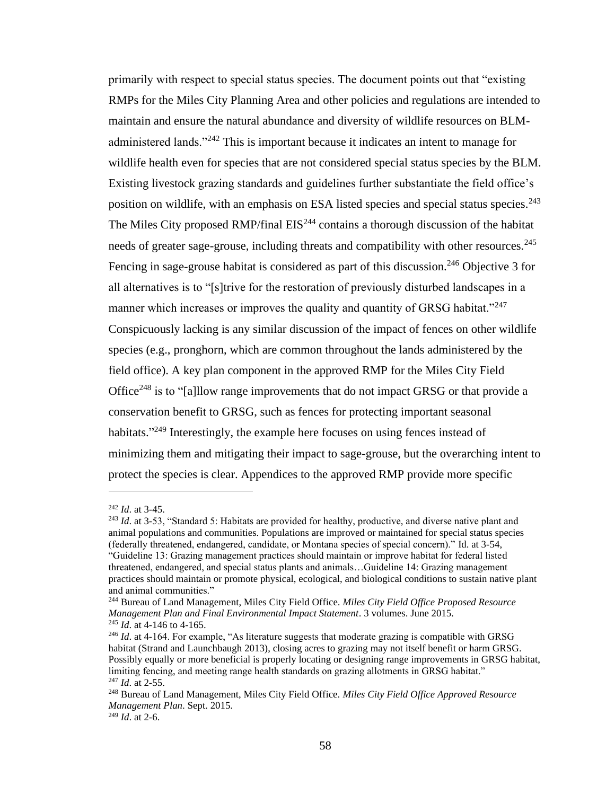primarily with respect to special status species. The document points out that "existing RMPs for the Miles City Planning Area and other policies and regulations are intended to maintain and ensure the natural abundance and diversity of wildlife resources on BLMadministered lands."<sup>242</sup> This is important because it indicates an intent to manage for wildlife health even for species that are not considered special status species by the BLM. Existing livestock grazing standards and guidelines further substantiate the field office's position on wildlife, with an emphasis on ESA listed species and special status species.<sup>243</sup> The Miles City proposed RMP/final EIS<sup>244</sup> contains a thorough discussion of the habitat needs of greater sage-grouse, including threats and compatibility with other resources.<sup>245</sup> Fencing in sage-grouse habitat is considered as part of this discussion.<sup>246</sup> Objective 3 for all alternatives is to "[s]trive for the restoration of previously disturbed landscapes in a manner which increases or improves the quality and quantity of GRSG habitat."<sup>247</sup> Conspicuously lacking is any similar discussion of the impact of fences on other wildlife species (e.g., pronghorn, which are common throughout the lands administered by the field office). A key plan component in the approved RMP for the Miles City Field Office<sup>248</sup> is to "[a]llow range improvements that do not impact GRSG or that provide a conservation benefit to GRSG, such as fences for protecting important seasonal habitats."<sup>249</sup> Interestingly, the example here focuses on using fences instead of minimizing them and mitigating their impact to sage-grouse, but the overarching intent to protect the species is clear. Appendices to the approved RMP provide more specific

<sup>242</sup> *Id*. at 3-45.

<sup>&</sup>lt;sup>243</sup> *Id.* at 3-53, "Standard 5: Habitats are provided for healthy, productive, and diverse native plant and animal populations and communities. Populations are improved or maintained for special status species (federally threatened, endangered, candidate, or Montana species of special concern)." Id. at 3-54, "Guideline 13: Grazing management practices should maintain or improve habitat for federal listed threatened, endangered, and special status plants and animals…Guideline 14: Grazing management practices should maintain or promote physical, ecological, and biological conditions to sustain native plant and animal communities."

<sup>244</sup> Bureau of Land Management, Miles City Field Office. *Miles City Field Office Proposed Resource Management Plan and Final Environmental Impact Statement*. 3 volumes. June 2015. <sup>245</sup> *Id*. at 4-146 to 4-165.

<sup>&</sup>lt;sup>246</sup> *Id.* at 4-164. For example, "As literature suggests that moderate grazing is compatible with GRSG habitat (Strand and Launchbaugh 2013), closing acres to grazing may not itself benefit or harm GRSG. Possibly equally or more beneficial is properly locating or designing range improvements in GRSG habitat, limiting fencing, and meeting range health standards on grazing allotments in GRSG habitat." <sup>247</sup> *Id*. at 2-55.

<sup>248</sup> Bureau of Land Management, Miles City Field Office. *Miles City Field Office Approved Resource Management Plan*. Sept. 2015.

<sup>249</sup> *Id*. at 2-6.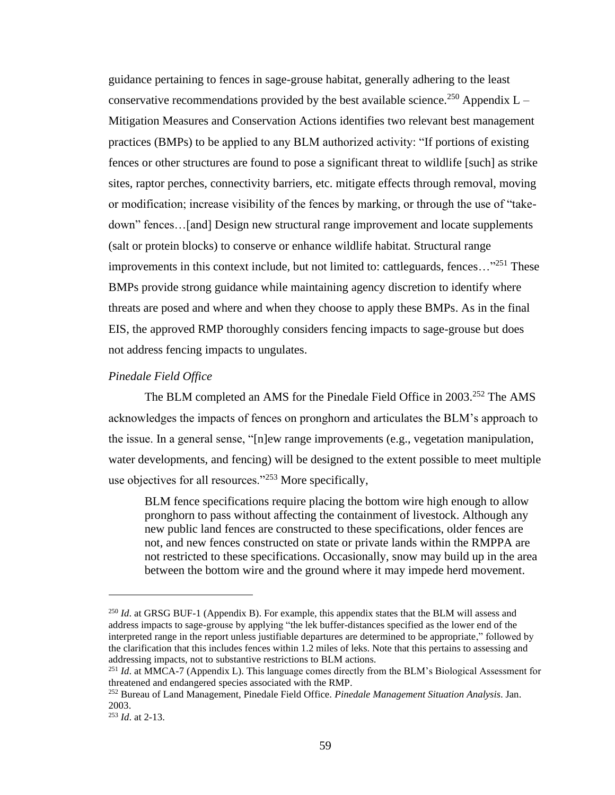guidance pertaining to fences in sage-grouse habitat, generally adhering to the least conservative recommendations provided by the best available science.<sup>250</sup> Appendix  $L -$ Mitigation Measures and Conservation Actions identifies two relevant best management practices (BMPs) to be applied to any BLM authorized activity: "If portions of existing fences or other structures are found to pose a significant threat to wildlife [such] as strike sites, raptor perches, connectivity barriers, etc. mitigate effects through removal, moving or modification; increase visibility of the fences by marking, or through the use of "takedown" fences…[and] Design new structural range improvement and locate supplements (salt or protein blocks) to conserve or enhance wildlife habitat. Structural range improvements in this context include, but not limited to: cattleguards, fences... $^{251}$  These BMPs provide strong guidance while maintaining agency discretion to identify where threats are posed and where and when they choose to apply these BMPs. As in the final EIS, the approved RMP thoroughly considers fencing impacts to sage-grouse but does not address fencing impacts to ungulates.

# *Pinedale Field Office*

The BLM completed an AMS for the Pinedale Field Office in 2003.<sup>252</sup> The AMS acknowledges the impacts of fences on pronghorn and articulates the BLM's approach to the issue. In a general sense, "[n]ew range improvements (e.g., vegetation manipulation, water developments, and fencing) will be designed to the extent possible to meet multiple use objectives for all resources."<sup>253</sup> More specifically,

BLM fence specifications require placing the bottom wire high enough to allow pronghorn to pass without affecting the containment of livestock. Although any new public land fences are constructed to these specifications, older fences are not, and new fences constructed on state or private lands within the RMPPA are not restricted to these specifications. Occasionally, snow may build up in the area between the bottom wire and the ground where it may impede herd movement.

<sup>&</sup>lt;sup>250</sup> *Id.* at GRSG BUF-1 (Appendix B). For example, this appendix states that the BLM will assess and address impacts to sage-grouse by applying "the lek buffer-distances specified as the lower end of the interpreted range in the report unless justifiable departures are determined to be appropriate," followed by the clarification that this includes fences within 1.2 miles of leks. Note that this pertains to assessing and addressing impacts, not to substantive restrictions to BLM actions.

<sup>251</sup> *Id*. at MMCA-7 (Appendix L). This language comes directly from the BLM's Biological Assessment for threatened and endangered species associated with the RMP.

<sup>252</sup> Bureau of Land Management, Pinedale Field Office. *Pinedale Management Situation Analysis*. Jan. 2003.

<sup>253</sup> *Id*. at 2-13.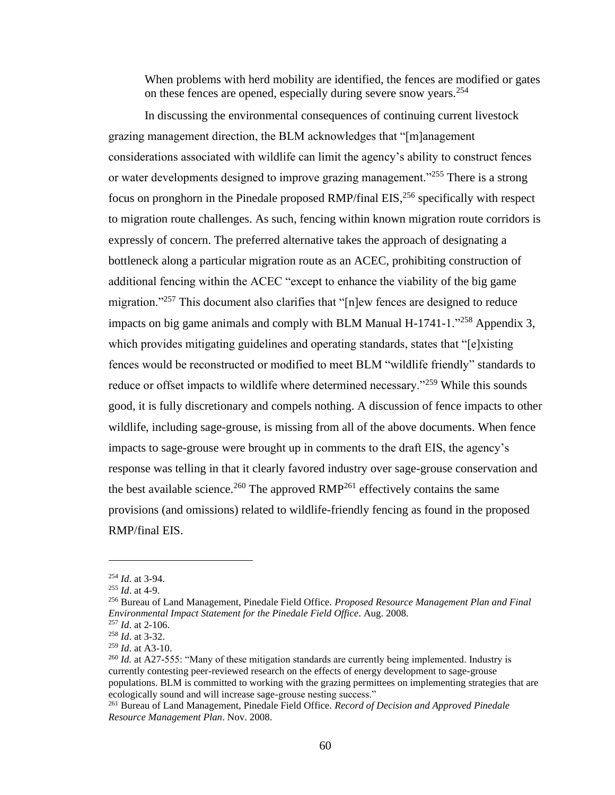When problems with herd mobility are identified, the fences are modified or gates on these fences are opened, especially during severe snow years.<sup>254</sup>

In discussing the environmental consequences of continuing current livestock grazing management direction, the BLM acknowledges that "[m]anagement considerations associated with wildlife can limit the agency's ability to construct fences or water developments designed to improve grazing management."<sup>255</sup> There is a strong focus on pronghorn in the Pinedale proposed RMP/final EIS,<sup>256</sup> specifically with respect to migration route challenges. As such, fencing within known migration route corridors is expressly of concern. The preferred alternative takes the approach of designating a bottleneck along a particular migration route as an ACEC, prohibiting construction of additional fencing within the ACEC "except to enhance the viability of the big game migration."<sup>257</sup> This document also clarifies that "[n]ew fences are designed to reduce impacts on big game animals and comply with BLM Manual  $H-1741-1$ .<sup>258</sup> Appendix 3, which provides mitigating guidelines and operating standards, states that "[e]xisting fences would be reconstructed or modified to meet BLM "wildlife friendly" standards to reduce or offset impacts to wildlife where determined necessary."<sup>259</sup> While this sounds good, it is fully discretionary and compels nothing. A discussion of fence impacts to other wildlife, including sage-grouse, is missing from all of the above documents. When fence impacts to sage-grouse were brought up in comments to the draft EIS, the agency's response was telling in that it clearly favored industry over sage-grouse conservation and the best available science.<sup>260</sup> The approved  $RMP<sup>261</sup>$  effectively contains the same provisions (and omissions) related to wildlife-friendly fencing as found in the proposed RMP/final EIS.

<sup>254</sup> *Id*. at 3-94.

<sup>255</sup> *Id*. at 4-9.

<sup>256</sup> Bureau of Land Management, Pinedale Field Office. *Proposed Resource Management Plan and Final Environmental Impact Statement for the Pinedale Field Office*. Aug. 2008.

<sup>257</sup> *Id*. at 2-106. <sup>258</sup> *Id*. at 3-32.

<sup>259</sup> *Id*. at A3-10.

<sup>&</sup>lt;sup>260</sup> *Id.* at A27-555: "Many of these mitigation standards are currently being implemented. Industry is currently contesting peer-reviewed research on the effects of energy development to sage-grouse populations. BLM is committed to working with the grazing permittees on implementing strategies that are ecologically sound and will increase sage-grouse nesting success."

<sup>261</sup> Bureau of Land Management, Pinedale Field Office. *Record of Decision and Approved Pinedale Resource Management Plan*. Nov. 2008.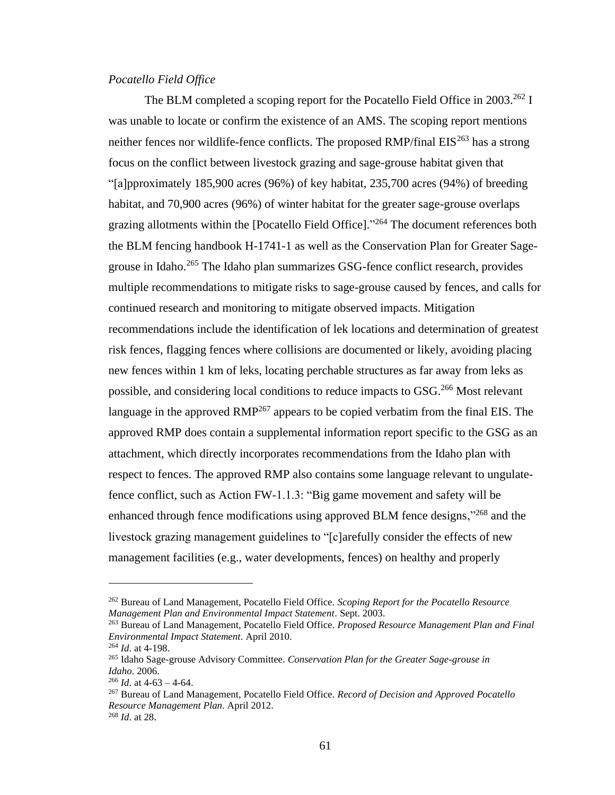# *Pocatello Field Office*

The BLM completed a scoping report for the Pocatello Field Office in  $2003.^{262}$  I was unable to locate or confirm the existence of an AMS. The scoping report mentions neither fences nor wildlife-fence conflicts. The proposed RMP/final  $EIS^{263}$  has a strong focus on the conflict between livestock grazing and sage-grouse habitat given that "[a]pproximately 185,900 acres (96%) of key habitat, 235,700 acres (94%) of breeding habitat, and 70,900 acres (96%) of winter habitat for the greater sage-grouse overlaps grazing allotments within the [Pocatello Field Office]."<sup>264</sup> The document references both the BLM fencing handbook H-1741-1 as well as the Conservation Plan for Greater Sagegrouse in Idaho.<sup>265</sup> The Idaho plan summarizes GSG-fence conflict research, provides multiple recommendations to mitigate risks to sage-grouse caused by fences, and calls for continued research and monitoring to mitigate observed impacts. Mitigation recommendations include the identification of lek locations and determination of greatest risk fences, flagging fences where collisions are documented or likely, avoiding placing new fences within 1 km of leks, locating perchable structures as far away from leks as possible, and considering local conditions to reduce impacts to GSG.<sup>266</sup> Most relevant language in the approved  $RMP^{267}$  appears to be copied verbatim from the final EIS. The approved RMP does contain a supplemental information report specific to the GSG as an attachment, which directly incorporates recommendations from the Idaho plan with respect to fences. The approved RMP also contains some language relevant to ungulatefence conflict, such as Action FW-1.1.3: "Big game movement and safety will be enhanced through fence modifications using approved BLM fence designs,"<sup>268</sup> and the livestock grazing management guidelines to "[c]arefully consider the effects of new management facilities (e.g., water developments, fences) on healthy and properly

<sup>262</sup> Bureau of Land Management, Pocatello Field Office. *Scoping Report for the Pocatello Resource Management Plan and Environmental Impact Statement*. Sept. 2003.

<sup>263</sup> Bureau of Land Management, Pocatello Field Office. *Proposed Resource Management Plan and Final Environmental Impact Statement*. April 2010.

<sup>264</sup> *Id*. at 4-198.

<sup>265</sup> Idaho Sage-grouse Advisory Committee. *Conservation Plan for the Greater Sage-grouse in Idaho*. 2006.

 $^{266}$  *Id.* at 4-63 – 4-64.

<sup>267</sup> Bureau of Land Management, Pocatello Field Office. *Record of Decision and Approved Pocatello Resource Management Plan*. April 2012.

<sup>268</sup> *Id*. at 28.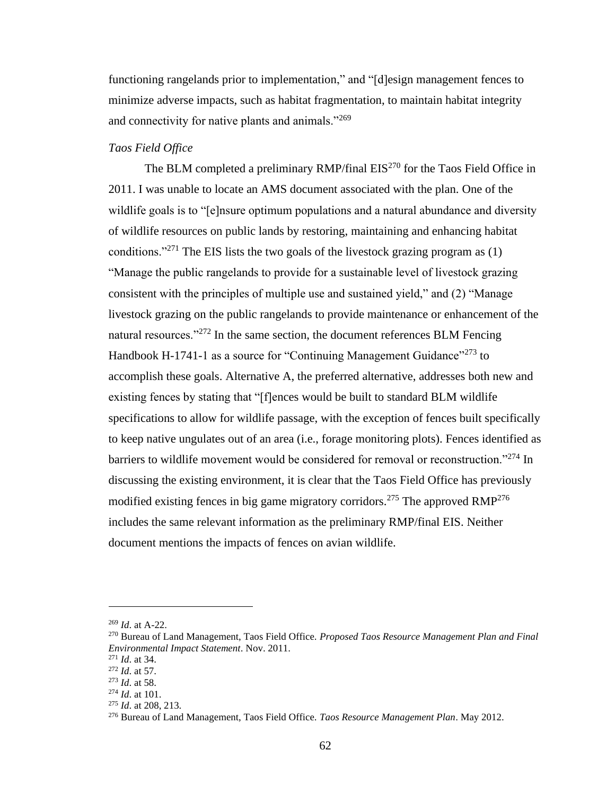functioning rangelands prior to implementation," and "[d]esign management fences to minimize adverse impacts, such as habitat fragmentation, to maintain habitat integrity and connectivity for native plants and animals."<sup>269</sup>

## *Taos Field Office*

The BLM completed a preliminary RMP/final  $EIS^{270}$  for the Taos Field Office in 2011. I was unable to locate an AMS document associated with the plan. One of the wildlife goals is to "[e]nsure optimum populations and a natural abundance and diversity of wildlife resources on public lands by restoring, maintaining and enhancing habitat conditions."<sup>271</sup> The EIS lists the two goals of the livestock grazing program as  $(1)$ "Manage the public rangelands to provide for a sustainable level of livestock grazing consistent with the principles of multiple use and sustained yield," and (2) "Manage livestock grazing on the public rangelands to provide maintenance or enhancement of the natural resources."<sup>272</sup> In the same section, the document references BLM Fencing Handbook H-1741-1 as a source for "Continuing Management Guidance"<sup>273</sup> to accomplish these goals. Alternative A, the preferred alternative, addresses both new and existing fences by stating that "[f]ences would be built to standard BLM wildlife specifications to allow for wildlife passage, with the exception of fences built specifically to keep native ungulates out of an area (i.e., forage monitoring plots). Fences identified as barriers to wildlife movement would be considered for removal or reconstruction."<sup>274</sup> In discussing the existing environment, it is clear that the Taos Field Office has previously modified existing fences in big game migratory corridors.<sup>275</sup> The approved RMP<sup>276</sup> includes the same relevant information as the preliminary RMP/final EIS. Neither document mentions the impacts of fences on avian wildlife.

<sup>269</sup> *Id*. at A-22.

<sup>270</sup> Bureau of Land Management, Taos Field Office. *Proposed Taos Resource Management Plan and Final Environmental Impact Statement*. Nov. 2011.

<sup>271</sup> *Id*. at 34.

<sup>272</sup> *Id*. at 57.

<sup>273</sup> *Id*. at 58.

<sup>274</sup> *Id*. at 101.

<sup>275</sup> *Id*. at 208, 213.

<sup>276</sup> Bureau of Land Management, Taos Field Office. *Taos Resource Management Plan*. May 2012.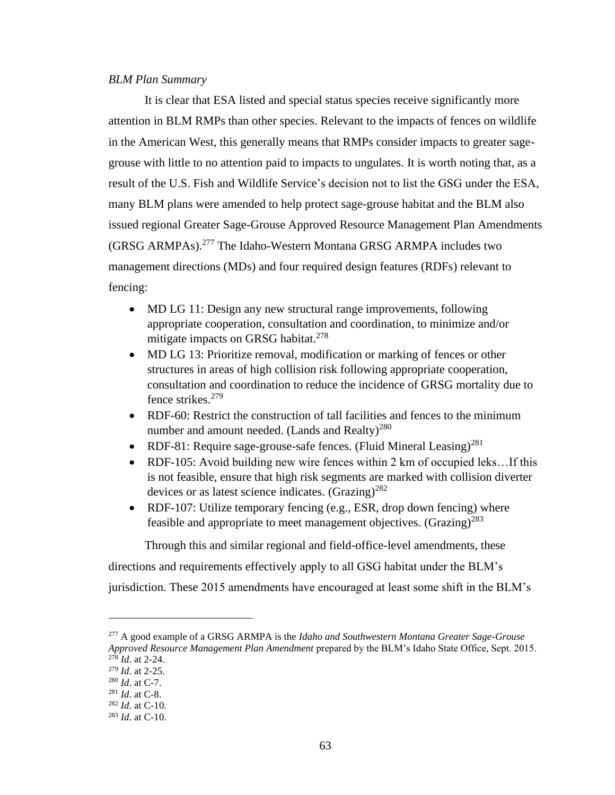## *BLM Plan Summary*

It is clear that ESA listed and special status species receive significantly more attention in BLM RMPs than other species. Relevant to the impacts of fences on wildlife in the American West, this generally means that RMPs consider impacts to greater sagegrouse with little to no attention paid to impacts to ungulates. It is worth noting that, as a result of the U.S. Fish and Wildlife Service's decision not to list the GSG under the ESA, many BLM plans were amended to help protect sage-grouse habitat and the BLM also issued regional Greater Sage-Grouse Approved Resource Management Plan Amendments (GRSG ARMPAs).<sup>277</sup> The Idaho-Western Montana GRSG ARMPA includes two management directions (MDs) and four required design features (RDFs) relevant to fencing:

- MD LG 11: Design any new structural range improvements, following appropriate cooperation, consultation and coordination, to minimize and/or mitigate impacts on GRSG habitat. $278$
- MD LG 13: Prioritize removal, modification or marking of fences or other structures in areas of high collision risk following appropriate cooperation, consultation and coordination to reduce the incidence of GRSG mortality due to fence strikes.<sup>279</sup>
- RDF-60: Restrict the construction of tall facilities and fences to the minimum number and amount needed. (Lands and Realty) $^{280}$
- RDF-81: Require sage-grouse-safe fences. (Fluid Mineral Leasing)<sup>281</sup>
- RDF-105: Avoid building new wire fences within 2 km of occupied leks…If this is not feasible, ensure that high risk segments are marked with collision diverter devices or as latest science indicates.  $(Grazing)^{282}$
- RDF-107: Utilize temporary fencing (e.g., ESR, drop down fencing) where feasible and appropriate to meet management objectives. (Grazing)<sup>283</sup>

Through this and similar regional and field-office-level amendments, these

directions and requirements effectively apply to all GSG habitat under the BLM's

jurisdiction. These 2015 amendments have encouraged at least some shift in the BLM's

<sup>277</sup> A good example of a GRSG ARMPA is the *Idaho and Southwestern Montana Greater Sage-Grouse Approved Resource Management Plan Amendment* prepared by the BLM's Idaho State Office, Sept. 2015.  $2^{78}$ *Id.* at 2-24.

<sup>279</sup> *Id*. at 2-25.

<sup>280</sup> *Id*. at C-7.

<sup>281</sup> *Id*. at C-8.

<sup>282</sup> *Id*. at C-10.

<sup>283</sup> *Id*. at C-10.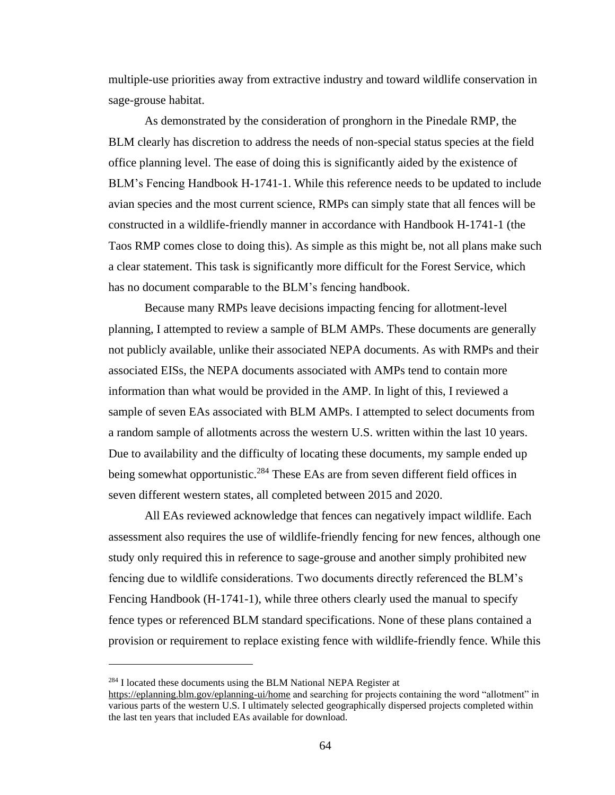multiple-use priorities away from extractive industry and toward wildlife conservation in sage-grouse habitat.

As demonstrated by the consideration of pronghorn in the Pinedale RMP, the BLM clearly has discretion to address the needs of non-special status species at the field office planning level. The ease of doing this is significantly aided by the existence of BLM's Fencing Handbook H-1741-1. While this reference needs to be updated to include avian species and the most current science, RMPs can simply state that all fences will be constructed in a wildlife-friendly manner in accordance with Handbook H-1741-1 (the Taos RMP comes close to doing this). As simple as this might be, not all plans make such a clear statement. This task is significantly more difficult for the Forest Service, which has no document comparable to the BLM's fencing handbook.

Because many RMPs leave decisions impacting fencing for allotment-level planning, I attempted to review a sample of BLM AMPs. These documents are generally not publicly available, unlike their associated NEPA documents. As with RMPs and their associated EISs, the NEPA documents associated with AMPs tend to contain more information than what would be provided in the AMP. In light of this, I reviewed a sample of seven EAs associated with BLM AMPs. I attempted to select documents from a random sample of allotments across the western U.S. written within the last 10 years. Due to availability and the difficulty of locating these documents, my sample ended up being somewhat opportunistic.<sup>284</sup> These EAs are from seven different field offices in seven different western states, all completed between 2015 and 2020.

All EAs reviewed acknowledge that fences can negatively impact wildlife. Each assessment also requires the use of wildlife-friendly fencing for new fences, although one study only required this in reference to sage-grouse and another simply prohibited new fencing due to wildlife considerations. Two documents directly referenced the BLM's Fencing Handbook (H-1741-1), while three others clearly used the manual to specify fence types or referenced BLM standard specifications. None of these plans contained a provision or requirement to replace existing fence with wildlife-friendly fence. While this

 $284$  I located these documents using the BLM National NEPA Register at

<https://eplanning.blm.gov/eplanning-ui/home> and searching for projects containing the word "allotment" in various parts of the western U.S. I ultimately selected geographically dispersed projects completed within the last ten years that included EAs available for download.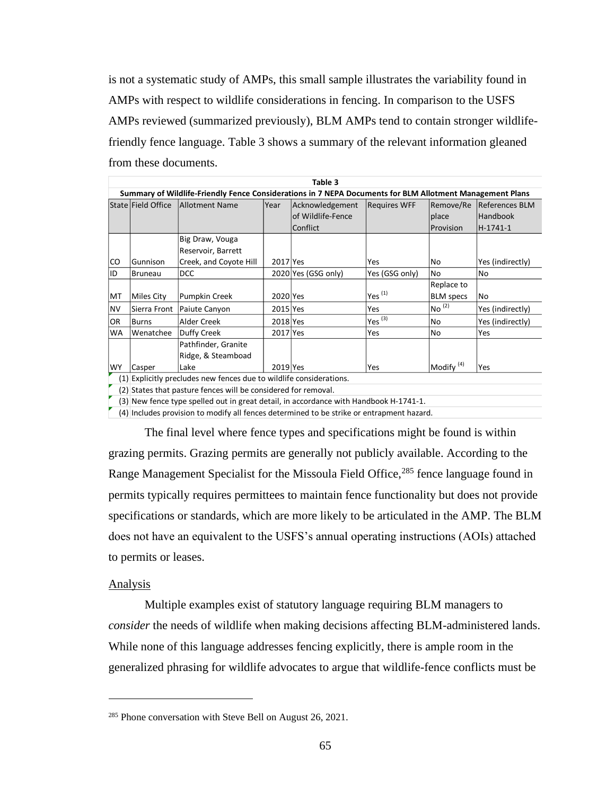is not a systematic study of AMPs, this small sample illustrates the variability found in AMPs with respect to wildlife considerations in fencing. In comparison to the USFS AMPs reviewed (summarized previously), BLM AMPs tend to contain stronger wildlifefriendly fence language. Table 3 shows a summary of the relevant information gleaned from these documents.

| Table 3                                                                                                  |                                                                     |                        |          |                     |                     |                       |                       |
|----------------------------------------------------------------------------------------------------------|---------------------------------------------------------------------|------------------------|----------|---------------------|---------------------|-----------------------|-----------------------|
| Summary of Wildlife-Friendly Fence Considerations in 7 NEPA Documents for BLM Allotment Management Plans |                                                                     |                        |          |                     |                     |                       |                       |
|                                                                                                          | State Field Office                                                  | Allotment Name         | lYear    | Acknowledgement     | <b>Requires WFF</b> | Remove/Re             | <b>References BLM</b> |
|                                                                                                          |                                                                     |                        |          | of Wildlife-Fence   |                     | place                 | Handbook              |
|                                                                                                          |                                                                     |                        |          | Conflict            |                     | <b>Provision</b>      | H-1741-1              |
|                                                                                                          |                                                                     | Big Draw, Vouga        |          |                     |                     |                       |                       |
|                                                                                                          |                                                                     | Reservoir, Barrett     |          |                     |                     |                       |                       |
| <b>CO</b>                                                                                                | <b>Gunnison</b>                                                     | Creek, and Coyote Hill | 2017 Yes |                     | Yes                 | No                    | Yes (indirectly)      |
| ID                                                                                                       | Bruneau                                                             | <b>DCC</b>             |          | 2020 Yes (GSG only) | Yes (GSG only)      | No                    | <b>No</b>             |
|                                                                                                          |                                                                     |                        |          |                     |                     | Replace to            |                       |
| MT                                                                                                       | Miles City                                                          | Pumpkin Creek          | 2020 Yes |                     | Yes $(1)$           | <b>BLM</b> specs      | <b>No</b>             |
| <b>NV</b>                                                                                                | Sierra Front                                                        | Paiute Canyon          | 2015 Yes |                     | Yes                 | $No^{(2)}$            | Yes (indirectly)      |
| OR.                                                                                                      | Burns                                                               | Alder Creek            | 2018 Yes |                     | Yes $(3)$           | No                    | Yes (indirectly)      |
| <b>WA</b>                                                                                                | Wenatchee                                                           | Duffy Creek            | 2017 Yes |                     | Yes                 | No                    | Yes                   |
|                                                                                                          |                                                                     | Pathfinder, Granite    |          |                     |                     |                       |                       |
|                                                                                                          |                                                                     | Ridge, & Steamboad     |          |                     |                     |                       |                       |
| <b>WY</b>                                                                                                | Casper                                                              | Lake                   | 2019 Yes |                     | Yes                 | Modify <sup>(4)</sup> | Yes                   |
|                                                                                                          | (1) Explicitly precludes new fences due to wildlife considerations. |                        |          |                     |                     |                       |                       |
|                                                                                                          | (2) States that pasture fences will be considered for removal.      |                        |          |                     |                     |                       |                       |

(3) New fence type spelled out in great detail, in accordance with Handbook H-1741-1.

(4) Includes provision to modify all fences determined to be strike or entrapment hazard.

The final level where fence types and specifications might be found is within grazing permits. Grazing permits are generally not publicly available. According to the Range Management Specialist for the Missoula Field Office,<sup>285</sup> fence language found in permits typically requires permittees to maintain fence functionality but does not provide specifications or standards, which are more likely to be articulated in the AMP. The BLM does not have an equivalent to the USFS's annual operating instructions (AOIs) attached to permits or leases.

#### Analysis

Multiple examples exist of statutory language requiring BLM managers to *consider* the needs of wildlife when making decisions affecting BLM-administered lands. While none of this language addresses fencing explicitly, there is ample room in the generalized phrasing for wildlife advocates to argue that wildlife-fence conflicts must be

<sup>&</sup>lt;sup>285</sup> Phone conversation with Steve Bell on August 26, 2021.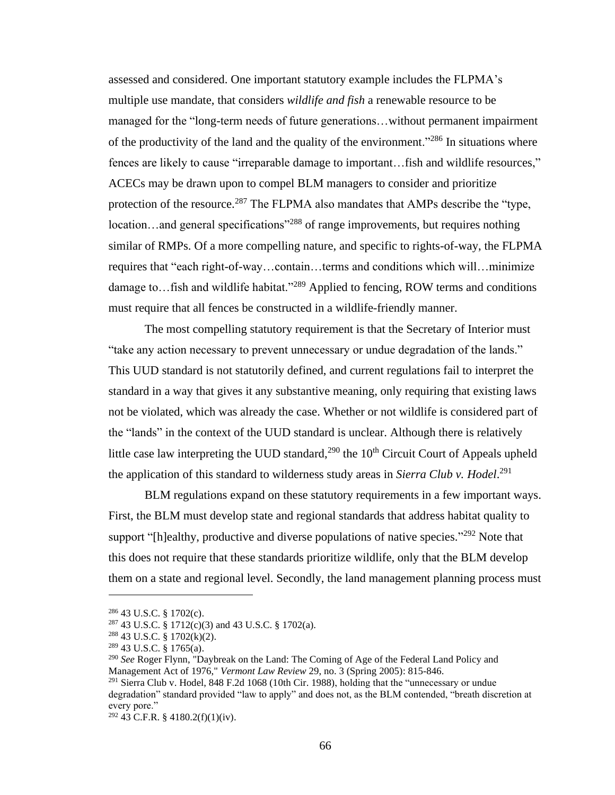assessed and considered. One important statutory example includes the FLPMA's multiple use mandate, that considers *wildlife and fish* a renewable resource to be managed for the "long-term needs of future generations…without permanent impairment of the productivity of the land and the quality of the environment."<sup>286</sup> In situations where fences are likely to cause "irreparable damage to important…fish and wildlife resources," ACECs may be drawn upon to compel BLM managers to consider and prioritize protection of the resource.<sup>287</sup> The FLPMA also mandates that AMPs describe the "type, location…and general specifications"<sup>288</sup> of range improvements, but requires nothing similar of RMPs. Of a more compelling nature, and specific to rights-of-way, the FLPMA requires that "each right-of-way…contain…terms and conditions which will…minimize damage to... fish and wildlife habitat."<sup>289</sup> Applied to fencing, ROW terms and conditions must require that all fences be constructed in a wildlife-friendly manner.

The most compelling statutory requirement is that the Secretary of Interior must "take any action necessary to prevent unnecessary or undue degradation of the lands." This UUD standard is not statutorily defined, and current regulations fail to interpret the standard in a way that gives it any substantive meaning, only requiring that existing laws not be violated, which was already the case. Whether or not wildlife is considered part of the "lands" in the context of the UUD standard is unclear. Although there is relatively little case law interpreting the UUD standard, $^{290}$  the 10<sup>th</sup> Circuit Court of Appeals upheld the application of this standard to wilderness study areas in *Sierra Club v. Hodel*. 291

BLM regulations expand on these statutory requirements in a few important ways. First, the BLM must develop state and regional standards that address habitat quality to support "[h]ealthy, productive and diverse populations of native species."<sup>292</sup> Note that this does not require that these standards prioritize wildlife, only that the BLM develop them on a state and regional level. Secondly, the land management planning process must

<sup>286</sup> 43 U.S.C. § 1702(c).

<sup>287</sup> 43 U.S.C. § 1712(c)(3) and 43 U.S.C. § 1702(a).

<sup>288</sup> 43 U.S.C. § 1702(k)(2).

<sup>289</sup> 43 U.S.C. § 1765(a).

<sup>290</sup> *See* Roger Flynn, "Daybreak on the Land: The Coming of Age of the Federal Land Policy and Management Act of 1976," *Vermont Law Review* 29, no. 3 (Spring 2005): 815-846. <sup>291</sup> Sierra Club v. Hodel, 848 F.2d 1068 (10th Cir. 1988), holding that the "unnecessary or undue"

degradation" standard provided "law to apply" and does not, as the BLM contended, "breath discretion at every pore."

<sup>292</sup> 43 C.F.R. § 4180.2(f)(1)(iv).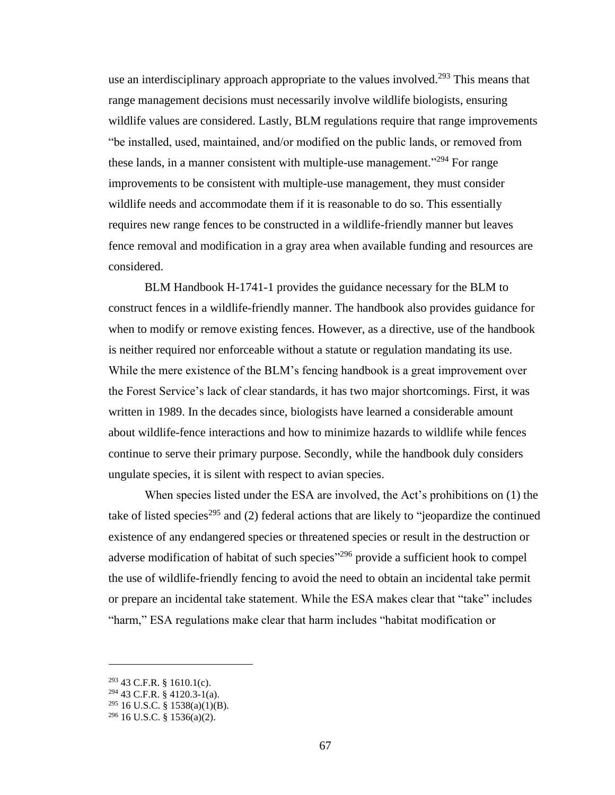use an interdisciplinary approach appropriate to the values involved.<sup>293</sup> This means that range management decisions must necessarily involve wildlife biologists, ensuring wildlife values are considered. Lastly, BLM regulations require that range improvements "be installed, used, maintained, and/or modified on the public lands, or removed from these lands, in a manner consistent with multiple-use management."<sup>294</sup> For range improvements to be consistent with multiple-use management, they must consider wildlife needs and accommodate them if it is reasonable to do so. This essentially requires new range fences to be constructed in a wildlife-friendly manner but leaves fence removal and modification in a gray area when available funding and resources are considered.

BLM Handbook H-1741-1 provides the guidance necessary for the BLM to construct fences in a wildlife-friendly manner. The handbook also provides guidance for when to modify or remove existing fences. However, as a directive, use of the handbook is neither required nor enforceable without a statute or regulation mandating its use. While the mere existence of the BLM's fencing handbook is a great improvement over the Forest Service's lack of clear standards, it has two major shortcomings. First, it was written in 1989. In the decades since, biologists have learned a considerable amount about wildlife-fence interactions and how to minimize hazards to wildlife while fences continue to serve their primary purpose. Secondly, while the handbook duly considers ungulate species, it is silent with respect to avian species.

When species listed under the ESA are involved, the Act's prohibitions on (1) the take of listed species<sup>295</sup> and (2) federal actions that are likely to "jeopardize the continued existence of any endangered species or threatened species or result in the destruction or adverse modification of habitat of such species<sup>"296</sup> provide a sufficient hook to compel the use of wildlife-friendly fencing to avoid the need to obtain an incidental take permit or prepare an incidental take statement. While the ESA makes clear that "take" includes "harm," ESA regulations make clear that harm includes "habitat modification or

 $293$  43 C.F.R. § 1610.1(c).

<sup>294</sup> 43 C.F.R. § 4120.3-1(a).

 $295$  16 U.S.C. § 1538(a)(1)(B).

 $296$  16 U.S.C. § 1536(a)(2).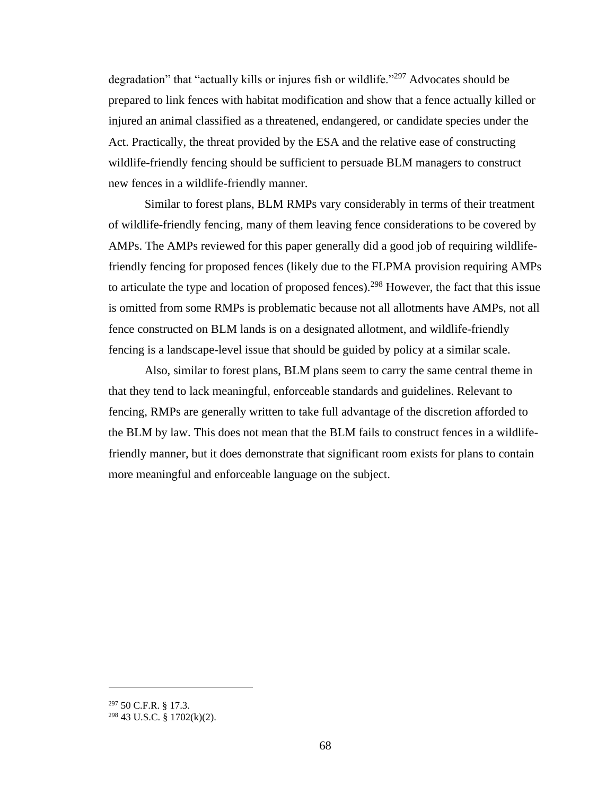degradation" that "actually kills or injures fish or wildlife."<sup>297</sup> Advocates should be prepared to link fences with habitat modification and show that a fence actually killed or injured an animal classified as a threatened, endangered, or candidate species under the Act. Practically, the threat provided by the ESA and the relative ease of constructing wildlife-friendly fencing should be sufficient to persuade BLM managers to construct new fences in a wildlife-friendly manner.

Similar to forest plans, BLM RMPs vary considerably in terms of their treatment of wildlife-friendly fencing, many of them leaving fence considerations to be covered by AMPs. The AMPs reviewed for this paper generally did a good job of requiring wildlifefriendly fencing for proposed fences (likely due to the FLPMA provision requiring AMPs to articulate the type and location of proposed fences).<sup>298</sup> However, the fact that this issue is omitted from some RMPs is problematic because not all allotments have AMPs, not all fence constructed on BLM lands is on a designated allotment, and wildlife-friendly fencing is a landscape-level issue that should be guided by policy at a similar scale.

Also, similar to forest plans, BLM plans seem to carry the same central theme in that they tend to lack meaningful, enforceable standards and guidelines. Relevant to fencing, RMPs are generally written to take full advantage of the discretion afforded to the BLM by law. This does not mean that the BLM fails to construct fences in a wildlifefriendly manner, but it does demonstrate that significant room exists for plans to contain more meaningful and enforceable language on the subject.

<sup>297</sup> 50 C.F.R. § 17.3.

 $298$  43 U.S.C. § 1702(k)(2).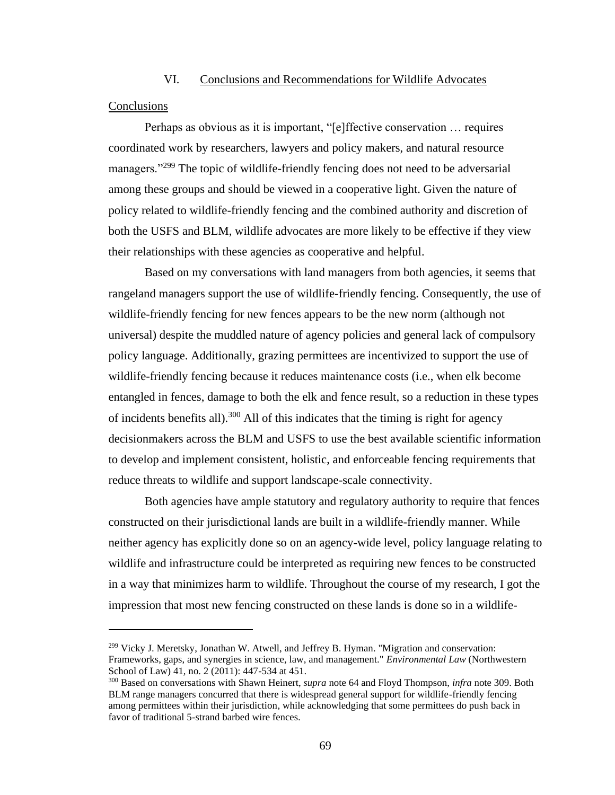# VI. Conclusions and Recommendations for Wildlife Advocates

#### **Conclusions**

Perhaps as obvious as it is important, "[e]ffective conservation … requires coordinated work by researchers, lawyers and policy makers, and natural resource managers."<sup>299</sup> The topic of wildlife-friendly fencing does not need to be adversarial among these groups and should be viewed in a cooperative light. Given the nature of policy related to wildlife-friendly fencing and the combined authority and discretion of both the USFS and BLM, wildlife advocates are more likely to be effective if they view their relationships with these agencies as cooperative and helpful.

Based on my conversations with land managers from both agencies, it seems that rangeland managers support the use of wildlife-friendly fencing. Consequently, the use of wildlife-friendly fencing for new fences appears to be the new norm (although not universal) despite the muddled nature of agency policies and general lack of compulsory policy language. Additionally, grazing permittees are incentivized to support the use of wildlife-friendly fencing because it reduces maintenance costs (i.e., when elk become entangled in fences, damage to both the elk and fence result, so a reduction in these types of incidents benefits all).<sup>300</sup> All of this indicates that the timing is right for agency decisionmakers across the BLM and USFS to use the best available scientific information to develop and implement consistent, holistic, and enforceable fencing requirements that reduce threats to wildlife and support landscape-scale connectivity.

Both agencies have ample statutory and regulatory authority to require that fences constructed on their jurisdictional lands are built in a wildlife-friendly manner. While neither agency has explicitly done so on an agency-wide level, policy language relating to wildlife and infrastructure could be interpreted as requiring new fences to be constructed in a way that minimizes harm to wildlife. Throughout the course of my research, I got the impression that most new fencing constructed on these lands is done so in a wildlife-

 $^{299}$  Vicky J. Meretsky, Jonathan W. Atwell, and Jeffrey B. Hyman. "Migration and conservation: Frameworks, gaps, and synergies in science, law, and management." *Environmental Law* (Northwestern School of Law) 41, no. 2 (2011): 447-534 at 451.

<sup>300</sup> Based on conversations with Shawn Heinert, *supra* note 64 and Floyd Thompson, *infra* note 309. Both BLM range managers concurred that there is widespread general support for wildlife-friendly fencing among permittees within their jurisdiction, while acknowledging that some permittees do push back in favor of traditional 5-strand barbed wire fences.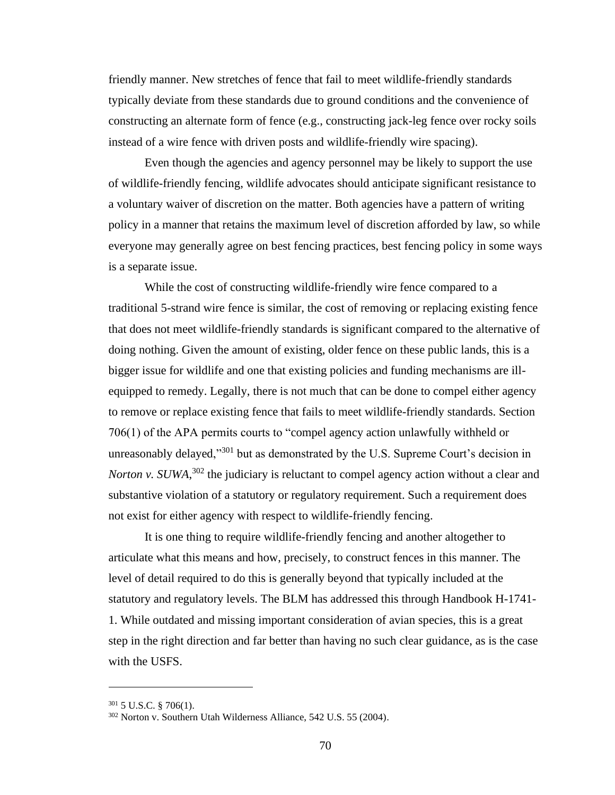friendly manner. New stretches of fence that fail to meet wildlife-friendly standards typically deviate from these standards due to ground conditions and the convenience of constructing an alternate form of fence (e.g., constructing jack-leg fence over rocky soils instead of a wire fence with driven posts and wildlife-friendly wire spacing).

Even though the agencies and agency personnel may be likely to support the use of wildlife-friendly fencing, wildlife advocates should anticipate significant resistance to a voluntary waiver of discretion on the matter. Both agencies have a pattern of writing policy in a manner that retains the maximum level of discretion afforded by law, so while everyone may generally agree on best fencing practices, best fencing policy in some ways is a separate issue.

While the cost of constructing wildlife-friendly wire fence compared to a traditional 5-strand wire fence is similar, the cost of removing or replacing existing fence that does not meet wildlife-friendly standards is significant compared to the alternative of doing nothing. Given the amount of existing, older fence on these public lands, this is a bigger issue for wildlife and one that existing policies and funding mechanisms are illequipped to remedy. Legally, there is not much that can be done to compel either agency to remove or replace existing fence that fails to meet wildlife-friendly standards. Section 706(1) of the APA permits courts to "compel agency action unlawfully withheld or unreasonably delayed,"<sup>301</sup> but as demonstrated by the U.S. Supreme Court's decision in *Norton v. SUWA*,<sup>302</sup> the judiciary is reluctant to compel agency action without a clear and substantive violation of a statutory or regulatory requirement. Such a requirement does not exist for either agency with respect to wildlife-friendly fencing.

It is one thing to require wildlife-friendly fencing and another altogether to articulate what this means and how, precisely, to construct fences in this manner. The level of detail required to do this is generally beyond that typically included at the statutory and regulatory levels. The BLM has addressed this through Handbook H-1741- 1. While outdated and missing important consideration of avian species, this is a great step in the right direction and far better than having no such clear guidance, as is the case with the USFS.

 $301$  5 U.S.C. § 706(1).

<sup>302</sup> Norton v. Southern Utah Wilderness Alliance, 542 U.S. 55 (2004).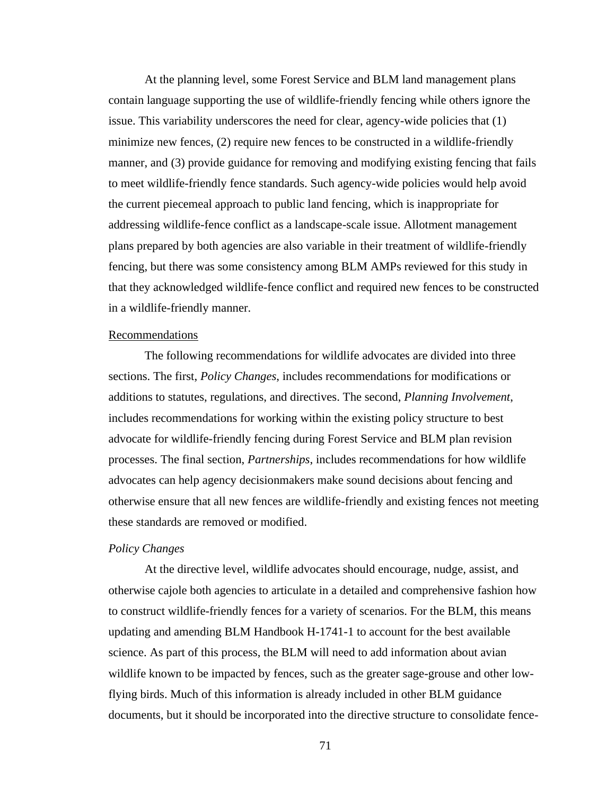At the planning level, some Forest Service and BLM land management plans contain language supporting the use of wildlife-friendly fencing while others ignore the issue. This variability underscores the need for clear, agency-wide policies that (1) minimize new fences, (2) require new fences to be constructed in a wildlife-friendly manner, and (3) provide guidance for removing and modifying existing fencing that fails to meet wildlife-friendly fence standards. Such agency-wide policies would help avoid the current piecemeal approach to public land fencing, which is inappropriate for addressing wildlife-fence conflict as a landscape-scale issue. Allotment management plans prepared by both agencies are also variable in their treatment of wildlife-friendly fencing, but there was some consistency among BLM AMPs reviewed for this study in that they acknowledged wildlife-fence conflict and required new fences to be constructed in a wildlife-friendly manner.

#### Recommendations

The following recommendations for wildlife advocates are divided into three sections. The first, *Policy Changes*, includes recommendations for modifications or additions to statutes, regulations, and directives. The second, *Planning Involvement*, includes recommendations for working within the existing policy structure to best advocate for wildlife-friendly fencing during Forest Service and BLM plan revision processes. The final section, *Partnerships*, includes recommendations for how wildlife advocates can help agency decisionmakers make sound decisions about fencing and otherwise ensure that all new fences are wildlife-friendly and existing fences not meeting these standards are removed or modified.

#### *Policy Changes*

At the directive level, wildlife advocates should encourage, nudge, assist, and otherwise cajole both agencies to articulate in a detailed and comprehensive fashion how to construct wildlife-friendly fences for a variety of scenarios. For the BLM, this means updating and amending BLM Handbook H-1741-1 to account for the best available science. As part of this process, the BLM will need to add information about avian wildlife known to be impacted by fences, such as the greater sage-grouse and other lowflying birds. Much of this information is already included in other BLM guidance documents, but it should be incorporated into the directive structure to consolidate fence-

71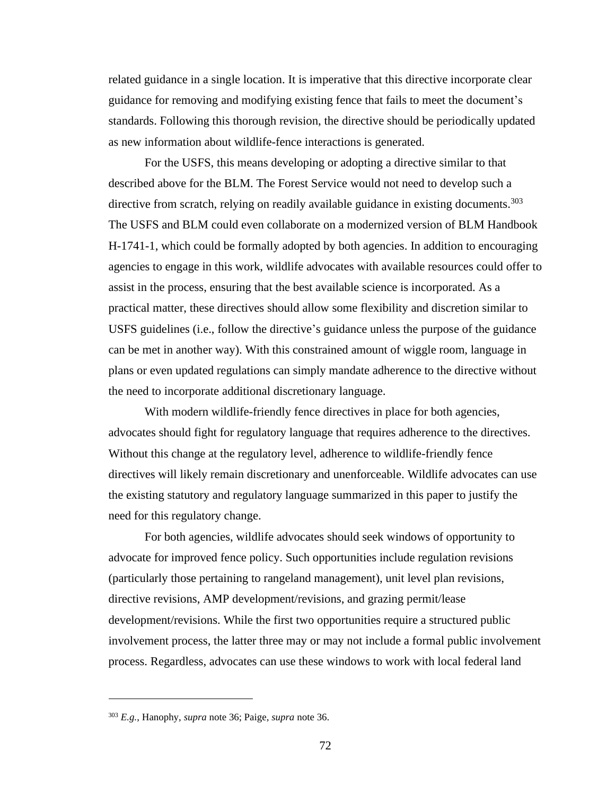related guidance in a single location. It is imperative that this directive incorporate clear guidance for removing and modifying existing fence that fails to meet the document's standards. Following this thorough revision, the directive should be periodically updated as new information about wildlife-fence interactions is generated.

For the USFS, this means developing or adopting a directive similar to that described above for the BLM. The Forest Service would not need to develop such a directive from scratch, relying on readily available guidance in existing documents.<sup>303</sup> The USFS and BLM could even collaborate on a modernized version of BLM Handbook H-1741-1, which could be formally adopted by both agencies. In addition to encouraging agencies to engage in this work, wildlife advocates with available resources could offer to assist in the process, ensuring that the best available science is incorporated. As a practical matter, these directives should allow some flexibility and discretion similar to USFS guidelines (i.e., follow the directive's guidance unless the purpose of the guidance can be met in another way). With this constrained amount of wiggle room, language in plans or even updated regulations can simply mandate adherence to the directive without the need to incorporate additional discretionary language.

With modern wildlife-friendly fence directives in place for both agencies, advocates should fight for regulatory language that requires adherence to the directives. Without this change at the regulatory level, adherence to wildlife-friendly fence directives will likely remain discretionary and unenforceable. Wildlife advocates can use the existing statutory and regulatory language summarized in this paper to justify the need for this regulatory change.

For both agencies, wildlife advocates should seek windows of opportunity to advocate for improved fence policy. Such opportunities include regulation revisions (particularly those pertaining to rangeland management), unit level plan revisions, directive revisions, AMP development/revisions, and grazing permit/lease development/revisions. While the first two opportunities require a structured public involvement process, the latter three may or may not include a formal public involvement process. Regardless, advocates can use these windows to work with local federal land

<sup>303</sup> *E.g.*, Hanophy, *supra* note 36; Paige, *supra* note 36.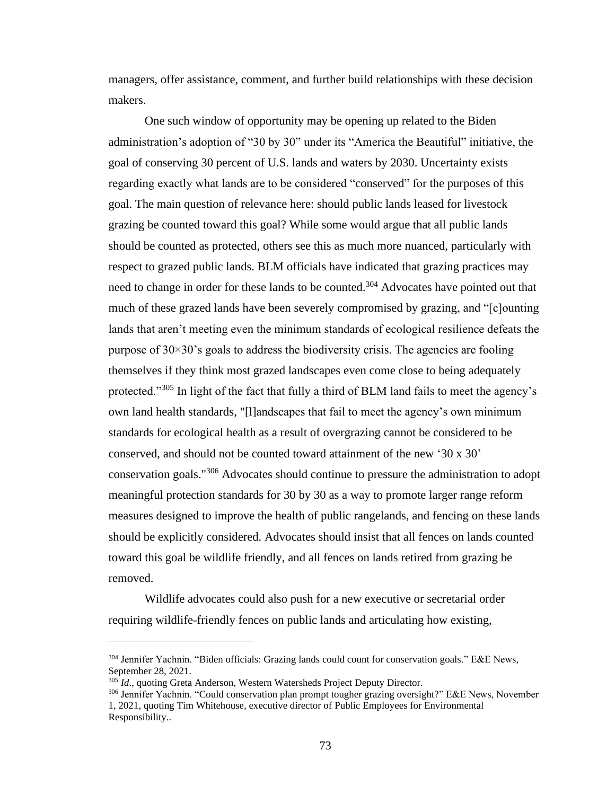managers, offer assistance, comment, and further build relationships with these decision makers.

One such window of opportunity may be opening up related to the Biden administration's adoption of "30 by 30" under its "America the Beautiful" initiative, the goal of conserving 30 percent of U.S. lands and waters by 2030. Uncertainty exists regarding exactly what lands are to be considered "conserved" for the purposes of this goal. The main question of relevance here: should public lands leased for livestock grazing be counted toward this goal? While some would argue that all public lands should be counted as protected, others see this as much more nuanced, particularly with respect to grazed public lands. BLM officials have indicated that grazing practices may need to change in order for these lands to be counted.<sup>304</sup> Advocates have pointed out that much of these grazed lands have been severely compromised by grazing, and "[c]ounting lands that aren't meeting even the minimum standards of ecological resilience defeats the purpose of  $30\times30$ 's goals to address the biodiversity crisis. The agencies are fooling themselves if they think most grazed landscapes even come close to being adequately protected."<sup>305</sup> In light of the fact that fully a third of BLM land fails to meet the agency's own land health standards, "[l]andscapes that fail to meet the agency's own minimum standards for ecological health as a result of overgrazing cannot be considered to be conserved, and should not be counted toward attainment of the new '30 x 30' conservation goals."<sup>306</sup> Advocates should continue to pressure the administration to adopt meaningful protection standards for 30 by 30 as a way to promote larger range reform measures designed to improve the health of public rangelands, and fencing on these lands should be explicitly considered. Advocates should insist that all fences on lands counted toward this goal be wildlife friendly, and all fences on lands retired from grazing be removed.

Wildlife advocates could also push for a new executive or secretarial order requiring wildlife-friendly fences on public lands and articulating how existing,

<sup>&</sup>lt;sup>304</sup> Jennifer Yachnin. "Biden officials: Grazing lands could count for conservation goals." E&E News, September 28, 2021.

<sup>&</sup>lt;sup>305</sup> *Id.*, quoting Greta Anderson, Western Watersheds Project Deputy Director.

<sup>306</sup> Jennifer Yachnin. "Could conservation plan prompt tougher grazing oversight?" E&E News, November 1, 2021, quoting Tim Whitehouse, executive director of Public Employees for Environmental Responsibility..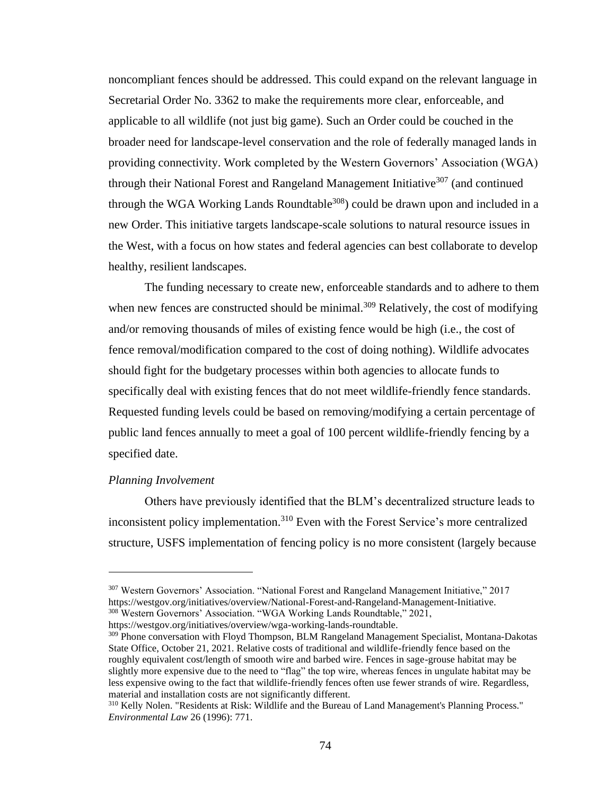noncompliant fences should be addressed. This could expand on the relevant language in Secretarial Order No. 3362 to make the requirements more clear, enforceable, and applicable to all wildlife (not just big game). Such an Order could be couched in the broader need for landscape-level conservation and the role of federally managed lands in providing connectivity. Work completed by the Western Governors' Association (WGA) through their National Forest and Rangeland Management Initiative<sup>307</sup> (and continued through the WGA Working Lands Roundtable<sup>308</sup>) could be drawn upon and included in a new Order. This initiative targets landscape-scale solutions to natural resource issues in the West, with a focus on how states and federal agencies can best collaborate to develop healthy, resilient landscapes.

The funding necessary to create new, enforceable standards and to adhere to them when new fences are constructed should be minimal.<sup>309</sup> Relatively, the cost of modifying and/or removing thousands of miles of existing fence would be high (i.e., the cost of fence removal/modification compared to the cost of doing nothing). Wildlife advocates should fight for the budgetary processes within both agencies to allocate funds to specifically deal with existing fences that do not meet wildlife-friendly fence standards. Requested funding levels could be based on removing/modifying a certain percentage of public land fences annually to meet a goal of 100 percent wildlife-friendly fencing by a specified date.

#### *Planning Involvement*

Others have previously identified that the BLM's decentralized structure leads to inconsistent policy implementation.<sup>310</sup> Even with the Forest Service's more centralized structure, USFS implementation of fencing policy is no more consistent (largely because

<sup>307</sup> Western Governors' Association. "National Forest and Rangeland Management Initiative," 2017 https://westgov.org/initiatives/overview/National-Forest-and-Rangeland-Management-Initiative. <sup>308</sup> Western Governors' Association. "WGA Working Lands Roundtable," 2021, https://westgov.org/initiatives/overview/wga-working-lands-roundtable.

<sup>&</sup>lt;sup>309</sup> Phone conversation with Floyd Thompson, BLM Rangeland Management Specialist, Montana-Dakotas State Office, October 21, 2021. Relative costs of traditional and wildlife-friendly fence based on the roughly equivalent cost/length of smooth wire and barbed wire. Fences in sage-grouse habitat may be slightly more expensive due to the need to "flag" the top wire, whereas fences in ungulate habitat may be less expensive owing to the fact that wildlife-friendly fences often use fewer strands of wire. Regardless, material and installation costs are not significantly different.

<sup>&</sup>lt;sup>310</sup> Kelly Nolen. "Residents at Risk: Wildlife and the Bureau of Land Management's Planning Process." *Environmental Law* 26 (1996): 771.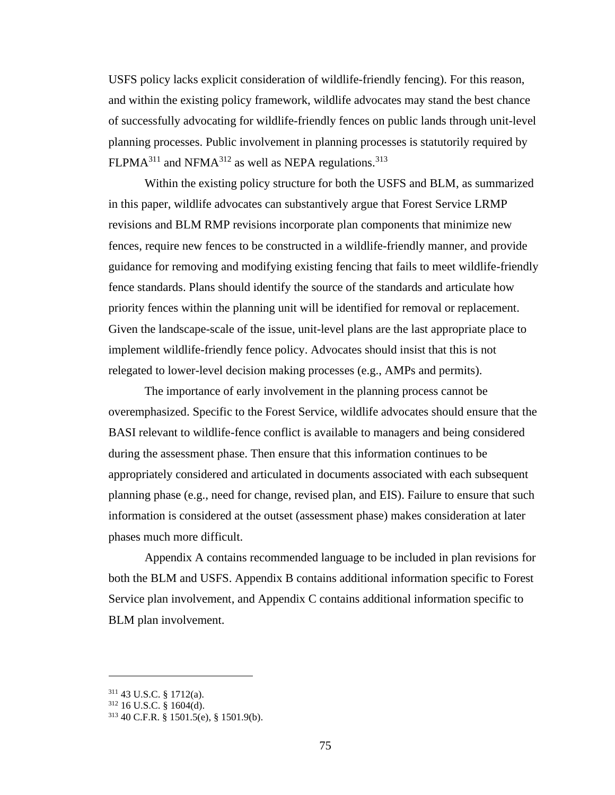USFS policy lacks explicit consideration of wildlife-friendly fencing). For this reason, and within the existing policy framework, wildlife advocates may stand the best chance of successfully advocating for wildlife-friendly fences on public lands through unit-level planning processes. Public involvement in planning processes is statutorily required by  $FLPMA<sup>311</sup>$  and NFMA<sup>312</sup> as well as NEPA regulations.<sup>313</sup>

Within the existing policy structure for both the USFS and BLM, as summarized in this paper, wildlife advocates can substantively argue that Forest Service LRMP revisions and BLM RMP revisions incorporate plan components that minimize new fences, require new fences to be constructed in a wildlife-friendly manner, and provide guidance for removing and modifying existing fencing that fails to meet wildlife-friendly fence standards. Plans should identify the source of the standards and articulate how priority fences within the planning unit will be identified for removal or replacement. Given the landscape-scale of the issue, unit-level plans are the last appropriate place to implement wildlife-friendly fence policy. Advocates should insist that this is not relegated to lower-level decision making processes (e.g., AMPs and permits).

The importance of early involvement in the planning process cannot be overemphasized. Specific to the Forest Service, wildlife advocates should ensure that the BASI relevant to wildlife-fence conflict is available to managers and being considered during the assessment phase. Then ensure that this information continues to be appropriately considered and articulated in documents associated with each subsequent planning phase (e.g., need for change, revised plan, and EIS). Failure to ensure that such information is considered at the outset (assessment phase) makes consideration at later phases much more difficult.

Appendix A contains recommended language to be included in plan revisions for both the BLM and USFS. Appendix B contains additional information specific to Forest Service plan involvement, and Appendix C contains additional information specific to BLM plan involvement.

<sup>311</sup> 43 U.S.C. § 1712(a).

<sup>312</sup> 16 U.S.C. § 1604(d).

<sup>313</sup> 40 C.F.R. § 1501.5(e), § 1501.9(b).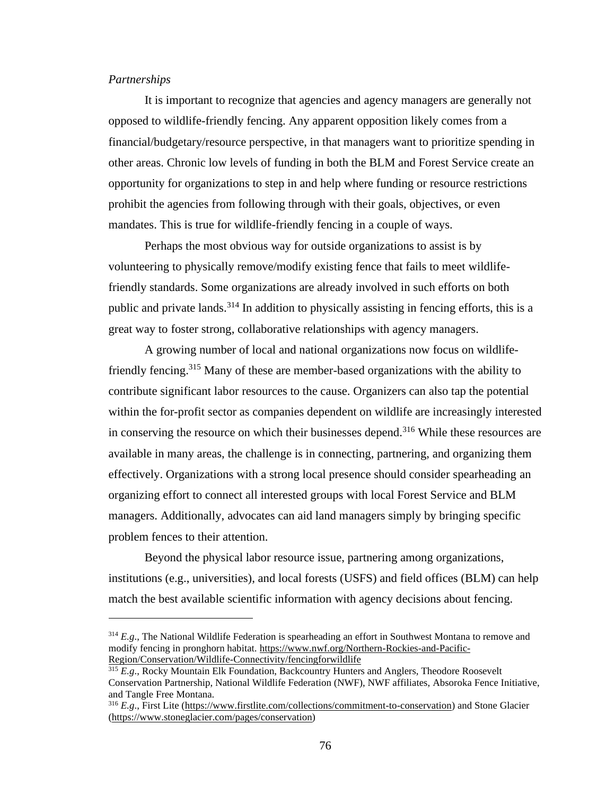#### *Partnerships*

It is important to recognize that agencies and agency managers are generally not opposed to wildlife-friendly fencing. Any apparent opposition likely comes from a financial/budgetary/resource perspective, in that managers want to prioritize spending in other areas. Chronic low levels of funding in both the BLM and Forest Service create an opportunity for organizations to step in and help where funding or resource restrictions prohibit the agencies from following through with their goals, objectives, or even mandates. This is true for wildlife-friendly fencing in a couple of ways.

Perhaps the most obvious way for outside organizations to assist is by volunteering to physically remove/modify existing fence that fails to meet wildlifefriendly standards. Some organizations are already involved in such efforts on both public and private lands.<sup>314</sup> In addition to physically assisting in fencing efforts, this is a great way to foster strong, collaborative relationships with agency managers.

A growing number of local and national organizations now focus on wildlifefriendly fencing.<sup>315</sup> Many of these are member-based organizations with the ability to contribute significant labor resources to the cause. Organizers can also tap the potential within the for-profit sector as companies dependent on wildlife are increasingly interested in conserving the resource on which their businesses depend.<sup>316</sup> While these resources are available in many areas, the challenge is in connecting, partnering, and organizing them effectively. Organizations with a strong local presence should consider spearheading an organizing effort to connect all interested groups with local Forest Service and BLM managers. Additionally, advocates can aid land managers simply by bringing specific problem fences to their attention.

Beyond the physical labor resource issue, partnering among organizations, institutions (e.g., universities), and local forests (USFS) and field offices (BLM) can help match the best available scientific information with agency decisions about fencing.

<sup>314</sup> *E.g*., The National Wildlife Federation is spearheading an effort in Southwest Montana to remove and modify fencing in pronghorn habitat. [https://www.nwf.org/Northern-Rockies-and-Pacific-](https://www.nwf.org/Northern-Rockies-and-Pacific-Region/Conservation/Wildlife-Connectivity/fencingforwildlife)[Region/Conservation/Wildlife-Connectivity/fencingforwildlife](https://www.nwf.org/Northern-Rockies-and-Pacific-Region/Conservation/Wildlife-Connectivity/fencingforwildlife)

<sup>&</sup>lt;sup>315</sup> *E.g.*, Rocky Mountain Elk Foundation, Backcountry Hunters and Anglers, Theodore Roosevelt Conservation Partnership, National Wildlife Federation (NWF), NWF affiliates, Absoroka Fence Initiative, and Tangle Free Montana.

<sup>&</sup>lt;sup>316</sup> *E.g.*, First Lite [\(https://www.firstlite.com/collections/commitment-to-conservation\)](https://www.firstlite.com/collections/commitment-to-conservation) and Stone Glacier [\(https://www.stoneglacier.com/pages/conservation\)](https://www.stoneglacier.com/pages/conservation)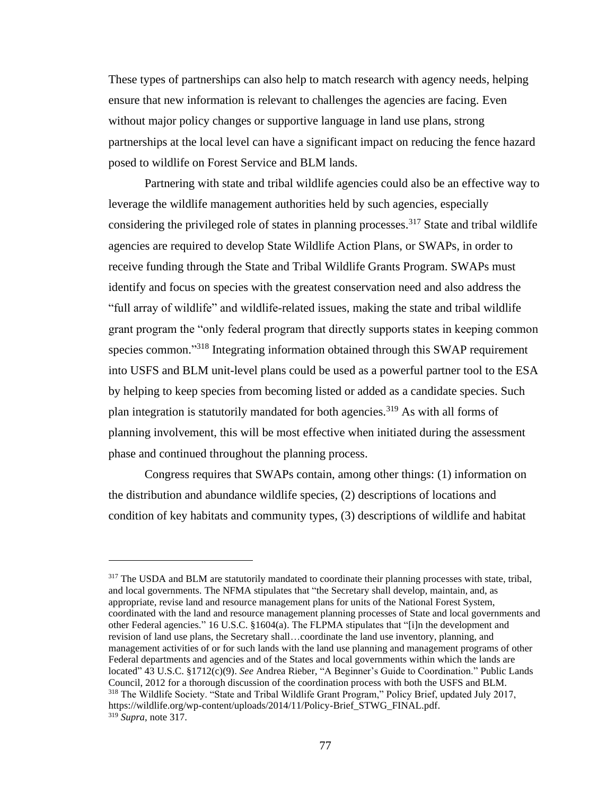These types of partnerships can also help to match research with agency needs, helping ensure that new information is relevant to challenges the agencies are facing. Even without major policy changes or supportive language in land use plans, strong partnerships at the local level can have a significant impact on reducing the fence hazard posed to wildlife on Forest Service and BLM lands.

Partnering with state and tribal wildlife agencies could also be an effective way to leverage the wildlife management authorities held by such agencies, especially considering the privileged role of states in planning processes. <sup>317</sup> State and tribal wildlife agencies are required to develop State Wildlife Action Plans, or SWAPs, in order to receive funding through the State and Tribal Wildlife Grants Program. SWAPs must identify and focus on species with the greatest conservation need and also address the "full array of wildlife" and wildlife-related issues, making the state and tribal wildlife grant program the "only federal program that directly supports states in keeping common species common."<sup>318</sup> Integrating information obtained through this SWAP requirement into USFS and BLM unit-level plans could be used as a powerful partner tool to the ESA by helping to keep species from becoming listed or added as a candidate species. Such plan integration is statutorily mandated for both agencies.<sup>319</sup> As with all forms of planning involvement, this will be most effective when initiated during the assessment phase and continued throughout the planning process.

Congress requires that SWAPs contain, among other things: (1) information on the distribution and abundance wildlife species, (2) descriptions of locations and condition of key habitats and community types, (3) descriptions of wildlife and habitat

<sup>&</sup>lt;sup>317</sup> The USDA and BLM are statutorily mandated to coordinate their planning processes with state, tribal, and local governments. The NFMA stipulates that "the Secretary shall develop, maintain, and, as appropriate, revise land and resource management plans for units of the National Forest System, coordinated with the land and resource management planning processes of State and local governments and other Federal agencies." 16 U.S.C. §1604(a). The FLPMA stipulates that "[i]n the development and revision of land use plans, the Secretary shall…coordinate the land use inventory, planning, and management activities of or for such lands with the land use planning and management programs of other Federal departments and agencies and of the States and local governments within which the lands are located" 43 U.S.C. §1712(c)(9). *See* Andrea Rieber, "A Beginner's Guide to Coordination." Public Lands Council, 2012 for a thorough discussion of the coordination process with both the USFS and BLM. <sup>318</sup> The Wildlife Society. "State and Tribal Wildlife Grant Program," Policy Brief, updated July 2017, https://wildlife.org/wp-content/uploads/2014/11/Policy-Brief\_STWG\_FINAL.pdf. <sup>319</sup> *Supra*, note 317.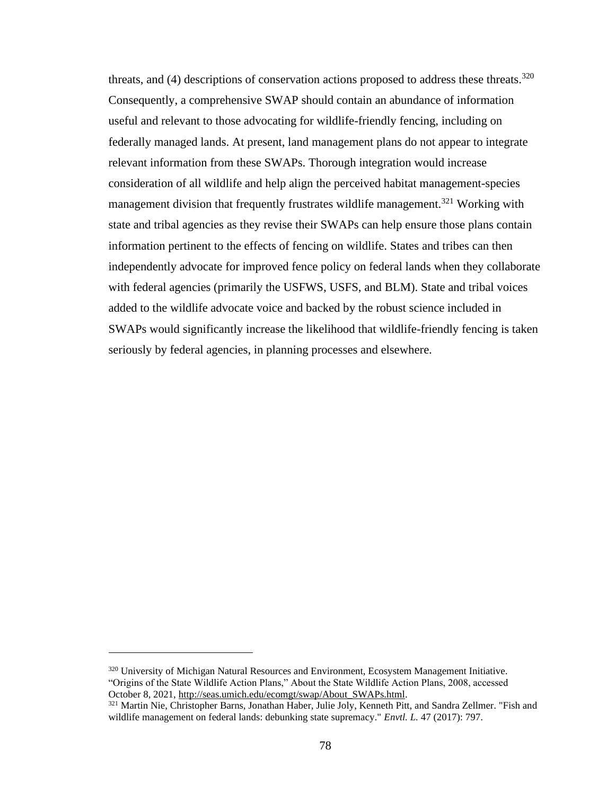threats, and  $(4)$  descriptions of conservation actions proposed to address these threats.<sup>320</sup> Consequently, a comprehensive SWAP should contain an abundance of information useful and relevant to those advocating for wildlife-friendly fencing, including on federally managed lands. At present, land management plans do not appear to integrate relevant information from these SWAPs. Thorough integration would increase consideration of all wildlife and help align the perceived habitat management-species management division that frequently frustrates wildlife management.<sup>321</sup> Working with state and tribal agencies as they revise their SWAPs can help ensure those plans contain information pertinent to the effects of fencing on wildlife. States and tribes can then independently advocate for improved fence policy on federal lands when they collaborate with federal agencies (primarily the USFWS, USFS, and BLM). State and tribal voices added to the wildlife advocate voice and backed by the robust science included in SWAPs would significantly increase the likelihood that wildlife-friendly fencing is taken seriously by federal agencies, in planning processes and elsewhere.

<sup>&</sup>lt;sup>320</sup> University of Michigan Natural Resources and Environment, Ecosystem Management Initiative. "Origins of the State Wildlife Action Plans," About the State Wildlife Action Plans, 2008, accessed October 8, 2021[, http://seas.umich.edu/ecomgt/swap/About\\_SWAPs.html.](http://seas.umich.edu/ecomgt/swap/About_SWAPs.html)

<sup>&</sup>lt;sup>321</sup> Martin Nie, Christopher Barns, Jonathan Haber, Julie Joly, Kenneth Pitt, and Sandra Zellmer. "Fish and wildlife management on federal lands: debunking state supremacy." *Envtl. L.* 47 (2017): 797.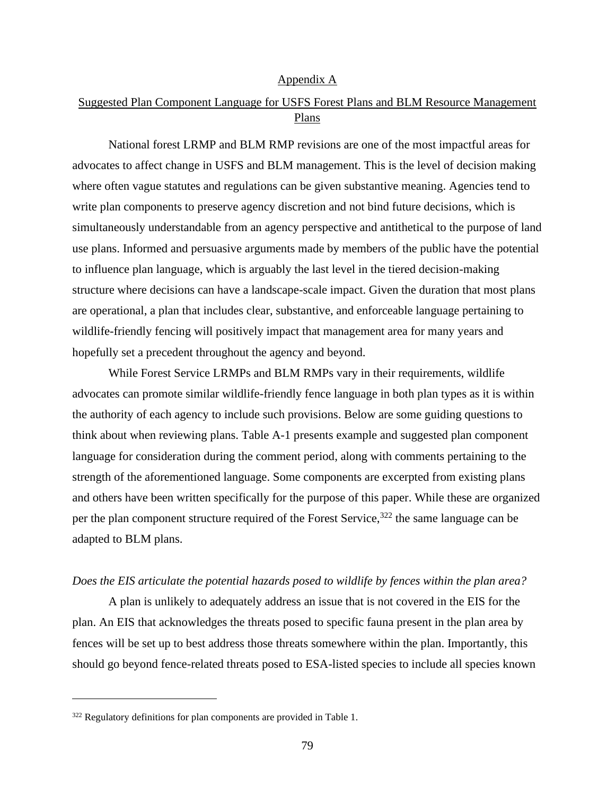#### Appendix A

### Suggested Plan Component Language for USFS Forest Plans and BLM Resource Management Plans

National forest LRMP and BLM RMP revisions are one of the most impactful areas for advocates to affect change in USFS and BLM management. This is the level of decision making where often vague statutes and regulations can be given substantive meaning. Agencies tend to write plan components to preserve agency discretion and not bind future decisions, which is simultaneously understandable from an agency perspective and antithetical to the purpose of land use plans. Informed and persuasive arguments made by members of the public have the potential to influence plan language, which is arguably the last level in the tiered decision-making structure where decisions can have a landscape-scale impact. Given the duration that most plans are operational, a plan that includes clear, substantive, and enforceable language pertaining to wildlife-friendly fencing will positively impact that management area for many years and hopefully set a precedent throughout the agency and beyond.

While Forest Service LRMPs and BLM RMPs vary in their requirements, wildlife advocates can promote similar wildlife-friendly fence language in both plan types as it is within the authority of each agency to include such provisions. Below are some guiding questions to think about when reviewing plans. Table A-1 presents example and suggested plan component language for consideration during the comment period, along with comments pertaining to the strength of the aforementioned language. Some components are excerpted from existing plans and others have been written specifically for the purpose of this paper. While these are organized per the plan component structure required of the Forest Service,  $322$  the same language can be adapted to BLM plans.

#### *Does the EIS articulate the potential hazards posed to wildlife by fences within the plan area?*

A plan is unlikely to adequately address an issue that is not covered in the EIS for the plan. An EIS that acknowledges the threats posed to specific fauna present in the plan area by fences will be set up to best address those threats somewhere within the plan. Importantly, this should go beyond fence-related threats posed to ESA-listed species to include all species known

<sup>&</sup>lt;sup>322</sup> Regulatory definitions for plan components are provided in Table 1.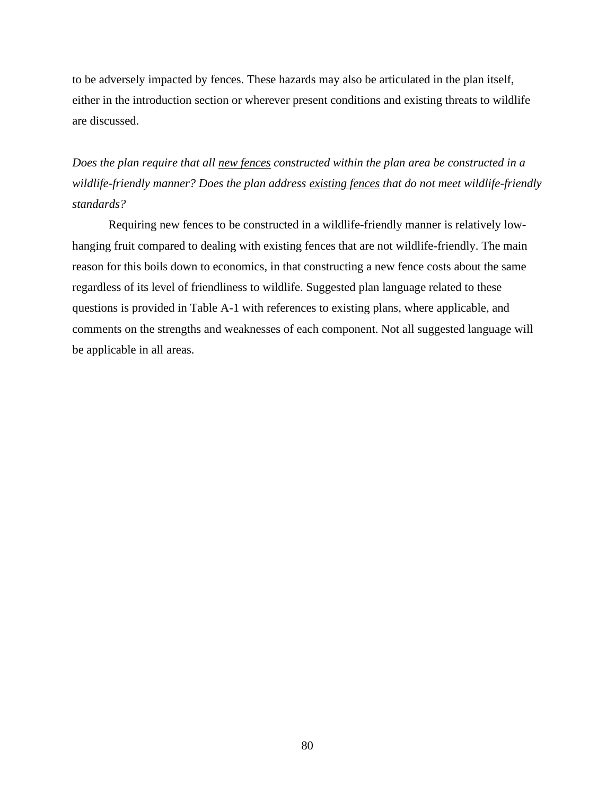to be adversely impacted by fences. These hazards may also be articulated in the plan itself, either in the introduction section or wherever present conditions and existing threats to wildlife are discussed.

*Does the plan require that all new fences constructed within the plan area be constructed in a wildlife-friendly manner? Does the plan address existing fences that do not meet wildlife-friendly standards?*

Requiring new fences to be constructed in a wildlife-friendly manner is relatively lowhanging fruit compared to dealing with existing fences that are not wildlife-friendly. The main reason for this boils down to economics, in that constructing a new fence costs about the same regardless of its level of friendliness to wildlife. Suggested plan language related to these questions is provided in Table A-1 with references to existing plans, where applicable, and comments on the strengths and weaknesses of each component. Not all suggested language will be applicable in all areas.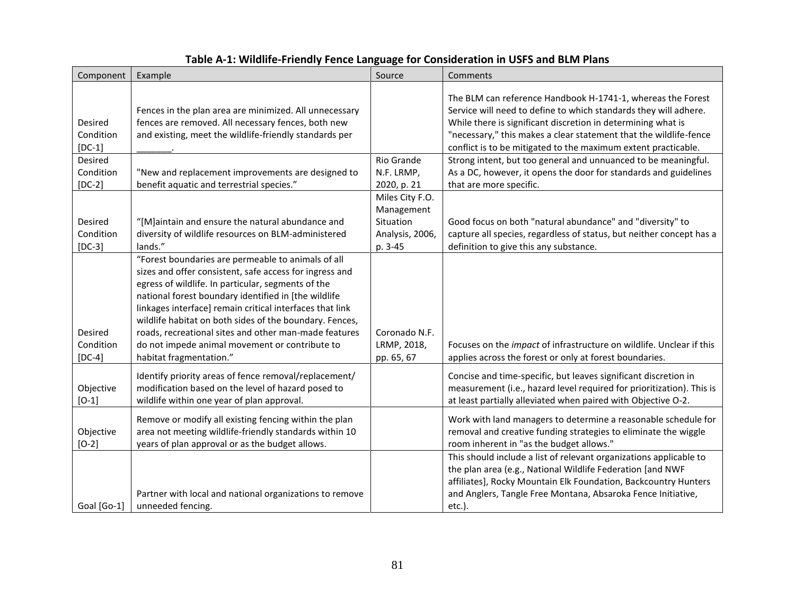| Table A-1: Wildlife-Friendly Fence Language for Consideration in USFS and BLM Plans |  |
|-------------------------------------------------------------------------------------|--|
|-------------------------------------------------------------------------------------|--|

| Component                               | Example                                                                                                                                                                                                                                                                                                                                                                                                                                                                                  | Source                                                                   | Comments                                                                                                                                                                                                                                                                                                                               |
|-----------------------------------------|------------------------------------------------------------------------------------------------------------------------------------------------------------------------------------------------------------------------------------------------------------------------------------------------------------------------------------------------------------------------------------------------------------------------------------------------------------------------------------------|--------------------------------------------------------------------------|----------------------------------------------------------------------------------------------------------------------------------------------------------------------------------------------------------------------------------------------------------------------------------------------------------------------------------------|
| <b>Desired</b><br>Condition<br>$[DC-1]$ | Fences in the plan area are minimized. All unnecessary<br>fences are removed. All necessary fences, both new<br>and existing, meet the wildlife-friendly standards per                                                                                                                                                                                                                                                                                                                   |                                                                          | The BLM can reference Handbook H-1741-1, whereas the Forest<br>Service will need to define to which standards they will adhere.<br>While there is significant discretion in determining what is<br>"necessary," this makes a clear statement that the wildlife-fence<br>conflict is to be mitigated to the maximum extent practicable. |
| Desired<br>Condition<br>$[DC-2]$        | "New and replacement improvements are designed to<br>benefit aquatic and terrestrial species."                                                                                                                                                                                                                                                                                                                                                                                           | Rio Grande<br>N.F. LRMP,<br>2020, p. 21                                  | Strong intent, but too general and unnuanced to be meaningful.<br>As a DC, however, it opens the door for standards and guidelines<br>that are more specific.                                                                                                                                                                          |
| Desired<br>Condition<br>$[DC-3]$        | "[M]aintain and ensure the natural abundance and<br>diversity of wildlife resources on BLM-administered<br>lands."                                                                                                                                                                                                                                                                                                                                                                       | Miles City F.O.<br>Management<br>Situation<br>Analysis, 2006,<br>p. 3-45 | Good focus on both "natural abundance" and "diversity" to<br>capture all species, regardless of status, but neither concept has a<br>definition to give this any substance.                                                                                                                                                            |
| Desired<br>Condition<br>$[DC-4]$        | "Forest boundaries are permeable to animals of all<br>sizes and offer consistent, safe access for ingress and<br>egress of wildlife. In particular, segments of the<br>national forest boundary identified in [the wildlife<br>linkages interface] remain critical interfaces that link<br>wildlife habitat on both sides of the boundary. Fences,<br>roads, recreational sites and other man-made features<br>do not impede animal movement or contribute to<br>habitat fragmentation." | Coronado N.F.<br>LRMP, 2018,<br>pp. 65, 67                               | Focuses on the <i>impact</i> of infrastructure on wildlife. Unclear if this<br>applies across the forest or only at forest boundaries.                                                                                                                                                                                                 |
| Objective<br>$[O-1]$                    | Identify priority areas of fence removal/replacement/<br>modification based on the level of hazard posed to<br>wildlife within one year of plan approval.                                                                                                                                                                                                                                                                                                                                |                                                                          | Concise and time-specific, but leaves significant discretion in<br>measurement (i.e., hazard level required for prioritization). This is<br>at least partially alleviated when paired with Objective O-2.                                                                                                                              |
| Objective<br>$[O-2]$                    | Remove or modify all existing fencing within the plan<br>area not meeting wildlife-friendly standards within 10<br>years of plan approval or as the budget allows.                                                                                                                                                                                                                                                                                                                       |                                                                          | Work with land managers to determine a reasonable schedule for<br>removal and creative funding strategies to eliminate the wiggle<br>room inherent in "as the budget allows."                                                                                                                                                          |
| Goal [Go-1]                             | Partner with local and national organizations to remove<br>unneeded fencing.                                                                                                                                                                                                                                                                                                                                                                                                             |                                                                          | This should include a list of relevant organizations applicable to<br>the plan area (e.g., National Wildlife Federation [and NWF<br>affiliates], Rocky Mountain Elk Foundation, Backcountry Hunters<br>and Anglers, Tangle Free Montana, Absaroka Fence Initiative,<br>$etc.$ ).                                                       |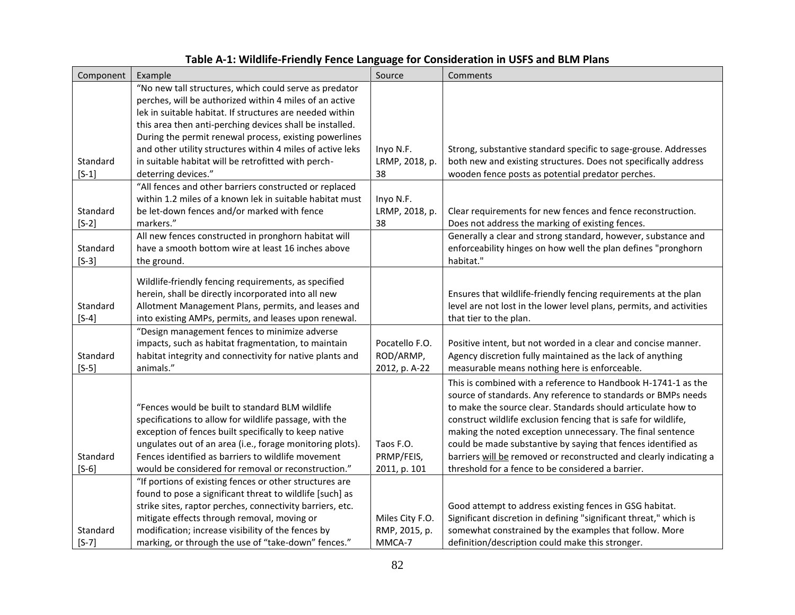# **Table A-1: Wildlife-Friendly Fence Language for Consideration in USFS and BLM Plans**

| Component           | Example                                                                                                    | Source          | Comments                                                                   |
|---------------------|------------------------------------------------------------------------------------------------------------|-----------------|----------------------------------------------------------------------------|
|                     | "No new tall structures, which could serve as predator                                                     |                 |                                                                            |
|                     | perches, will be authorized within 4 miles of an active                                                    |                 |                                                                            |
|                     | lek in suitable habitat. If structures are needed within                                                   |                 |                                                                            |
|                     | this area then anti-perching devices shall be installed.                                                   |                 |                                                                            |
|                     | During the permit renewal process, existing powerlines                                                     |                 |                                                                            |
|                     | and other utility structures within 4 miles of active leks                                                 | Inyo N.F.       | Strong, substantive standard specific to sage-grouse. Addresses            |
| Standard            | in suitable habitat will be retrofitted with perch-                                                        | LRMP, 2018, p.  | both new and existing structures. Does not specifically address            |
| $[S-1]$             | deterring devices."                                                                                        | 38              | wooden fence posts as potential predator perches.                          |
|                     | "All fences and other barriers constructed or replaced                                                     |                 |                                                                            |
|                     | within 1.2 miles of a known lek in suitable habitat must                                                   | Inyo N.F.       |                                                                            |
| Standard            | be let-down fences and/or marked with fence                                                                | LRMP, 2018, p.  | Clear requirements for new fences and fence reconstruction.                |
| $[S-2]$             | markers."                                                                                                  | 38              | Does not address the marking of existing fences.                           |
| Standard            | All new fences constructed in pronghorn habitat will<br>have a smooth bottom wire at least 16 inches above |                 | Generally a clear and strong standard, however, substance and              |
| $[S-3]$             | the ground.                                                                                                |                 | enforceability hinges on how well the plan defines "pronghorn<br>habitat." |
|                     |                                                                                                            |                 |                                                                            |
|                     | Wildlife-friendly fencing requirements, as specified                                                       |                 |                                                                            |
|                     | herein, shall be directly incorporated into all new                                                        |                 | Ensures that wildlife-friendly fencing requirements at the plan            |
| Standard            | Allotment Management Plans, permits, and leases and                                                        |                 | level are not lost in the lower level plans, permits, and activities       |
| $[S-4]$             | into existing AMPs, permits, and leases upon renewal.                                                      |                 | that tier to the plan.                                                     |
|                     | "Design management fences to minimize adverse                                                              |                 |                                                                            |
|                     | impacts, such as habitat fragmentation, to maintain                                                        | Pocatello F.O.  | Positive intent, but not worded in a clear and concise manner.             |
| Standard            | habitat integrity and connectivity for native plants and                                                   | ROD/ARMP,       | Agency discretion fully maintained as the lack of anything                 |
| $[S-5]$             | animals."                                                                                                  | 2012, p. A-22   | measurable means nothing here is enforceable.                              |
|                     |                                                                                                            |                 | This is combined with a reference to Handbook H-1741-1 as the              |
|                     |                                                                                                            |                 | source of standards. Any reference to standards or BMPs needs              |
|                     | "Fences would be built to standard BLM wildlife                                                            |                 | to make the source clear. Standards should articulate how to               |
|                     | specifications to allow for wildlife passage, with the                                                     |                 | construct wildlife exclusion fencing that is safe for wildlife,            |
|                     | exception of fences built specifically to keep native                                                      |                 | making the noted exception unnecessary. The final sentence                 |
|                     | ungulates out of an area (i.e., forage monitoring plots).                                                  | Taos F.O.       | could be made substantive by saying that fences identified as              |
| Standard            | Fences identified as barriers to wildlife movement                                                         | PRMP/FEIS,      | barriers will be removed or reconstructed and clearly indicating a         |
| $[S-6]$             | would be considered for removal or reconstruction."                                                        | 2011, p. 101    | threshold for a fence to be considered a barrier.                          |
|                     | "If portions of existing fences or other structures are                                                    |                 |                                                                            |
|                     | found to pose a significant threat to wildlife [such] as                                                   |                 |                                                                            |
|                     | strike sites, raptor perches, connectivity barriers, etc.                                                  |                 | Good attempt to address existing fences in GSG habitat.                    |
|                     | mitigate effects through removal, moving or                                                                | Miles City F.O. | Significant discretion in defining "significant threat," which is          |
| Standard<br>$[S-7]$ | modification; increase visibility of the fences by<br>marking, or through the use of "take-down" fences."  | RMP, 2015, p.   | somewhat constrained by the examples that follow. More                     |
|                     |                                                                                                            | MMCA-7          | definition/description could make this stronger.                           |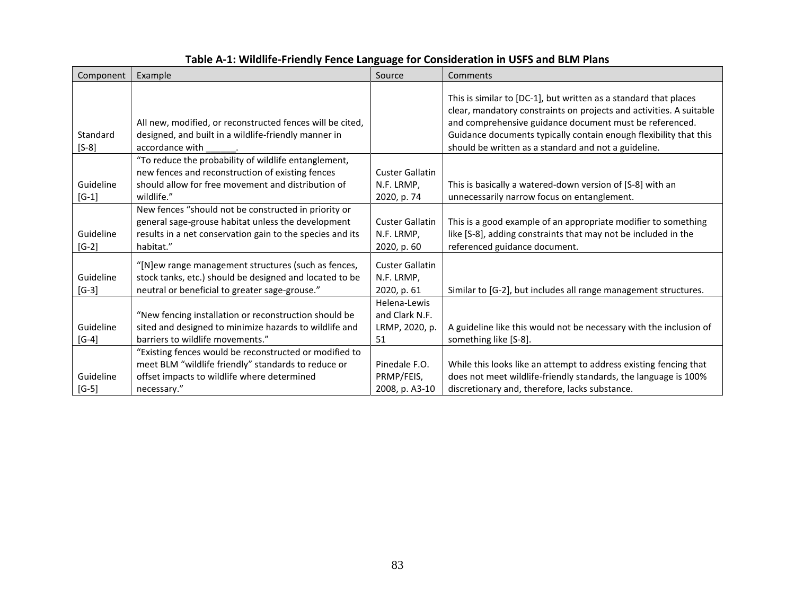| Component            | Example                                                                                                                                                                              | Source                                                 | Comments                                                                                                                                                                                                                                                                                                                        |
|----------------------|--------------------------------------------------------------------------------------------------------------------------------------------------------------------------------------|--------------------------------------------------------|---------------------------------------------------------------------------------------------------------------------------------------------------------------------------------------------------------------------------------------------------------------------------------------------------------------------------------|
| Standard<br>$[S-8]$  | All new, modified, or reconstructed fences will be cited,<br>designed, and built in a wildlife-friendly manner in<br>accordance with                                                 |                                                        | This is similar to [DC-1], but written as a standard that places<br>clear, mandatory constraints on projects and activities. A suitable<br>and comprehensive guidance document must be referenced.<br>Guidance documents typically contain enough flexibility that this<br>should be written as a standard and not a guideline. |
| Guideline<br>$[G-1]$ | "To reduce the probability of wildlife entanglement,<br>new fences and reconstruction of existing fences<br>should allow for free movement and distribution of<br>wildlife."         | <b>Custer Gallatin</b><br>N.F. LRMP,<br>2020, p. 74    | This is basically a watered-down version of [S-8] with an<br>unnecessarily narrow focus on entanglement.                                                                                                                                                                                                                        |
| Guideline<br>$[G-2]$ | New fences "should not be constructed in priority or<br>general sage-grouse habitat unless the development<br>results in a net conservation gain to the species and its<br>habitat." | <b>Custer Gallatin</b><br>N.F. LRMP,<br>2020, p. 60    | This is a good example of an appropriate modifier to something<br>like [S-8], adding constraints that may not be included in the<br>referenced guidance document.                                                                                                                                                               |
| Guideline<br>$[G-3]$ | "[N]ew range management structures (such as fences,<br>stock tanks, etc.) should be designed and located to be<br>neutral or beneficial to greater sage-grouse."                     | <b>Custer Gallatin</b><br>N.F. LRMP,<br>2020, p. 61    | Similar to [G-2], but includes all range management structures.                                                                                                                                                                                                                                                                 |
| Guideline<br>$[G-4]$ | "New fencing installation or reconstruction should be<br>sited and designed to minimize hazards to wildlife and<br>barriers to wildlife movements."                                  | Helena-Lewis<br>and Clark N.F.<br>LRMP, 2020, p.<br>51 | A guideline like this would not be necessary with the inclusion of<br>something like [S-8].                                                                                                                                                                                                                                     |
| Guideline<br>$[G-5]$ | "Existing fences would be reconstructed or modified to<br>meet BLM "wildlife friendly" standards to reduce or<br>offset impacts to wildlife where determined<br>necessary."          | Pinedale F.O.<br>PRMP/FEIS,<br>2008, p. A3-10          | While this looks like an attempt to address existing fencing that<br>does not meet wildlife-friendly standards, the language is 100%<br>discretionary and, therefore, lacks substance.                                                                                                                                          |

# **Table A-1: Wildlife-Friendly Fence Language for Consideration in USFS and BLM Plans**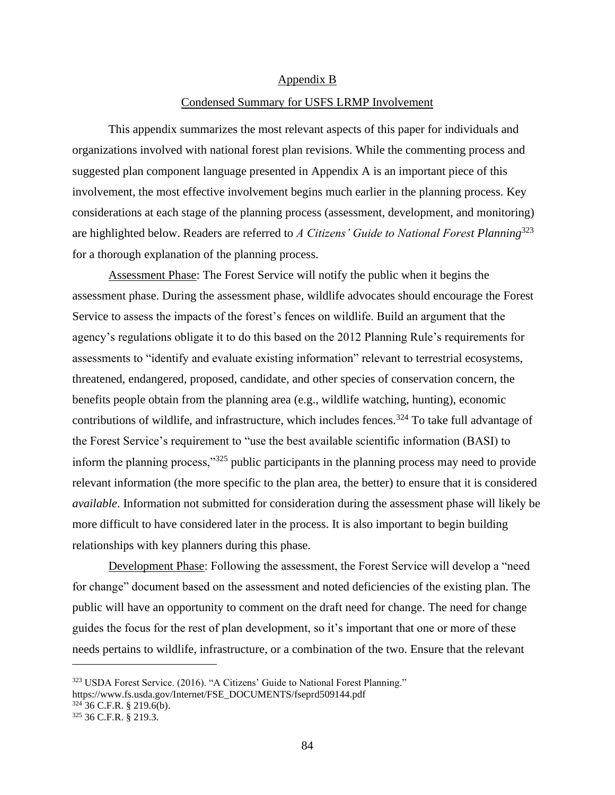#### Appendix B

#### Condensed Summary for USFS LRMP Involvement

This appendix summarizes the most relevant aspects of this paper for individuals and organizations involved with national forest plan revisions. While the commenting process and suggested plan component language presented in Appendix A is an important piece of this involvement, the most effective involvement begins much earlier in the planning process. Key considerations at each stage of the planning process (assessment, development, and monitoring) are highlighted below. Readers are referred to *A Citizens' Guide to National Forest Planning*<sup>323</sup> for a thorough explanation of the planning process.

Assessment Phase: The Forest Service will notify the public when it begins the assessment phase. During the assessment phase, wildlife advocates should encourage the Forest Service to assess the impacts of the forest's fences on wildlife. Build an argument that the agency's regulations obligate it to do this based on the 2012 Planning Rule's requirements for assessments to "identify and evaluate existing information" relevant to terrestrial ecosystems, threatened, endangered, proposed, candidate, and other species of conservation concern, the benefits people obtain from the planning area (e.g., wildlife watching, hunting), economic contributions of wildlife, and infrastructure, which includes fences.<sup>324</sup> To take full advantage of the Forest Service's requirement to "use the best available scientific information (BASI) to inform the planning process,"<sup>325</sup> public participants in the planning process may need to provide relevant information (the more specific to the plan area, the better) to ensure that it is considered *available*. Information not submitted for consideration during the assessment phase will likely be more difficult to have considered later in the process. It is also important to begin building relationships with key planners during this phase.

Development Phase: Following the assessment, the Forest Service will develop a "need for change" document based on the assessment and noted deficiencies of the existing plan. The public will have an opportunity to comment on the draft need for change. The need for change guides the focus for the rest of plan development, so it's important that one or more of these needs pertains to wildlife, infrastructure, or a combination of the two. Ensure that the relevant

https://www.fs.usda.gov/Internet/FSE\_DOCUMENTS/fseprd509144.pdf

 $324$  36 C.F.R. § 219.6(b).

<sup>323</sup> USDA Forest Service. (2016). "A Citizens' Guide to National Forest Planning."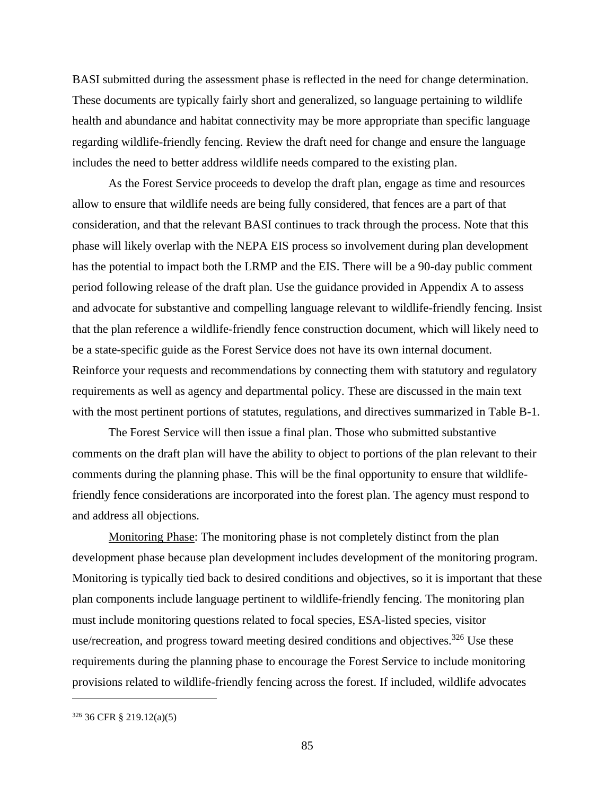BASI submitted during the assessment phase is reflected in the need for change determination. These documents are typically fairly short and generalized, so language pertaining to wildlife health and abundance and habitat connectivity may be more appropriate than specific language regarding wildlife-friendly fencing. Review the draft need for change and ensure the language includes the need to better address wildlife needs compared to the existing plan.

As the Forest Service proceeds to develop the draft plan, engage as time and resources allow to ensure that wildlife needs are being fully considered, that fences are a part of that consideration, and that the relevant BASI continues to track through the process. Note that this phase will likely overlap with the NEPA EIS process so involvement during plan development has the potential to impact both the LRMP and the EIS. There will be a 90-day public comment period following release of the draft plan. Use the guidance provided in Appendix A to assess and advocate for substantive and compelling language relevant to wildlife-friendly fencing. Insist that the plan reference a wildlife-friendly fence construction document, which will likely need to be a state-specific guide as the Forest Service does not have its own internal document. Reinforce your requests and recommendations by connecting them with statutory and regulatory requirements as well as agency and departmental policy. These are discussed in the main text with the most pertinent portions of statutes, regulations, and directives summarized in Table B-1.

The Forest Service will then issue a final plan. Those who submitted substantive comments on the draft plan will have the ability to object to portions of the plan relevant to their comments during the planning phase. This will be the final opportunity to ensure that wildlifefriendly fence considerations are incorporated into the forest plan. The agency must respond to and address all objections.

Monitoring Phase: The monitoring phase is not completely distinct from the plan development phase because plan development includes development of the monitoring program. Monitoring is typically tied back to desired conditions and objectives, so it is important that these plan components include language pertinent to wildlife-friendly fencing. The monitoring plan must include monitoring questions related to focal species, ESA-listed species, visitor use/recreation, and progress toward meeting desired conditions and objectives.<sup>326</sup> Use these requirements during the planning phase to encourage the Forest Service to include monitoring provisions related to wildlife-friendly fencing across the forest. If included, wildlife advocates

<sup>326</sup> 36 CFR § 219.12(a)(5)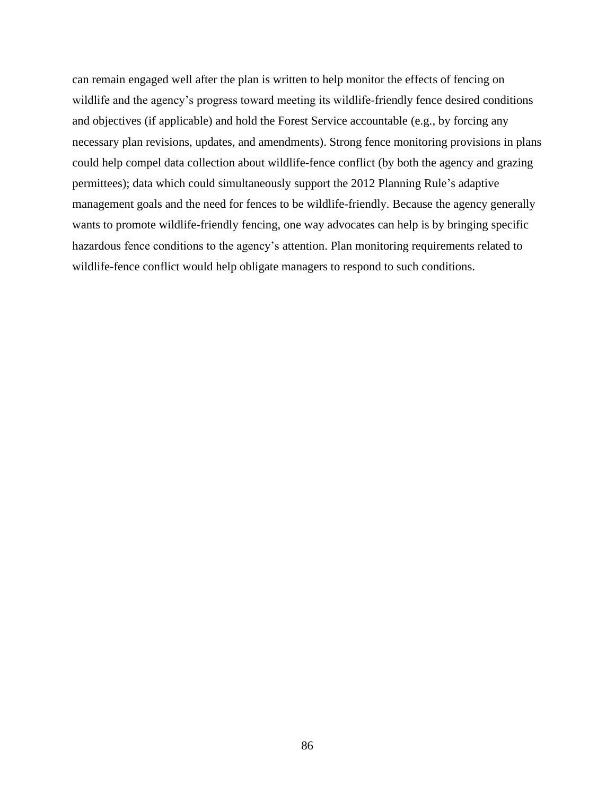can remain engaged well after the plan is written to help monitor the effects of fencing on wildlife and the agency's progress toward meeting its wildlife-friendly fence desired conditions and objectives (if applicable) and hold the Forest Service accountable (e.g., by forcing any necessary plan revisions, updates, and amendments). Strong fence monitoring provisions in plans could help compel data collection about wildlife-fence conflict (by both the agency and grazing permittees); data which could simultaneously support the 2012 Planning Rule's adaptive management goals and the need for fences to be wildlife-friendly. Because the agency generally wants to promote wildlife-friendly fencing, one way advocates can help is by bringing specific hazardous fence conditions to the agency's attention. Plan monitoring requirements related to wildlife-fence conflict would help obligate managers to respond to such conditions.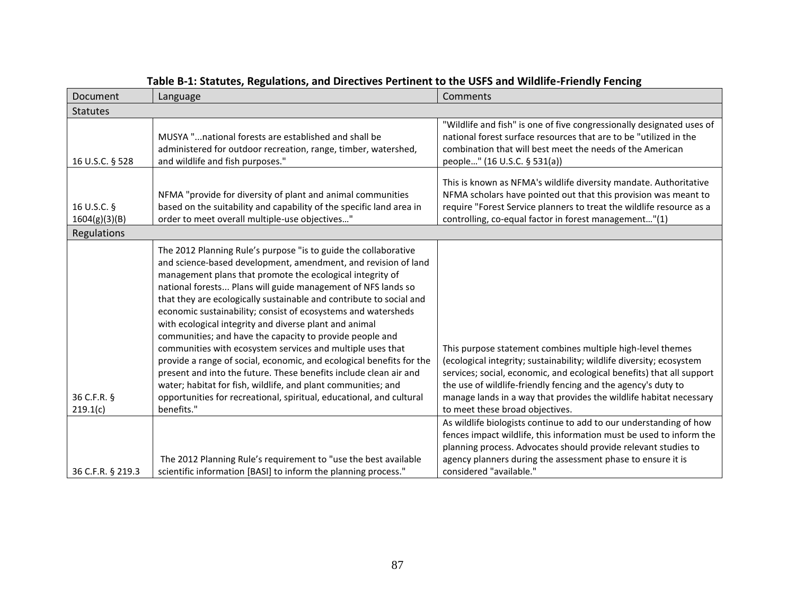| Document                     | Language                                                                                                                                                                                                                                                                                                                                                                                                                                                                                                                                                                                                                                                                                                                                                                                                                                                                         | Comments                                                                                                                                                                                                                                                                                                                                           |
|------------------------------|----------------------------------------------------------------------------------------------------------------------------------------------------------------------------------------------------------------------------------------------------------------------------------------------------------------------------------------------------------------------------------------------------------------------------------------------------------------------------------------------------------------------------------------------------------------------------------------------------------------------------------------------------------------------------------------------------------------------------------------------------------------------------------------------------------------------------------------------------------------------------------|----------------------------------------------------------------------------------------------------------------------------------------------------------------------------------------------------------------------------------------------------------------------------------------------------------------------------------------------------|
| <b>Statutes</b>              |                                                                                                                                                                                                                                                                                                                                                                                                                                                                                                                                                                                                                                                                                                                                                                                                                                                                                  |                                                                                                                                                                                                                                                                                                                                                    |
| 16 U.S.C. § 528              | MUSYA " national forests are established and shall be<br>administered for outdoor recreation, range, timber, watershed,<br>and wildlife and fish purposes."                                                                                                                                                                                                                                                                                                                                                                                                                                                                                                                                                                                                                                                                                                                      | "Wildlife and fish" is one of five congressionally designated uses of<br>national forest surface resources that are to be "utilized in the<br>combination that will best meet the needs of the American<br>people" (16 U.S.C. § 531(a))                                                                                                            |
| 16 U.S.C. §<br>1604(g)(3)(B) | NFMA "provide for diversity of plant and animal communities<br>based on the suitability and capability of the specific land area in<br>order to meet overall multiple-use objectives"                                                                                                                                                                                                                                                                                                                                                                                                                                                                                                                                                                                                                                                                                            | This is known as NFMA's wildlife diversity mandate. Authoritative<br>NFMA scholars have pointed out that this provision was meant to<br>require "Forest Service planners to treat the wildlife resource as a<br>controlling, co-equal factor in forest management"(1)                                                                              |
| Regulations                  |                                                                                                                                                                                                                                                                                                                                                                                                                                                                                                                                                                                                                                                                                                                                                                                                                                                                                  |                                                                                                                                                                                                                                                                                                                                                    |
| 36 C.F.R. §                  | The 2012 Planning Rule's purpose "is to guide the collaborative<br>and science-based development, amendment, and revision of land<br>management plans that promote the ecological integrity of<br>national forests Plans will guide management of NFS lands so<br>that they are ecologically sustainable and contribute to social and<br>economic sustainability; consist of ecosystems and watersheds<br>with ecological integrity and diverse plant and animal<br>communities; and have the capacity to provide people and<br>communities with ecosystem services and multiple uses that<br>provide a range of social, economic, and ecological benefits for the<br>present and into the future. These benefits include clean air and<br>water; habitat for fish, wildlife, and plant communities; and<br>opportunities for recreational, spiritual, educational, and cultural | This purpose statement combines multiple high-level themes<br>(ecological integrity; sustainability; wildlife diversity; ecosystem<br>services; social, economic, and ecological benefits) that all support<br>the use of wildlife-friendly fencing and the agency's duty to<br>manage lands in a way that provides the wildlife habitat necessary |
| 219.1(c)                     | benefits."                                                                                                                                                                                                                                                                                                                                                                                                                                                                                                                                                                                                                                                                                                                                                                                                                                                                       | to meet these broad objectives.                                                                                                                                                                                                                                                                                                                    |
| 36 C.F.R. § 219.3            | The 2012 Planning Rule's requirement to "use the best available<br>scientific information [BASI] to inform the planning process."                                                                                                                                                                                                                                                                                                                                                                                                                                                                                                                                                                                                                                                                                                                                                | As wildlife biologists continue to add to our understanding of how<br>fences impact wildlife, this information must be used to inform the<br>planning process. Advocates should provide relevant studies to<br>agency planners during the assessment phase to ensure it is<br>considered "available."                                              |

### **Table B-1: Statutes, Regulations, and Directives Pertinent to the USFS and Wildlife-Friendly Fencing**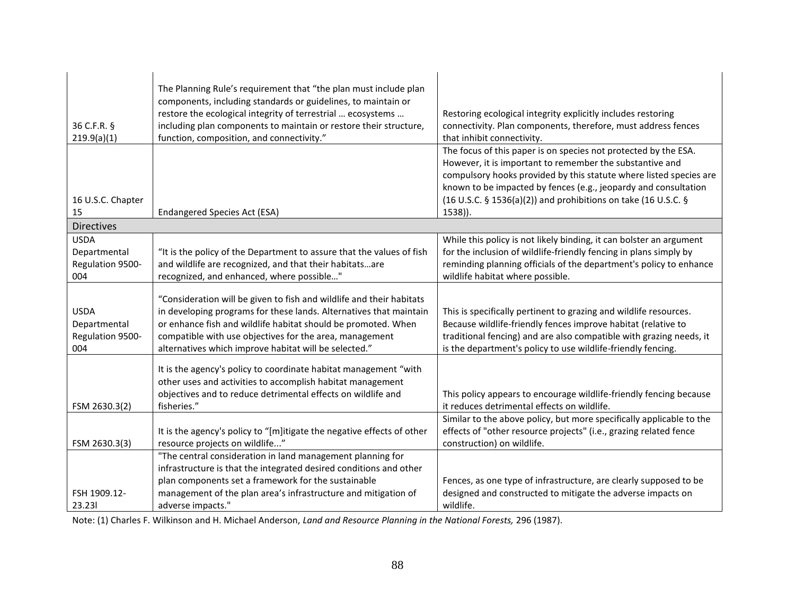| 36 C.F.R. §<br>219.9(a)(1)                             | The Planning Rule's requirement that "the plan must include plan<br>components, including standards or guidelines, to maintain or<br>restore the ecological integrity of terrestrial  ecosystems<br>including plan components to maintain or restore their structure,<br>function, composition, and connectivity."              | Restoring ecological integrity explicitly includes restoring<br>connectivity. Plan components, therefore, must address fences<br>that inhibit connectivity.                                                                                                               |
|--------------------------------------------------------|---------------------------------------------------------------------------------------------------------------------------------------------------------------------------------------------------------------------------------------------------------------------------------------------------------------------------------|---------------------------------------------------------------------------------------------------------------------------------------------------------------------------------------------------------------------------------------------------------------------------|
|                                                        |                                                                                                                                                                                                                                                                                                                                 | The focus of this paper is on species not protected by the ESA.<br>However, it is important to remember the substantive and<br>compulsory hooks provided by this statute where listed species are                                                                         |
|                                                        |                                                                                                                                                                                                                                                                                                                                 | known to be impacted by fences (e.g., jeopardy and consultation                                                                                                                                                                                                           |
| 16 U.S.C. Chapter<br>15                                | <b>Endangered Species Act (ESA)</b>                                                                                                                                                                                                                                                                                             | (16 U.S.C. § 1536(a)(2)) and prohibitions on take (16 U.S.C. §<br>$1538$ )).                                                                                                                                                                                              |
| <b>Directives</b>                                      |                                                                                                                                                                                                                                                                                                                                 |                                                                                                                                                                                                                                                                           |
| <b>USDA</b><br>Departmental<br>Regulation 9500-<br>004 | "It is the policy of the Department to assure that the values of fish<br>and wildlife are recognized, and that their habitatsare<br>recognized, and enhanced, where possible"                                                                                                                                                   | While this policy is not likely binding, it can bolster an argument<br>for the inclusion of wildlife-friendly fencing in plans simply by<br>reminding planning officials of the department's policy to enhance<br>wildlife habitat where possible.                        |
| <b>USDA</b><br>Departmental<br>Regulation 9500-<br>004 | "Consideration will be given to fish and wildlife and their habitats<br>in developing programs for these lands. Alternatives that maintain<br>or enhance fish and wildlife habitat should be promoted. When<br>compatible with use objectives for the area, management<br>alternatives which improve habitat will be selected." | This is specifically pertinent to grazing and wildlife resources.<br>Because wildlife-friendly fences improve habitat (relative to<br>traditional fencing) and are also compatible with grazing needs, it<br>is the department's policy to use wildlife-friendly fencing. |
| FSM 2630.3(2)                                          | It is the agency's policy to coordinate habitat management "with<br>other uses and activities to accomplish habitat management<br>objectives and to reduce detrimental effects on wildlife and<br>fisheries."                                                                                                                   | This policy appears to encourage wildlife-friendly fencing because<br>it reduces detrimental effects on wildlife.                                                                                                                                                         |
| FSM 2630.3(3)                                          | It is the agency's policy to "[m]itigate the negative effects of other<br>resource projects on wildlife"                                                                                                                                                                                                                        | Similar to the above policy, but more specifically applicable to the<br>effects of "other resource projects" (i.e., grazing related fence<br>construction) on wildlife.                                                                                                   |
|                                                        | "The central consideration in land management planning for                                                                                                                                                                                                                                                                      |                                                                                                                                                                                                                                                                           |
|                                                        | infrastructure is that the integrated desired conditions and other<br>plan components set a framework for the sustainable                                                                                                                                                                                                       | Fences, as one type of infrastructure, are clearly supposed to be                                                                                                                                                                                                         |
| FSH 1909.12-<br>23.231                                 | management of the plan area's infrastructure and mitigation of<br>adverse impacts."                                                                                                                                                                                                                                             | designed and constructed to mitigate the adverse impacts on<br>wildlife.                                                                                                                                                                                                  |

Note: (1) Charles F. Wilkinson and H. Michael Anderson, *Land and Resource Planning in the National Forests,* 296 (1987).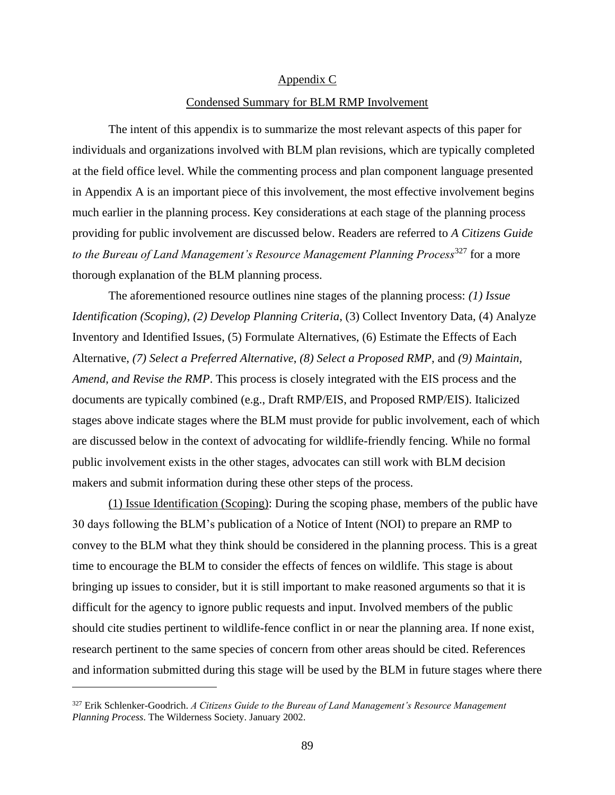#### Appendix C

#### Condensed Summary for BLM RMP Involvement

The intent of this appendix is to summarize the most relevant aspects of this paper for individuals and organizations involved with BLM plan revisions, which are typically completed at the field office level. While the commenting process and plan component language presented in Appendix A is an important piece of this involvement, the most effective involvement begins much earlier in the planning process. Key considerations at each stage of the planning process providing for public involvement are discussed below. Readers are referred to *A Citizens Guide to the Bureau of Land Management's Resource Management Planning Process*<sup>327</sup> for a more thorough explanation of the BLM planning process.

The aforementioned resource outlines nine stages of the planning process: *(1) Issue Identification (Scoping)*, *(2) Develop Planning Criteria*, (3) Collect Inventory Data, (4) Analyze Inventory and Identified Issues, (5) Formulate Alternatives, (6) Estimate the Effects of Each Alternative, *(7) Select a Preferred Alternative*, *(8) Select a Proposed RMP*, and *(9) Maintain, Amend, and Revise the RMP*. This process is closely integrated with the EIS process and the documents are typically combined (e.g., Draft RMP/EIS, and Proposed RMP/EIS). Italicized stages above indicate stages where the BLM must provide for public involvement, each of which are discussed below in the context of advocating for wildlife-friendly fencing. While no formal public involvement exists in the other stages, advocates can still work with BLM decision makers and submit information during these other steps of the process.

(1) Issue Identification (Scoping): During the scoping phase, members of the public have 30 days following the BLM's publication of a Notice of Intent (NOI) to prepare an RMP to convey to the BLM what they think should be considered in the planning process. This is a great time to encourage the BLM to consider the effects of fences on wildlife. This stage is about bringing up issues to consider, but it is still important to make reasoned arguments so that it is difficult for the agency to ignore public requests and input. Involved members of the public should cite studies pertinent to wildlife-fence conflict in or near the planning area. If none exist, research pertinent to the same species of concern from other areas should be cited. References and information submitted during this stage will be used by the BLM in future stages where there

<sup>327</sup> Erik Schlenker-Goodrich. *A Citizens Guide to the Bureau of Land Management's Resource Management Planning Process*. The Wilderness Society. January 2002.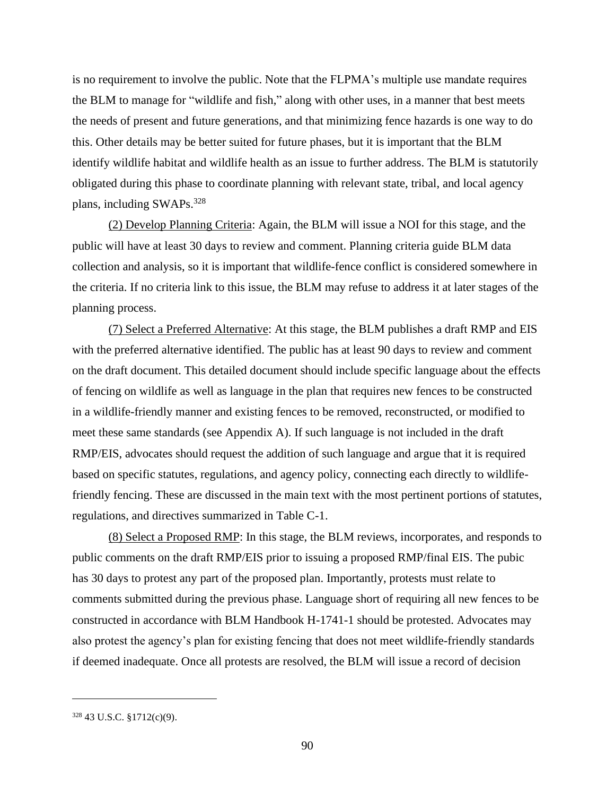is no requirement to involve the public. Note that the FLPMA's multiple use mandate requires the BLM to manage for "wildlife and fish," along with other uses, in a manner that best meets the needs of present and future generations, and that minimizing fence hazards is one way to do this. Other details may be better suited for future phases, but it is important that the BLM identify wildlife habitat and wildlife health as an issue to further address. The BLM is statutorily obligated during this phase to coordinate planning with relevant state, tribal, and local agency plans, including SWAPs.<sup>328</sup>

(2) Develop Planning Criteria: Again, the BLM will issue a NOI for this stage, and the public will have at least 30 days to review and comment. Planning criteria guide BLM data collection and analysis, so it is important that wildlife-fence conflict is considered somewhere in the criteria. If no criteria link to this issue, the BLM may refuse to address it at later stages of the planning process.

(7) Select a Preferred Alternative: At this stage, the BLM publishes a draft RMP and EIS with the preferred alternative identified. The public has at least 90 days to review and comment on the draft document. This detailed document should include specific language about the effects of fencing on wildlife as well as language in the plan that requires new fences to be constructed in a wildlife-friendly manner and existing fences to be removed, reconstructed, or modified to meet these same standards (see Appendix A). If such language is not included in the draft RMP/EIS, advocates should request the addition of such language and argue that it is required based on specific statutes, regulations, and agency policy, connecting each directly to wildlifefriendly fencing. These are discussed in the main text with the most pertinent portions of statutes, regulations, and directives summarized in Table C-1.

(8) Select a Proposed RMP: In this stage, the BLM reviews, incorporates, and responds to public comments on the draft RMP/EIS prior to issuing a proposed RMP/final EIS. The pubic has 30 days to protest any part of the proposed plan. Importantly, protests must relate to comments submitted during the previous phase. Language short of requiring all new fences to be constructed in accordance with BLM Handbook H-1741-1 should be protested. Advocates may also protest the agency's plan for existing fencing that does not meet wildlife-friendly standards if deemed inadequate. Once all protests are resolved, the BLM will issue a record of decision

 $328$  43 U.S.C.  $$1712(c)(9)$ .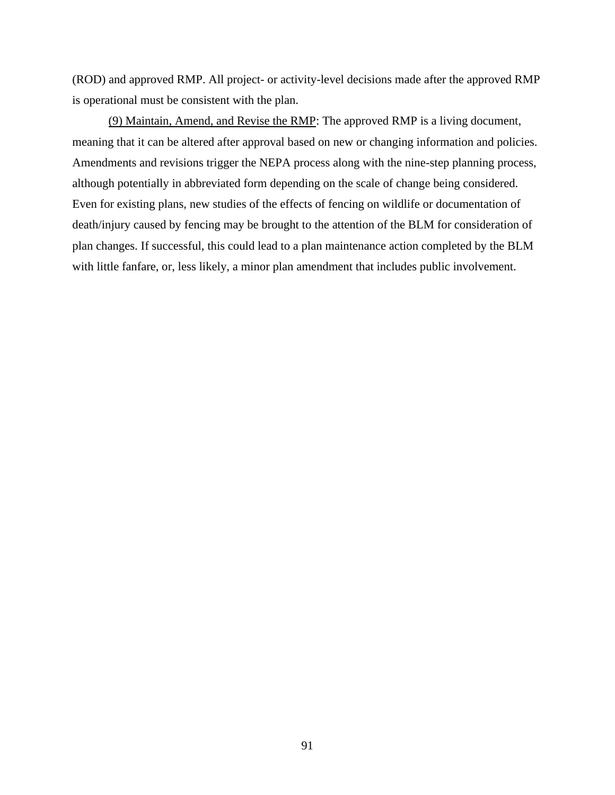(ROD) and approved RMP. All project- or activity-level decisions made after the approved RMP is operational must be consistent with the plan.

(9) Maintain, Amend, and Revise the RMP: The approved RMP is a living document, meaning that it can be altered after approval based on new or changing information and policies. Amendments and revisions trigger the NEPA process along with the nine-step planning process, although potentially in abbreviated form depending on the scale of change being considered. Even for existing plans, new studies of the effects of fencing on wildlife or documentation of death/injury caused by fencing may be brought to the attention of the BLM for consideration of plan changes. If successful, this could lead to a plan maintenance action completed by the BLM with little fanfare, or, less likely, a minor plan amendment that includes public involvement.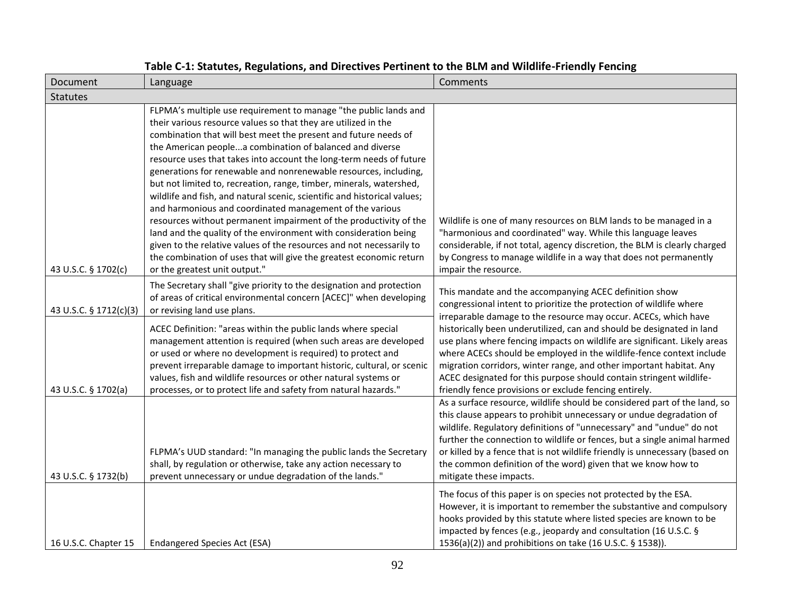| Document               | Language                                                                                                                                                                                                                                                                                                                                                                                                                                                                                                                                                                                                                                                                                                                                                                                                                                                                                                                                             | Comments                                                                                                                                                                                                                                                                                                                                                                                                                                                                                              |
|------------------------|------------------------------------------------------------------------------------------------------------------------------------------------------------------------------------------------------------------------------------------------------------------------------------------------------------------------------------------------------------------------------------------------------------------------------------------------------------------------------------------------------------------------------------------------------------------------------------------------------------------------------------------------------------------------------------------------------------------------------------------------------------------------------------------------------------------------------------------------------------------------------------------------------------------------------------------------------|-------------------------------------------------------------------------------------------------------------------------------------------------------------------------------------------------------------------------------------------------------------------------------------------------------------------------------------------------------------------------------------------------------------------------------------------------------------------------------------------------------|
| <b>Statutes</b>        |                                                                                                                                                                                                                                                                                                                                                                                                                                                                                                                                                                                                                                                                                                                                                                                                                                                                                                                                                      |                                                                                                                                                                                                                                                                                                                                                                                                                                                                                                       |
| 43 U.S.C. § 1702(c)    | FLPMA's multiple use requirement to manage "the public lands and<br>their various resource values so that they are utilized in the<br>combination that will best meet the present and future needs of<br>the American peoplea combination of balanced and diverse<br>resource uses that takes into account the long-term needs of future<br>generations for renewable and nonrenewable resources, including,<br>but not limited to, recreation, range, timber, minerals, watershed,<br>wildlife and fish, and natural scenic, scientific and historical values;<br>and harmonious and coordinated management of the various<br>resources without permanent impairment of the productivity of the<br>land and the quality of the environment with consideration being<br>given to the relative values of the resources and not necessarily to<br>the combination of uses that will give the greatest economic return<br>or the greatest unit output." | Wildlife is one of many resources on BLM lands to be managed in a<br>"harmonious and coordinated" way. While this language leaves<br>considerable, if not total, agency discretion, the BLM is clearly charged<br>by Congress to manage wildlife in a way that does not permanently<br>impair the resource.                                                                                                                                                                                           |
| 43 U.S.C. § 1712(c)(3) | The Secretary shall "give priority to the designation and protection<br>of areas of critical environmental concern [ACEC]" when developing<br>or revising land use plans.                                                                                                                                                                                                                                                                                                                                                                                                                                                                                                                                                                                                                                                                                                                                                                            | This mandate and the accompanying ACEC definition show<br>congressional intent to prioritize the protection of wildlife where                                                                                                                                                                                                                                                                                                                                                                         |
| 43 U.S.C. § 1702(a)    | ACEC Definition: "areas within the public lands where special<br>management attention is required (when such areas are developed<br>or used or where no development is required) to protect and<br>prevent irreparable damage to important historic, cultural, or scenic<br>values, fish and wildlife resources or other natural systems or<br>processes, or to protect life and safety from natural hazards."                                                                                                                                                                                                                                                                                                                                                                                                                                                                                                                                       | irreparable damage to the resource may occur. ACECs, which have<br>historically been underutilized, can and should be designated in land<br>use plans where fencing impacts on wildlife are significant. Likely areas<br>where ACECs should be employed in the wildlife-fence context include<br>migration corridors, winter range, and other important habitat. Any<br>ACEC designated for this purpose should contain stringent wildlife-<br>friendly fence provisions or exclude fencing entirely. |
| 43 U.S.C. § 1732(b)    | FLPMA's UUD standard: "In managing the public lands the Secretary<br>shall, by regulation or otherwise, take any action necessary to<br>prevent unnecessary or undue degradation of the lands."                                                                                                                                                                                                                                                                                                                                                                                                                                                                                                                                                                                                                                                                                                                                                      | As a surface resource, wildlife should be considered part of the land, so<br>this clause appears to prohibit unnecessary or undue degradation of<br>wildlife. Regulatory definitions of "unnecessary" and "undue" do not<br>further the connection to wildlife or fences, but a single animal harmed<br>or killed by a fence that is not wildlife friendly is unnecessary (based on<br>the common definition of the word) given that we know how to<br>mitigate these impacts.                        |
| 16 U.S.C. Chapter 15   | Endangered Species Act (ESA)                                                                                                                                                                                                                                                                                                                                                                                                                                                                                                                                                                                                                                                                                                                                                                                                                                                                                                                         | The focus of this paper is on species not protected by the ESA.<br>However, it is important to remember the substantive and compulsory<br>hooks provided by this statute where listed species are known to be<br>impacted by fences (e.g., jeopardy and consultation (16 U.S.C. §<br>1536(a)(2)) and prohibitions on take (16 U.S.C. § 1538)).                                                                                                                                                        |

### **Table C-1: Statutes, Regulations, and Directives Pertinent to the BLM and Wildlife-Friendly Fencing**